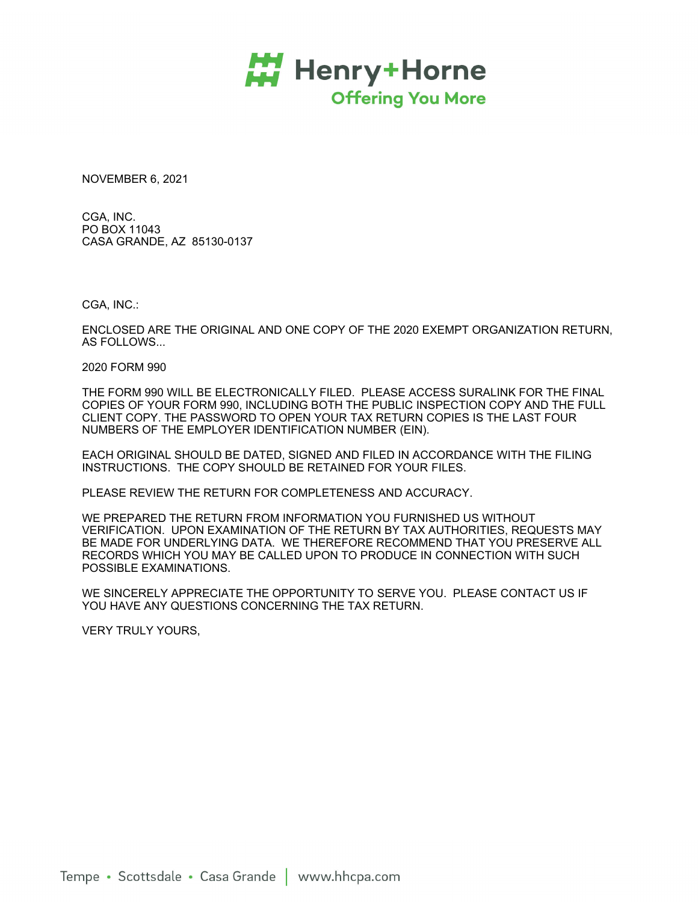

NOVEMBER 6, 2021

CGA, INC. PO BOX 11043 CASA GRANDE, AZ 85130-0137

CGA, INC.:

ENCLOSED ARE THE ORIGINAL AND ONE COPY OF THE 2020 EXEMPT ORGANIZATION RETURN, AS FOLLOWS...

2020 FORM 990

THE FORM 990 WILL BE ELECTRONICALLY FILED. PLEASE ACCESS SURALINK FOR THE FINAL COPIES OF YOUR FORM 990, INCLUDING BOTH THE PUBLIC INSPECTION COPY AND THE FULL CLIENT COPY. THE PASSWORD TO OPEN YOUR TAX RETURN COPIES IS THE LAST FOUR NUMBERS OF THE EMPLOYER IDENTIFICATION NUMBER (EIN).

EACH ORIGINAL SHOULD BE DATED, SIGNED AND FILED IN ACCORDANCE WITH THE FILING INSTRUCTIONS. THE COPY SHOULD BE RETAINED FOR YOUR FILES.

PLEASE REVIEW THE RETURN FOR COMPLETENESS AND ACCURACY.

WE PREPARED THE RETURN FROM INFORMATION YOU FURNISHED US WITHOUT VERIFICATION. UPON EXAMINATION OF THE RETURN BY TAX AUTHORITIES, REQUESTS MAY BE MADE FOR UNDERLYING DATA. WE THEREFORE RECOMMEND THAT YOU PRESERVE ALL RECORDS WHICH YOU MAY BE CALLED UPON TO PRODUCE IN CONNECTION WITH SUCH POSSIBLE EXAMINATIONS.

WE SINCERELY APPRECIATE THE OPPORTUNITY TO SERVE YOU. PLEASE CONTACT US IF YOU HAVE ANY QUESTIONS CONCERNING THE TAX RETURN.

VERY TRULY YOURS,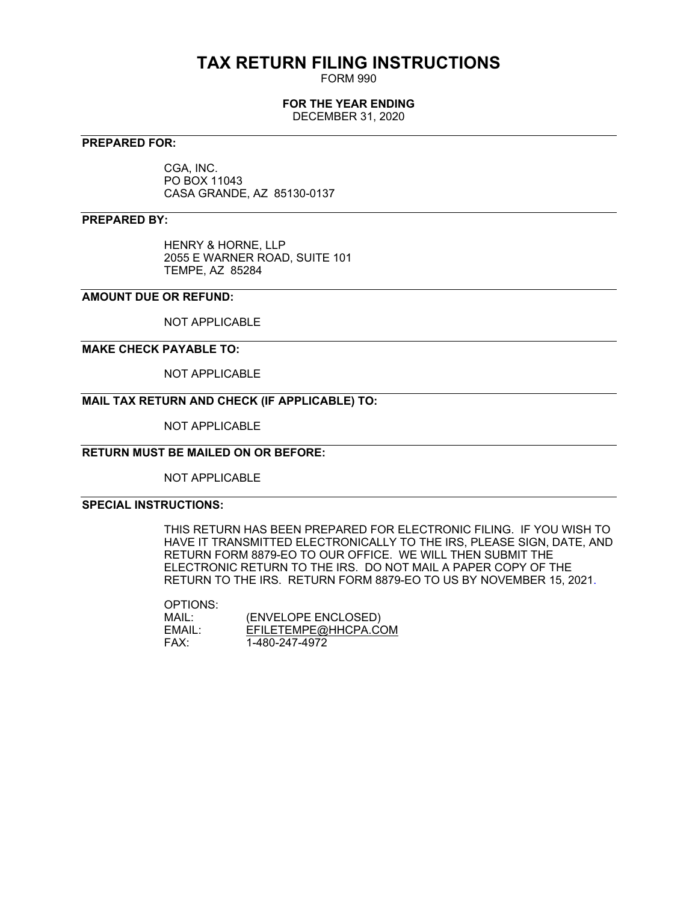# **TAX RETURN FILING INSTRUCTIONS**

FORM 990

## **FOR THE YEAR ENDING**

DECEMBER 31, 2020

## **PREPARED FOR:**

CGA, INC. PO BOX 11043 CASA GRANDE, AZ 85130-0137

## **PREPARED BY:**

HENRY & HORNE, LLP 2055 E WARNER ROAD, SUITE 101 TEMPE, AZ 85284

## **AMOUNT DUE OR REFUND:**

NOT APPLICABLE

## **MAKE CHECK PAYABLE TO:**

NOT APPLICABLE

## **MAIL TAX RETURN AND CHECK (IF APPLICABLE) TO:**

NOT APPLICABLE

## **RETURN MUST BE MAILED ON OR BEFORE:**

NOT APPLICABLE

## **SPECIAL INSTRUCTIONS:**

THIS RETURN HAS BEEN PREPARED FOR ELECTRONIC FILING. IF YOU WISH TO HAVE IT TRANSMITTED ELECTRONICALLY TO THE IRS, PLEASE SIGN, DATE, AND RETURN FORM 8879-EO TO OUR OFFICE. WE WILL THEN SUBMIT THE ELECTRONIC RETURN TO THE IRS. DO NOT MAIL A PAPER COPY OF THE RETURN TO THE IRS. RETURN FORM 8879-EO TO US BY NOVEMBER 15, 2021.

OPTIONS:

| MAIL:  | (ENVELOPE ENCLOSED)  |
|--------|----------------------|
| EMAIL: | EFILETEMPE@HHCPA.COM |
| FAX:   | 1-480-247-4972       |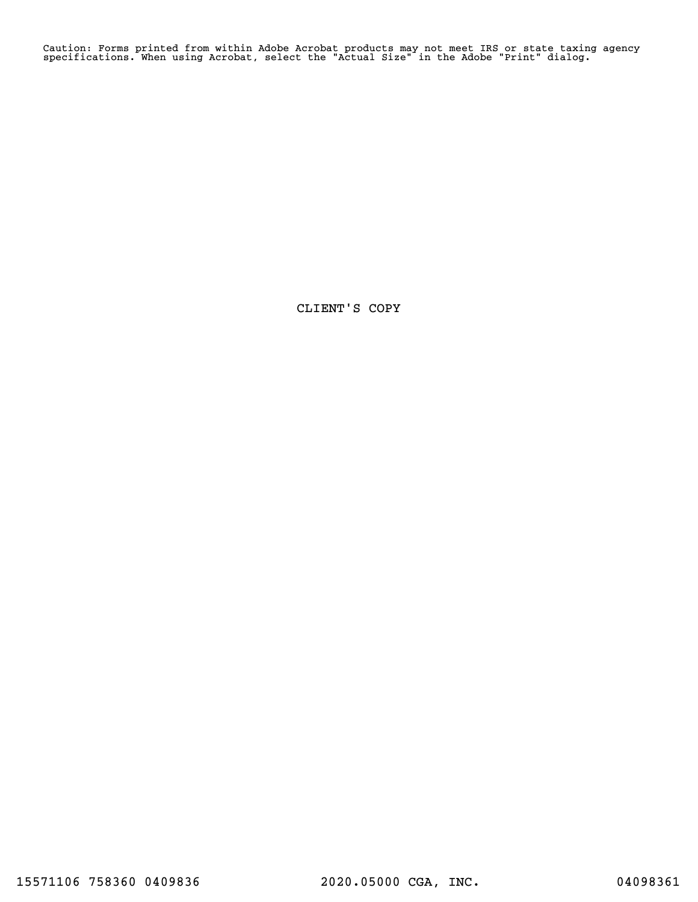Caution: Forms printed from within Adobe Acrobat products may not meet IRS or state taxing agency specifications. When using Acrobat, select the "Actual Size" in the Adobe "Print" dialog.

CLIENT'S COPY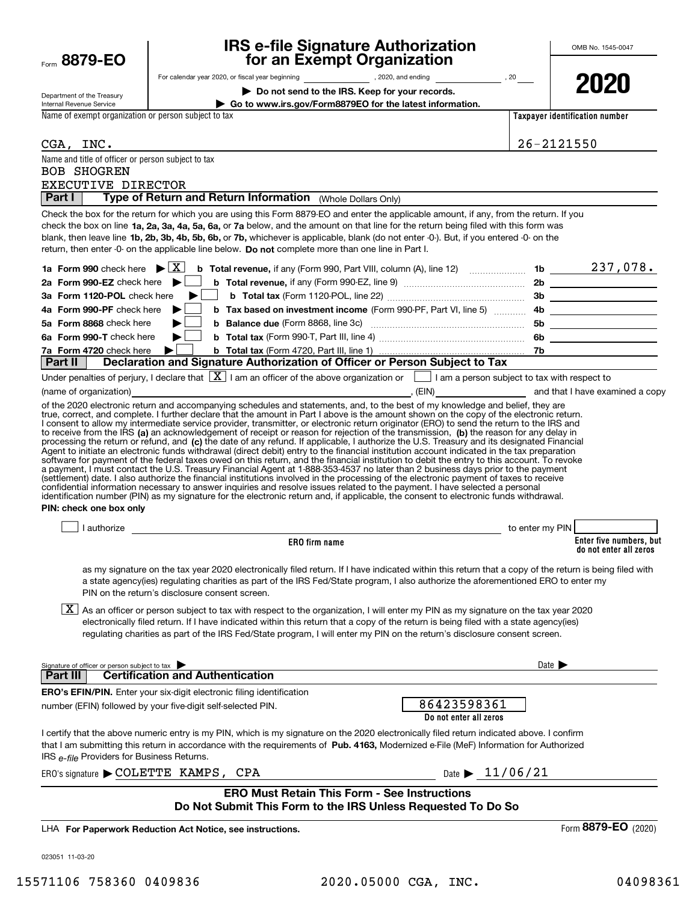| Form | 8879-1<br>EΟ |
|------|--------------|
|      |              |

## **IRS e-file Signature Authorization for an Exempt Organization**

|                                                        | For calendar year 2020, or fiscal year beginning _______________________, 2020, and ending                                                                                                                                                                                                                                                                                                                                                                                                                                                                                                                                                                                                                                                                    |                                                     |                                                          |                                     | 2020                                              |
|--------------------------------------------------------|---------------------------------------------------------------------------------------------------------------------------------------------------------------------------------------------------------------------------------------------------------------------------------------------------------------------------------------------------------------------------------------------------------------------------------------------------------------------------------------------------------------------------------------------------------------------------------------------------------------------------------------------------------------------------------------------------------------------------------------------------------------|-----------------------------------------------------|----------------------------------------------------------|-------------------------------------|---------------------------------------------------|
| Department of the Treasury<br>Internal Revenue Service |                                                                                                                                                                                                                                                                                                                                                                                                                                                                                                                                                                                                                                                                                                                                                               | Do not send to the IRS. Keep for your records.      | Go to www.irs.gov/Form8879EO for the latest information. |                                     |                                                   |
| Name of exempt organization or person subject to tax   |                                                                                                                                                                                                                                                                                                                                                                                                                                                                                                                                                                                                                                                                                                                                                               |                                                     |                                                          |                                     | Taxpayer identification number                    |
|                                                        |                                                                                                                                                                                                                                                                                                                                                                                                                                                                                                                                                                                                                                                                                                                                                               |                                                     |                                                          |                                     |                                                   |
| CGA, INC.                                              |                                                                                                                                                                                                                                                                                                                                                                                                                                                                                                                                                                                                                                                                                                                                                               |                                                     |                                                          |                                     | $26 - 2121550$                                    |
| Name and title of officer or person subject to tax     |                                                                                                                                                                                                                                                                                                                                                                                                                                                                                                                                                                                                                                                                                                                                                               |                                                     |                                                          |                                     |                                                   |
| <b>BOB SHOGREN</b>                                     |                                                                                                                                                                                                                                                                                                                                                                                                                                                                                                                                                                                                                                                                                                                                                               |                                                     |                                                          |                                     |                                                   |
| EXECUTIVE DIRECTOR                                     |                                                                                                                                                                                                                                                                                                                                                                                                                                                                                                                                                                                                                                                                                                                                                               |                                                     |                                                          |                                     |                                                   |
| Part I                                                 | Type of Return and Return Information (Whole Dollars Only)                                                                                                                                                                                                                                                                                                                                                                                                                                                                                                                                                                                                                                                                                                    |                                                     |                                                          |                                     |                                                   |
|                                                        | Check the box for the return for which you are using this Form 8879-EO and enter the applicable amount, if any, from the return. If you<br>check the box on line 1a, 2a, 3a, 4a, 5a, 6a, or 7a below, and the amount on that line for the return being filed with this form was<br>blank, then leave line 1b, 2b, 3b, 4b, 5b, 6b, or 7b, whichever is applicable, blank (do not enter -0-). But, if you entered -0- on the<br>return, then enter -0- on the applicable line below. Do not complete more than one line in Part I.                                                                                                                                                                                                                              |                                                     |                                                          |                                     |                                                   |
|                                                        |                                                                                                                                                                                                                                                                                                                                                                                                                                                                                                                                                                                                                                                                                                                                                               |                                                     |                                                          |                                     |                                                   |
| 2a Form 990-EZ check here $\blacktriangleright$        |                                                                                                                                                                                                                                                                                                                                                                                                                                                                                                                                                                                                                                                                                                                                                               |                                                     |                                                          |                                     |                                                   |
| 3a Form 1120-POL check here                            | ▶                                                                                                                                                                                                                                                                                                                                                                                                                                                                                                                                                                                                                                                                                                                                                             |                                                     |                                                          |                                     |                                                   |
| 4a Form 990-PF check here                              | ▶                                                                                                                                                                                                                                                                                                                                                                                                                                                                                                                                                                                                                                                                                                                                                             |                                                     |                                                          |                                     |                                                   |
| 5a Form 8868 check here                                | ▶                                                                                                                                                                                                                                                                                                                                                                                                                                                                                                                                                                                                                                                                                                                                                             |                                                     |                                                          |                                     |                                                   |
| 6a Form 990-T check here                               | ▶∣                                                                                                                                                                                                                                                                                                                                                                                                                                                                                                                                                                                                                                                                                                                                                            |                                                     |                                                          |                                     |                                                   |
| 7a Form 4720 check here                                | ▶                                                                                                                                                                                                                                                                                                                                                                                                                                                                                                                                                                                                                                                                                                                                                             |                                                     |                                                          |                                     |                                                   |
| Part II                                                | Declaration and Signature Authorization of Officer or Person Subject to Tax                                                                                                                                                                                                                                                                                                                                                                                                                                                                                                                                                                                                                                                                                   |                                                     |                                                          |                                     |                                                   |
|                                                        | Under penalties of perjury, I declare that $\boxed{\mathbf{X}}$ I am an officer of the above organization or $\boxed{\phantom{\mathbf{X}}}$ I am a person subject to tax with respect to                                                                                                                                                                                                                                                                                                                                                                                                                                                                                                                                                                      |                                                     |                                                          |                                     |                                                   |
| (name of organization)                                 |                                                                                                                                                                                                                                                                                                                                                                                                                                                                                                                                                                                                                                                                                                                                                               |                                                     |                                                          |                                     | , (EIN) and that I have examined a copy           |
| PIN: check one box only                                | (settlement) date. I also authorize the financial institutions involved in the processing of the electronic payment of taxes to receive<br>confidential information necessary to answer inquiries and resolve issues related to the payment. I have selected a personal<br>identification number (PIN) as my signature for the electronic return and, if applicable, the consent to electronic funds withdrawal.                                                                                                                                                                                                                                                                                                                                              |                                                     |                                                          |                                     |                                                   |
|                                                        | I authorize <b>All Contracts Contracts Contracts Contracts Contracts Contracts</b>                                                                                                                                                                                                                                                                                                                                                                                                                                                                                                                                                                                                                                                                            |                                                     |                                                          | to enter my PIN                     |                                                   |
|                                                        |                                                                                                                                                                                                                                                                                                                                                                                                                                                                                                                                                                                                                                                                                                                                                               | ERO firm name                                       |                                                          |                                     | Enter five numbers, but<br>do not enter all zeros |
|                                                        | as my signature on the tax year 2020 electronically filed return. If I have indicated within this return that a copy of the return is being filed with<br>a state agency(ies) regulating charities as part of the IRS Fed/State program, I also authorize the aforementioned ERO to enter my<br>PIN on the return's disclosure consent screen.<br>$X$ As an officer or person subject to tax with respect to the organization, I will enter my PIN as my signature on the tax year 2020<br>electronically filed return. If I have indicated within this return that a copy of the return is being filed with a state agency(ies)<br>regulating charities as part of the IRS Fed/State program, I will enter my PIN on the return's disclosure consent screen. |                                                     |                                                          |                                     |                                                   |
| Signature of officer or person subject to tax          |                                                                                                                                                                                                                                                                                                                                                                                                                                                                                                                                                                                                                                                                                                                                                               |                                                     |                                                          | Date $\blacktriangleright$          |                                                   |
| Part III I                                             | <b>Certification and Authentication</b>                                                                                                                                                                                                                                                                                                                                                                                                                                                                                                                                                                                                                                                                                                                       |                                                     |                                                          |                                     |                                                   |
|                                                        | <b>ERO's EFIN/PIN.</b> Enter your six-digit electronic filing identification                                                                                                                                                                                                                                                                                                                                                                                                                                                                                                                                                                                                                                                                                  |                                                     |                                                          |                                     |                                                   |
|                                                        | number (EFIN) followed by your five-digit self-selected PIN.                                                                                                                                                                                                                                                                                                                                                                                                                                                                                                                                                                                                                                                                                                  |                                                     | 86423598361<br>Do not enter all zeros                    |                                     |                                                   |
| IRS e-file Providers for Business Returns.             | I certify that the above numeric entry is my PIN, which is my signature on the 2020 electronically filed return indicated above. I confirm<br>that I am submitting this return in accordance with the requirements of Pub. 4163, Modernized e-File (MeF) Information for Authorized                                                                                                                                                                                                                                                                                                                                                                                                                                                                           |                                                     |                                                          |                                     |                                                   |
|                                                        | $ERO's signature$ $\blacktriangleright$ COLETTE KAMPS, CPA                                                                                                                                                                                                                                                                                                                                                                                                                                                                                                                                                                                                                                                                                                    |                                                     |                                                          | Date $\blacktriangleright$ 11/06/21 |                                                   |
|                                                        |                                                                                                                                                                                                                                                                                                                                                                                                                                                                                                                                                                                                                                                                                                                                                               | <b>ERO Must Retain This Form - See Instructions</b> |                                                          |                                     |                                                   |
|                                                        | Do Not Submit This Form to the IRS Unless Requested To Do So                                                                                                                                                                                                                                                                                                                                                                                                                                                                                                                                                                                                                                                                                                  |                                                     |                                                          |                                     |                                                   |
|                                                        | LHA For Paperwork Reduction Act Notice, see instructions.                                                                                                                                                                                                                                                                                                                                                                                                                                                                                                                                                                                                                                                                                                     |                                                     |                                                          |                                     | Form 8879-EO (2020)                               |
|                                                        |                                                                                                                                                                                                                                                                                                                                                                                                                                                                                                                                                                                                                                                                                                                                                               |                                                     |                                                          |                                     |                                                   |
| 023051 11-03-20                                        |                                                                                                                                                                                                                                                                                                                                                                                                                                                                                                                                                                                                                                                                                                                                                               |                                                     |                                                          |                                     |                                                   |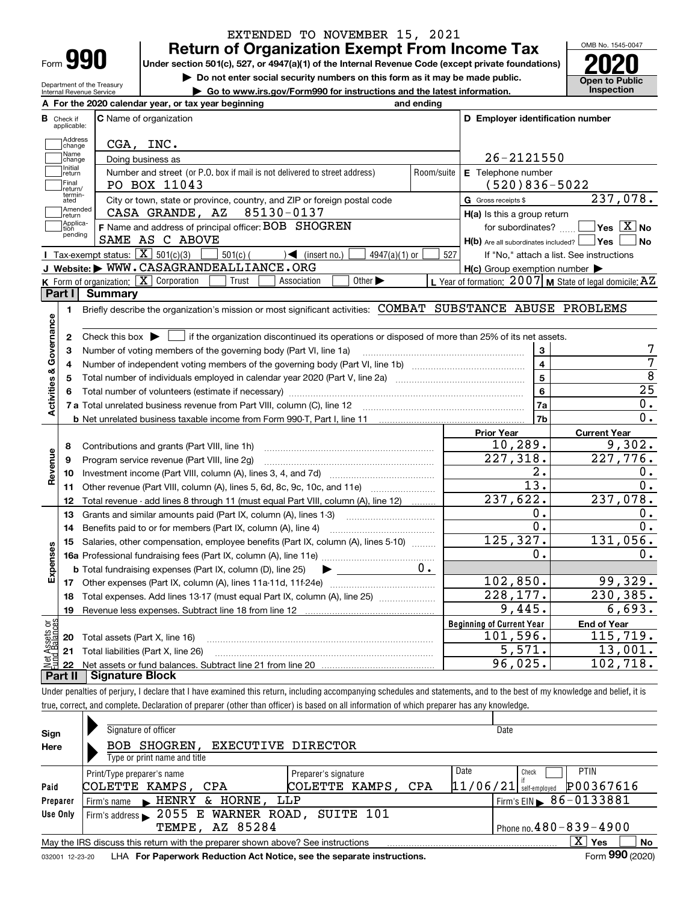| ⊦orm |  |
|------|--|

Department of the Treasury Internal Revenue Service

## **Return of Organization Exempt From Income Tax** EXTENDED TO NOVEMBER 15, 2021

**Under section 501(c), 527, or 4947(a)(1) of the Internal Revenue Code (except private foundations) 2020**

**| Do not enter social security numbers on this form as it may be made public.**

**| Go to www.irs.gov/Form990 for instructions and the latest information. Inspection**

OMB No. 1545-0047 **Open to Public** 

|                                     | A For the 2020 calendar year, or tax year beginning<br>and ending                                                                                   |                                                             |                                             |  |  |  |
|-------------------------------------|-----------------------------------------------------------------------------------------------------------------------------------------------------|-------------------------------------------------------------|---------------------------------------------|--|--|--|
| <b>B</b> Check if<br>applicable:    | C Name of organization                                                                                                                              | D Employer identification number                            |                                             |  |  |  |
| Address<br>change                   | CGA, INC.                                                                                                                                           |                                                             |                                             |  |  |  |
| Name<br>Doing business as<br>change |                                                                                                                                                     |                                                             | 26-2121550                                  |  |  |  |
| Initial<br>return                   | Number and street (or P.O. box if mail is not delivered to street address)                                                                          | E Telephone number<br>Room/suite                            |                                             |  |  |  |
| Final<br>return/                    | PO BOX 11043                                                                                                                                        | $(520)836 - 5022$                                           |                                             |  |  |  |
| termin-<br>ated                     | City or town, state or province, country, and ZIP or foreign postal code                                                                            | G Gross receipts \$                                         | 237,078.                                    |  |  |  |
| Amended<br> return                  | 85130-0137<br>CASA GRANDE, AZ                                                                                                                       | H(a) Is this a group return                                 |                                             |  |  |  |
| Applica-<br>tion                    | F Name and address of principal officer: BOB SHOGREN                                                                                                |                                                             | for subordinates? $\Box$ Yes $\boxed{X}$ No |  |  |  |
| pending                             | SAME AS C ABOVE                                                                                                                                     | H(b) Are all subordinates included?   Yes                   | No                                          |  |  |  |
|                                     | Tax-exempt status: $\boxed{\mathbf{X}}$ 501(c)(3)<br>$501(c)$ (<br>$\sqrt{\bullet}$ (insert no.)<br>$4947(a)(1)$ or                                 | 527<br>If "No," attach a list. See instructions             |                                             |  |  |  |
|                                     | J Website: WWW.CASAGRANDEALLIANCE.ORG                                                                                                               | $H(c)$ Group exemption number $\blacktriangleright$         |                                             |  |  |  |
|                                     | <b>K</b> Form of organization: $\boxed{\mathbf{X}}$ Corporation<br>Other $\blacktriangleright$<br>Trust<br>Association                              | L Year of formation: $2007$ M State of legal domicile: $AZ$ |                                             |  |  |  |
| Part I                              | Summary                                                                                                                                             |                                                             |                                             |  |  |  |
| 1.                                  | Briefly describe the organization's mission or most significant activities: COMBAT SUBSTANCE ABUSE PROBLEMS                                         |                                                             |                                             |  |  |  |
| Activities & Governance             |                                                                                                                                                     |                                                             |                                             |  |  |  |
| 2                                   | Check this box $\blacktriangleright$ $\blacksquare$ if the organization discontinued its operations or disposed of more than 25% of its net assets. |                                                             |                                             |  |  |  |
| з                                   |                                                                                                                                                     | 3                                                           | 7                                           |  |  |  |
| 4                                   | Number of independent voting members of the governing body (Part VI, line 1b) [100] [100] [100] [100] [100] [1                                      | $\overline{4}$                                              | $\overline{7}$                              |  |  |  |
| 5                                   |                                                                                                                                                     | $\overline{\mathbf{5}}$                                     | $\overline{8}$                              |  |  |  |
|                                     |                                                                                                                                                     | 6                                                           | $\overline{25}$                             |  |  |  |
|                                     |                                                                                                                                                     | 7a                                                          | $0$ .                                       |  |  |  |
|                                     |                                                                                                                                                     | 7b                                                          | $0$ .                                       |  |  |  |
|                                     |                                                                                                                                                     | <b>Prior Year</b>                                           | <b>Current Year</b>                         |  |  |  |
| 8                                   |                                                                                                                                                     | 10, 289.                                                    | 9,302.                                      |  |  |  |
| 9                                   | Program service revenue (Part VIII, line 2g)                                                                                                        | 227,318.                                                    | $\overline{227,776}$ .                      |  |  |  |
| Revenue<br>10                       |                                                                                                                                                     | 2.                                                          | 0.                                          |  |  |  |
| 11                                  | Other revenue (Part VIII, column (A), lines 5, 6d, 8c, 9c, 10c, and 11e)                                                                            | $\overline{13}$ .                                           | $0$ .                                       |  |  |  |
| 12                                  | Total revenue - add lines 8 through 11 (must equal Part VIII, column (A), line 12)                                                                  | 237,622.                                                    | 237,078.                                    |  |  |  |
| 13                                  | Grants and similar amounts paid (Part IX, column (A), lines 1-3)                                                                                    | 0.                                                          | $0$ .                                       |  |  |  |
| 14                                  |                                                                                                                                                     | 0.                                                          | $0$ .                                       |  |  |  |
| 15                                  | Salaries, other compensation, employee benefits (Part IX, column (A), lines 5-10)                                                                   | 125, 327.                                                   | 131,056.                                    |  |  |  |
| Expenses                            |                                                                                                                                                     | 0.                                                          | $0$ .                                       |  |  |  |
|                                     | 0.<br><b>b</b> Total fundraising expenses (Part IX, column (D), line 25) $\rightarrow$                                                              |                                                             |                                             |  |  |  |
|                                     |                                                                                                                                                     | 102,850.                                                    | 99,329.                                     |  |  |  |
|                                     | 18 Total expenses. Add lines 13-17 (must equal Part IX, column (A), line 25)                                                                        | 228,177.                                                    | 230, 385.                                   |  |  |  |
|                                     | 19 Revenue less expenses. Subtract line 18 from line 12                                                                                             | 9,445.                                                      | 6,693.                                      |  |  |  |
|                                     |                                                                                                                                                     | <b>Beginning of Current Year</b>                            | <b>End of Year</b>                          |  |  |  |
| 20                                  | Total assets (Part X, line 16)                                                                                                                      | 101,596.                                                    | 115,719.                                    |  |  |  |
| Assets or<br>dBalances<br>21        | Total liabilities (Part X, line 26)                                                                                                                 | $\overline{5,571}$ .                                        | 13,001.                                     |  |  |  |
| $rac{\text{Net}}{\text{L}}$<br>22   |                                                                                                                                                     | 96,025.                                                     | 102, 718.                                   |  |  |  |
| Part II                             | <b>Signature Block</b>                                                                                                                              |                                                             |                                             |  |  |  |

true, correct, and complete. Declaration of preparer (other than officer) is based on all information of which preparer has any knowledge.

| Sign            | Signature of officer                                                                                 |                      | Date                                       |  |  |
|-----------------|------------------------------------------------------------------------------------------------------|----------------------|--------------------------------------------|--|--|
| Here            | BOB SHOGREN.                                                                                         | EXECUTIVE DIRECTOR   |                                            |  |  |
|                 | Type or print name and title                                                                         |                      |                                            |  |  |
|                 | Print/Type preparer's name                                                                           | Preparer's signature | Date<br><b>PTIN</b><br>Check               |  |  |
| Paid            | COLETTE KAMPS, CPA                                                                                   | COLETTE KAMPS, CPA   | P00367616<br>$11/06/21$ self-employed      |  |  |
| Preparer        | Firm's name HENRY<br>& HORNE, LLP                                                                    |                      | $1$ Firm's EIN $\triangleright$ 86-0133881 |  |  |
| Use Only        | Firm's address > 2055 E WARNER ROAD, SUITE 101                                                       |                      |                                            |  |  |
|                 | Phone no. $480 - 839 - 4900$<br>TEMPE, AZ 85284                                                      |                      |                                            |  |  |
|                 | X.<br>No<br>∣ Yes<br>May the IRS discuss this return with the preparer shown above? See instructions |                      |                                            |  |  |
| 032001 12-23-20 | LHA For Paperwork Reduction Act Notice, see the separate instructions.                               |                      | Form 990 (2020)                            |  |  |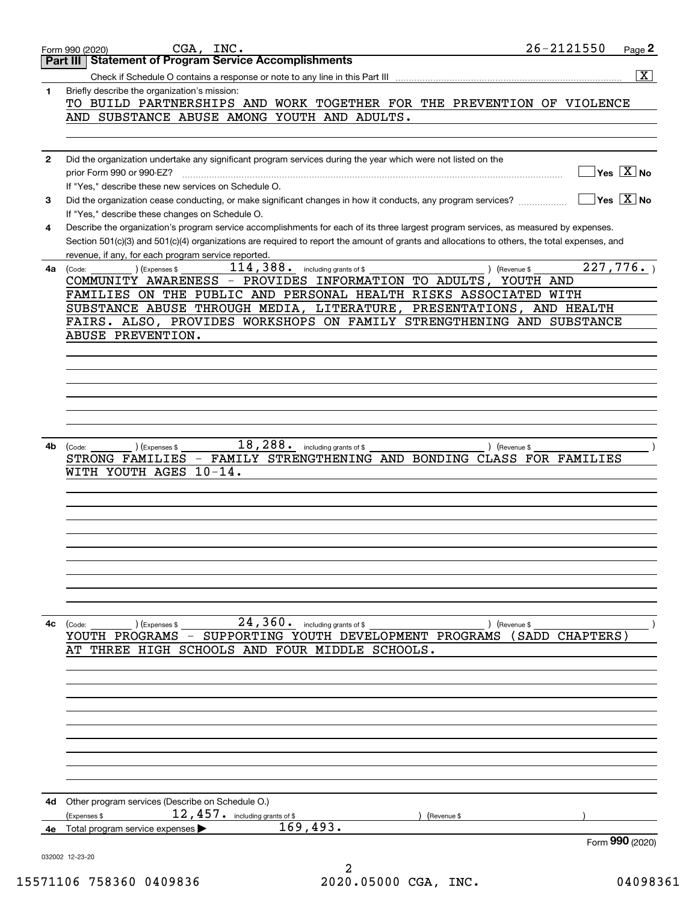|              | CGA, INC.<br>Form 990 (2020)                                                                                                                                         | 26-2121550 | Page 2                                                             |
|--------------|----------------------------------------------------------------------------------------------------------------------------------------------------------------------|------------|--------------------------------------------------------------------|
|              | <b>Statement of Program Service Accomplishments</b><br>Part III                                                                                                      |            |                                                                    |
|              |                                                                                                                                                                      |            | $\overline{\mathtt{x}}$                                            |
| 1            | Briefly describe the organization's mission:<br>TO BUILD PARTNERSHIPS AND WORK TOGETHER FOR THE PREVENTION OF VIOLENCE                                               |            |                                                                    |
|              | AND SUBSTANCE ABUSE AMONG YOUTH AND ADULTS.                                                                                                                          |            |                                                                    |
|              |                                                                                                                                                                      |            |                                                                    |
|              |                                                                                                                                                                      |            |                                                                    |
| $\mathbf{2}$ | Did the organization undertake any significant program services during the year which were not listed on the                                                         |            |                                                                    |
|              | prior Form 990 or 990-EZ?                                                                                                                                            |            | $ {\mathsf Y}{\mathsf e}{\mathsf s} \ \overline{{\mathsf X}}$ No   |
| 3            | If "Yes," describe these new services on Schedule O.<br>Did the organization cease conducting, or make significant changes in how it conducts, any program services? |            | $\overline{\mathsf{Yes} \mathrel{\;\;\overline{\mathbf{X}}\;}}$ No |
|              | If "Yes," describe these changes on Schedule O.                                                                                                                      |            |                                                                    |
| 4            | Describe the organization's program service accomplishments for each of its three largest program services, as measured by expenses.                                 |            |                                                                    |
|              | Section 501(c)(3) and 501(c)(4) organizations are required to report the amount of grants and allocations to others, the total expenses, and                         |            |                                                                    |
|              | revenue, if any, for each program service reported.                                                                                                                  |            |                                                                    |
| 4a           | 114,388.<br>including grants of \$<br>(Expenses \$<br>) (Revenue \$<br>(Code:                                                                                        | 227,776.   |                                                                    |
|              | COMMUNITY AWARENESS - PROVIDES INFORMATION TO ADULTS,<br>FAMILIES ON THE PUBLIC AND PERSONAL HEALTH RISKS ASSOCIATED WITH                                            | YOUTH AND  |                                                                    |
|              | SUBSTANCE ABUSE THROUGH MEDIA, LITERATURE, PRESENTATIONS, AND HEALTH                                                                                                 |            |                                                                    |
|              | FAIRS. ALSO, PROVIDES WORKSHOPS ON FAMILY STRENGTHENING AND SUBSTANCE                                                                                                |            |                                                                    |
|              | ABUSE PREVENTION.                                                                                                                                                    |            |                                                                    |
|              |                                                                                                                                                                      |            |                                                                    |
|              |                                                                                                                                                                      |            |                                                                    |
|              |                                                                                                                                                                      |            |                                                                    |
|              |                                                                                                                                                                      |            |                                                                    |
|              |                                                                                                                                                                      |            |                                                                    |
|              |                                                                                                                                                                      |            |                                                                    |
| 4b           | 18,288.<br>including grants of \$<br>(Expenses \$<br>) (Revenue \$<br>(Code:                                                                                         |            |                                                                    |
|              | - FAMILY STRENGTHENING AND BONDING CLASS FOR FAMILIES<br>STRONG FAMILIES                                                                                             |            |                                                                    |
|              | $10 - 14$ .<br>WITH YOUTH AGES                                                                                                                                       |            |                                                                    |
|              |                                                                                                                                                                      |            |                                                                    |
|              |                                                                                                                                                                      |            |                                                                    |
|              |                                                                                                                                                                      |            |                                                                    |
|              |                                                                                                                                                                      |            |                                                                    |
|              |                                                                                                                                                                      |            |                                                                    |
|              |                                                                                                                                                                      |            |                                                                    |
|              |                                                                                                                                                                      |            |                                                                    |
|              |                                                                                                                                                                      |            |                                                                    |
|              |                                                                                                                                                                      |            |                                                                    |
| 4с           | $24,360$ . including grants of \$<br>(Expenses \$<br>) (Revenue \$<br>(Code:<br>YOUTH PROGRAMS - SUPPORTING YOUTH DEVELOPMENT PROGRAMS (SADD CHAPTERS)               |            |                                                                    |
|              | THREE HIGH SCHOOLS AND FOUR MIDDLE SCHOOLS.<br>AТ                                                                                                                    |            |                                                                    |
|              |                                                                                                                                                                      |            |                                                                    |
|              |                                                                                                                                                                      |            |                                                                    |
|              |                                                                                                                                                                      |            |                                                                    |
|              |                                                                                                                                                                      |            |                                                                    |
|              |                                                                                                                                                                      |            |                                                                    |
|              |                                                                                                                                                                      |            |                                                                    |
|              |                                                                                                                                                                      |            |                                                                    |
|              |                                                                                                                                                                      |            |                                                                    |
|              |                                                                                                                                                                      |            |                                                                    |
| 4d           | Other program services (Describe on Schedule O.)                                                                                                                     |            |                                                                    |
|              | $12$ , $457$ $\cdot$ including grants of \$<br>(Expenses \$<br>Revenue \$                                                                                            |            |                                                                    |
| 4е           | 169, 493.<br>Total program service expenses                                                                                                                          |            |                                                                    |
|              |                                                                                                                                                                      |            | Form 990 (2020)                                                    |
|              | 032002 12-23-20                                                                                                                                                      |            |                                                                    |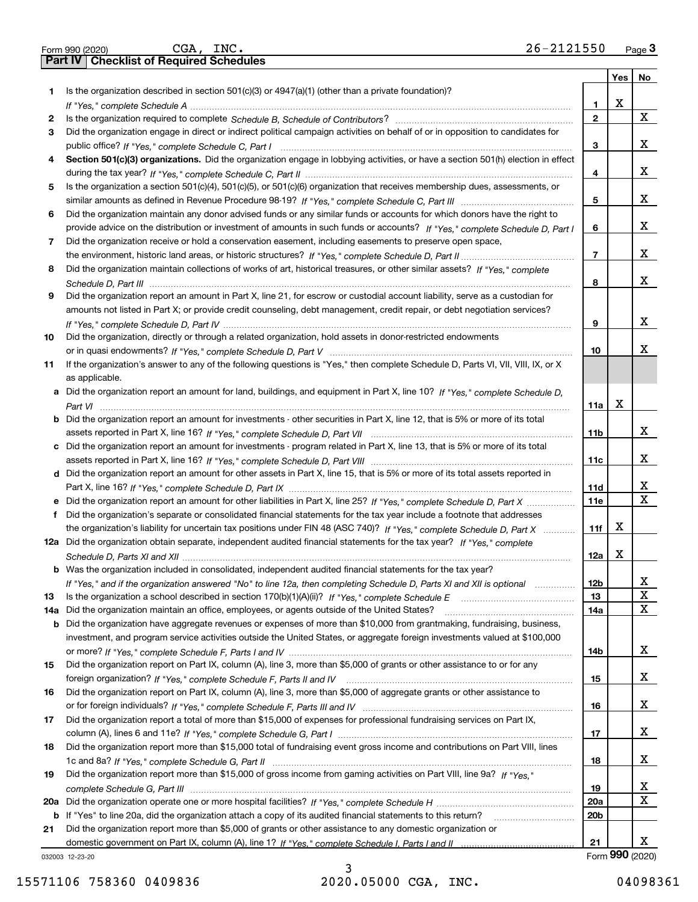|     | $26 - 2121550$<br>CGA, INC.<br>Form 990 (2020)                                                                                        |                 |             | Page $3$                |
|-----|---------------------------------------------------------------------------------------------------------------------------------------|-----------------|-------------|-------------------------|
|     | Part IV   Checklist of Required Schedules                                                                                             |                 |             |                         |
|     |                                                                                                                                       |                 | Yes         | <b>No</b>               |
| 1.  | Is the organization described in section $501(c)(3)$ or $4947(a)(1)$ (other than a private foundation)?                               |                 |             |                         |
|     |                                                                                                                                       | 1.              | $\mathbf X$ |                         |
| 2   |                                                                                                                                       | $\overline{2}$  |             | $\mathbf{X}$            |
| 3   | Did the organization engage in direct or indirect political campaign activities on behalf of or in opposition to candidates for       |                 |             |                         |
|     |                                                                                                                                       | 3               |             | X                       |
|     | Section 501(c)(3) organizations. Did the organization engage in lobbying activities, or have a section 501(h) election in effect      |                 |             |                         |
|     |                                                                                                                                       | 4               |             | X                       |
| 5   | Is the organization a section 501(c)(4), 501(c)(5), or 501(c)(6) organization that receives membership dues, assessments, or          |                 |             |                         |
|     |                                                                                                                                       | 5               |             | X                       |
| 6   | Did the organization maintain any donor advised funds or any similar funds or accounts for which donors have the right to             |                 |             |                         |
|     | provide advice on the distribution or investment of amounts in such funds or accounts? If "Yes," complete Schedule D, Part I          | 6               |             | X                       |
|     |                                                                                                                                       |                 |             |                         |
| 7   | Did the organization receive or hold a conservation easement, including easements to preserve open space,                             | $\overline{7}$  |             | X                       |
|     |                                                                                                                                       |                 |             |                         |
| 8   | Did the organization maintain collections of works of art, historical treasures, or other similar assets? If "Yes," complete          |                 |             |                         |
|     |                                                                                                                                       | 8               |             | X                       |
| 9   | Did the organization report an amount in Part X, line 21, for escrow or custodial account liability, serve as a custodian for         |                 |             |                         |
|     | amounts not listed in Part X; or provide credit counseling, debt management, credit repair, or debt negotiation services?             |                 |             |                         |
|     |                                                                                                                                       | 9               |             | X                       |
| 10  | Did the organization, directly or through a related organization, hold assets in donor-restricted endowments                          |                 |             |                         |
|     |                                                                                                                                       | 10              |             | х                       |
| 11  | If the organization's answer to any of the following questions is "Yes," then complete Schedule D, Parts VI, VII, VIII, IX, or X      |                 |             |                         |
|     | as applicable.                                                                                                                        |                 |             |                         |
|     | a Did the organization report an amount for land, buildings, and equipment in Part X, line 10? If "Yes," complete Schedule D,         |                 |             |                         |
|     |                                                                                                                                       | 11a             | $\mathbf X$ |                         |
|     | <b>b</b> Did the organization report an amount for investments - other securities in Part X, line 12, that is 5% or more of its total |                 |             |                         |
|     |                                                                                                                                       | 11 <sub>b</sub> |             | X                       |
|     | c Did the organization report an amount for investments - program related in Part X, line 13, that is 5% or more of its total         |                 |             |                         |
|     |                                                                                                                                       | 11c             |             | x                       |
|     | d Did the organization report an amount for other assets in Part X, line 15, that is 5% or more of its total assets reported in       |                 |             |                         |
|     |                                                                                                                                       | 11d             |             | X                       |
|     | e Did the organization report an amount for other liabilities in Part X, line 25? If "Yes," complete Schedule D, Part X               | 11e             |             | $\overline{\mathbf{X}}$ |
| f   | Did the organization's separate or consolidated financial statements for the tax year include a footnote that addresses               |                 |             |                         |
|     | the organization's liability for uncertain tax positions under FIN 48 (ASC 740)? If "Yes," complete Schedule D, Part X                | 11f             | X           |                         |
|     | 12a Did the organization obtain separate, independent audited financial statements for the tax year? If "Yes." complete               |                 |             |                         |
|     |                                                                                                                                       | 12a             | X           |                         |
|     | <b>b</b> Was the organization included in consolidated, independent audited financial statements for the tax year?                    |                 |             |                         |
|     |                                                                                                                                       | 12b             |             | X                       |
|     | If "Yes," and if the organization answered "No" to line 12a, then completing Schedule D, Parts XI and XII is optional                 | 13              |             | $\mathbf X$             |
| 13  |                                                                                                                                       |                 |             | X                       |
| 14a | Did the organization maintain an office, employees, or agents outside of the United States?                                           | 14a             |             |                         |
|     | b Did the organization have aggregate revenues or expenses of more than \$10,000 from grantmaking, fundraising, business,             |                 |             |                         |
|     | investment, and program service activities outside the United States, or aggregate foreign investments valued at \$100,000            |                 |             |                         |
|     |                                                                                                                                       | 14b             |             | x                       |
| 15  | Did the organization report on Part IX, column (A), line 3, more than \$5,000 of grants or other assistance to or for any             |                 |             |                         |
|     |                                                                                                                                       | 15              |             | x                       |
| 16  | Did the organization report on Part IX, column (A), line 3, more than \$5,000 of aggregate grants or other assistance to              |                 |             |                         |
|     |                                                                                                                                       | 16              |             | x                       |
| 17  | Did the organization report a total of more than \$15,000 of expenses for professional fundraising services on Part IX,               |                 |             |                         |
|     |                                                                                                                                       | 17              |             | X                       |
| 18  | Did the organization report more than \$15,000 total of fundraising event gross income and contributions on Part VIII, lines          |                 |             |                         |
|     |                                                                                                                                       | 18              |             | X                       |
| 19  | Did the organization report more than \$15,000 of gross income from gaming activities on Part VIII, line 9a? If "Yes."                |                 |             |                         |
|     |                                                                                                                                       | 19              |             | x                       |
|     |                                                                                                                                       | 20a             |             | X                       |
|     | b If "Yes" to line 20a, did the organization attach a copy of its audited financial statements to this return?                        | 20 <sub>b</sub> |             |                         |
| 21  | Did the organization report more than \$5,000 of grants or other assistance to any domestic organization or                           |                 |             |                         |
|     |                                                                                                                                       | 21              |             | x                       |
|     | 032003 12-23-20                                                                                                                       |                 |             | Form 990 (2020)         |

3 15571106 758360 0409836 2020.05000 CGA, INC. 04098361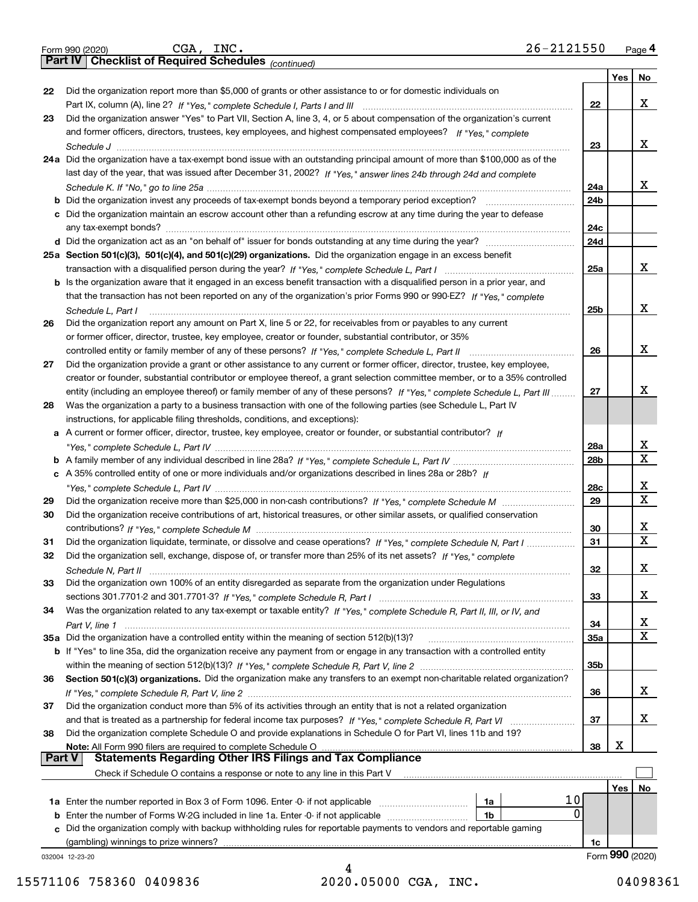|        | 26-2121550<br>CGA, INC.<br>Form 990 (2020)                                                                                   |            |                 | Page 4           |
|--------|------------------------------------------------------------------------------------------------------------------------------|------------|-----------------|------------------|
|        | <b>Part IV Checklist of Required Schedules</b> (continued)                                                                   |            |                 |                  |
|        |                                                                                                                              |            | Yes             | No               |
| 22     | Did the organization report more than \$5,000 of grants or other assistance to or for domestic individuals on                |            |                 |                  |
|        |                                                                                                                              | 22         |                 | х                |
| 23     | Did the organization answer "Yes" to Part VII, Section A, line 3, 4, or 5 about compensation of the organization's current   |            |                 |                  |
|        | and former officers, directors, trustees, key employees, and highest compensated employees? If "Yes," complete               |            |                 |                  |
|        |                                                                                                                              | 23         |                 | x                |
|        | 24a Did the organization have a tax-exempt bond issue with an outstanding principal amount of more than \$100,000 as of the  |            |                 |                  |
|        | last day of the year, that was issued after December 31, 2002? If "Yes," answer lines 24b through 24d and complete           | 24a        |                 | x                |
|        |                                                                                                                              | 24b        |                 |                  |
|        | c Did the organization maintain an escrow account other than a refunding escrow at any time during the year to defease       |            |                 |                  |
|        |                                                                                                                              | 24c        |                 |                  |
|        |                                                                                                                              | 24d        |                 |                  |
|        | 25a Section 501(c)(3), 501(c)(4), and 501(c)(29) organizations. Did the organization engage in an excess benefit             |            |                 |                  |
|        |                                                                                                                              | 25a        |                 | x                |
|        | b Is the organization aware that it engaged in an excess benefit transaction with a disqualified person in a prior year, and |            |                 |                  |
|        | that the transaction has not been reported on any of the organization's prior Forms 990 or 990-EZ? If "Yes," complete        |            |                 |                  |
|        | Schedule L, Part I                                                                                                           | 25b        |                 | х                |
| 26     | Did the organization report any amount on Part X, line 5 or 22, for receivables from or payables to any current              |            |                 |                  |
|        | or former officer, director, trustee, key employee, creator or founder, substantial contributor, or 35%                      |            |                 |                  |
|        |                                                                                                                              | 26         |                 | x                |
| 27     | Did the organization provide a grant or other assistance to any current or former officer, director, trustee, key employee,  |            |                 |                  |
|        | creator or founder, substantial contributor or employee thereof, a grant selection committee member, or to a 35% controlled  |            |                 |                  |
|        | entity (including an employee thereof) or family member of any of these persons? If "Yes," complete Schedule L, Part III     | 27         |                 | x                |
| 28     | Was the organization a party to a business transaction with one of the following parties (see Schedule L, Part IV            |            |                 |                  |
|        | instructions, for applicable filing thresholds, conditions, and exceptions):                                                 |            |                 |                  |
|        | a A current or former officer, director, trustee, key employee, creator or founder, or substantial contributor? If           |            |                 |                  |
|        |                                                                                                                              | 28a        |                 | X<br>$\mathbf X$ |
|        | c A 35% controlled entity of one or more individuals and/or organizations described in lines 28a or 28b? If                  | 28b        |                 |                  |
|        |                                                                                                                              | 28c        |                 | X                |
| 29     |                                                                                                                              | 29         |                 | х                |
| 30     | Did the organization receive contributions of art, historical treasures, or other similar assets, or qualified conservation  |            |                 |                  |
|        |                                                                                                                              | 30         |                 | X                |
| 31     | Did the organization liquidate, terminate, or dissolve and cease operations? If "Yes," complete Schedule N, Part I           | 31         |                 | $\mathbf X$      |
|        | Did the organization sell, exchange, dispose of, or transfer more than 25% of its net assets? If "Yes," complete             |            |                 |                  |
|        |                                                                                                                              | 32         |                 | x                |
| 33     | Did the organization own 100% of an entity disregarded as separate from the organization under Regulations                   |            |                 |                  |
|        |                                                                                                                              | 33         |                 | х                |
| 34     | Was the organization related to any tax-exempt or taxable entity? If "Yes," complete Schedule R, Part II, III, or IV, and    |            |                 |                  |
|        |                                                                                                                              | 34         |                 | X<br>$\mathbf X$ |
|        | 35a Did the organization have a controlled entity within the meaning of section 512(b)(13)?                                  | <b>35a</b> |                 |                  |
|        | b If "Yes" to line 35a, did the organization receive any payment from or engage in any transaction with a controlled entity  |            |                 |                  |
|        | Section 501(c)(3) organizations. Did the organization make any transfers to an exempt non-charitable related organization?   | 35b        |                 |                  |
| 36     |                                                                                                                              | 36         |                 | x                |
| 37     | Did the organization conduct more than 5% of its activities through an entity that is not a related organization             |            |                 |                  |
|        |                                                                                                                              | 37         |                 | х                |
| 38     | Did the organization complete Schedule O and provide explanations in Schedule O for Part VI, lines 11b and 19?               |            |                 |                  |
|        | Note: All Form 990 filers are required to complete Schedule O                                                                | 38         | х               |                  |
| Part V | <b>Statements Regarding Other IRS Filings and Tax Compliance</b>                                                             |            |                 |                  |
|        | Check if Schedule O contains a response or note to any line in this Part V                                                   |            |                 |                  |
|        |                                                                                                                              |            | Yes             | No               |
|        | 10<br>1a                                                                                                                     |            |                 |                  |
|        | <b>b</b> Enter the number of Forms W-2G included in line 1a. Enter -0- if not applicable <i>manumumumum</i><br>1b            | 0          |                 |                  |
|        | c Did the organization comply with backup withholding rules for reportable payments to vendors and reportable gaming         |            |                 |                  |
|        |                                                                                                                              | 1c         |                 |                  |
|        | 032004 12-23-20                                                                                                              |            | Form 990 (2020) |                  |

4 15571106 758360 0409836 2020.05000 CGA, INC. 04098361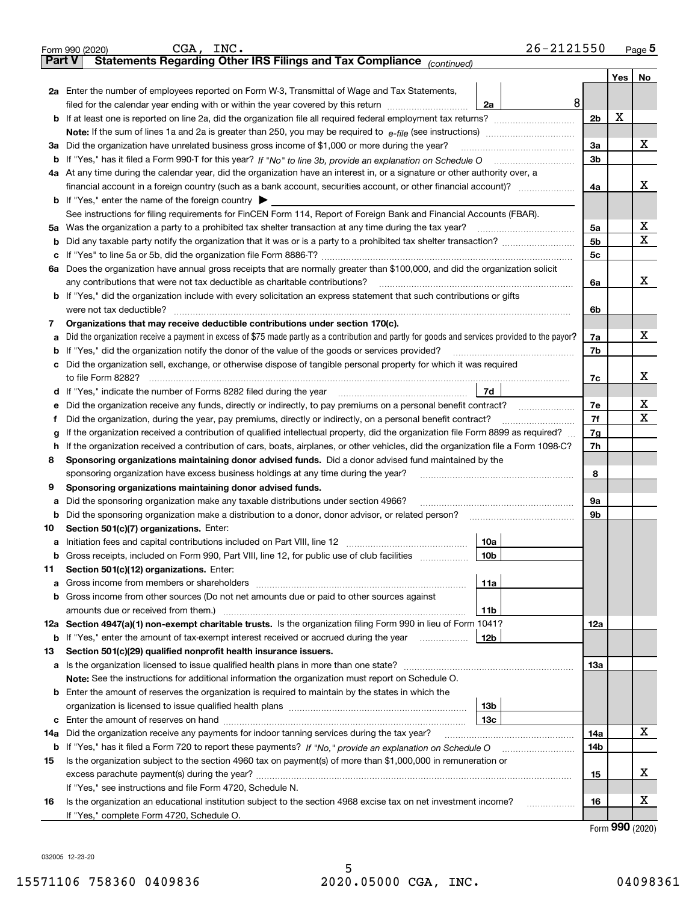|               | 26-2121550<br>CGA, INC.<br>Form 990 (2020)                                                                                                                                                |                |         | <u>Page</u> 5 |
|---------------|-------------------------------------------------------------------------------------------------------------------------------------------------------------------------------------------|----------------|---------|---------------|
| <b>Part V</b> | Statements Regarding Other IRS Filings and Tax Compliance (continued)                                                                                                                     |                |         |               |
|               |                                                                                                                                                                                           |                | Yes $ $ | No            |
|               | 2a Enter the number of employees reported on Form W-3, Transmittal of Wage and Tax Statements,                                                                                            |                |         |               |
|               | 8<br>filed for the calendar year ending with or within the year covered by this return [111] [11] filed for the calendar year ending with or within the year covered by this return<br>2a | 2 <sub>b</sub> | X       |               |
|               |                                                                                                                                                                                           |                |         |               |
|               |                                                                                                                                                                                           |                |         |               |
|               | 3a Did the organization have unrelated business gross income of \$1,000 or more during the year?                                                                                          |                |         | х             |
|               |                                                                                                                                                                                           | 3b             |         |               |
|               | 4a At any time during the calendar year, did the organization have an interest in, or a signature or other authority over, a                                                              |                |         |               |
|               |                                                                                                                                                                                           | 4a             |         | х             |
|               | <b>b</b> If "Yes," enter the name of the foreign country $\blacktriangleright$                                                                                                            |                |         |               |
|               | See instructions for filing requirements for FinCEN Form 114, Report of Foreign Bank and Financial Accounts (FBAR).                                                                       |                |         |               |
|               | 5a Was the organization a party to a prohibited tax shelter transaction at any time during the tax year?                                                                                  | 5a             |         | X             |
| b             |                                                                                                                                                                                           | 5 <sub>b</sub> |         | х             |
|               |                                                                                                                                                                                           | 5c             |         |               |
|               | 6a Does the organization have annual gross receipts that are normally greater than \$100,000, and did the organization solicit                                                            |                |         |               |
|               |                                                                                                                                                                                           | 6a             |         | х             |
|               | <b>b</b> If "Yes," did the organization include with every solicitation an express statement that such contributions or gifts                                                             |                |         |               |
|               | were not tax deductible?                                                                                                                                                                  | 6b             |         |               |
| 7             | Organizations that may receive deductible contributions under section 170(c).                                                                                                             |                |         |               |
| а             | Did the organization receive a payment in excess of \$75 made partly as a contribution and partly for goods and services provided to the payor?                                           | 7a             |         | х             |
|               | <b>b</b> If "Yes," did the organization notify the donor of the value of the goods or services provided?                                                                                  | 7b             |         |               |
|               | c Did the organization sell, exchange, or otherwise dispose of tangible personal property for which it was required                                                                       |                |         |               |
|               |                                                                                                                                                                                           | 7с             |         | х             |
|               | 7d                                                                                                                                                                                        |                |         |               |
| е             | Did the organization receive any funds, directly or indirectly, to pay premiums on a personal benefit contract?                                                                           | 7e             |         | х<br>x        |
| f             | Did the organization, during the year, pay premiums, directly or indirectly, on a personal benefit contract?                                                                              | 7f             |         |               |
| g             | If the organization received a contribution of qualified intellectual property, did the organization file Form 8899 as required?                                                          | 7g             |         |               |
| h.            | If the organization received a contribution of cars, boats, airplanes, or other vehicles, did the organization file a Form 1098-C?                                                        | 7h             |         |               |
| 8             | Sponsoring organizations maintaining donor advised funds. Did a donor advised fund maintained by the                                                                                      |                |         |               |
|               | sponsoring organization have excess business holdings at any time during the year?                                                                                                        | 8              |         |               |
| 9             | Sponsoring organizations maintaining donor advised funds.                                                                                                                                 |                |         |               |
| а             | Did the sponsoring organization make any taxable distributions under section 4966?                                                                                                        | 9а             |         |               |
|               | <b>b</b> Did the sponsoring organization make a distribution to a donor, donor advisor, or related person?                                                                                | 9b             |         |               |
| 10            | Section 501(c)(7) organizations. Enter:                                                                                                                                                   |                |         |               |
|               | 10a<br> 10b <br>Gross receipts, included on Form 990, Part VIII, line 12, for public use of club facilities                                                                               |                |         |               |
|               |                                                                                                                                                                                           |                |         |               |
| 11            | Section 501(c)(12) organizations. Enter:<br>11a                                                                                                                                           |                |         |               |
|               | b Gross income from other sources (Do not net amounts due or paid to other sources against                                                                                                |                |         |               |
|               | 11b                                                                                                                                                                                       |                |         |               |
|               | 12a Section 4947(a)(1) non-exempt charitable trusts. Is the organization filing Form 990 in lieu of Form 1041?                                                                            | 12a            |         |               |
|               | 12b<br><b>b</b> If "Yes," enter the amount of tax-exempt interest received or accrued during the year <i>manument</i>                                                                     |                |         |               |
| 13            | Section 501(c)(29) qualified nonprofit health insurance issuers.                                                                                                                          |                |         |               |
|               | a Is the organization licensed to issue qualified health plans in more than one state?                                                                                                    | 13а            |         |               |
|               | Note: See the instructions for additional information the organization must report on Schedule O.                                                                                         |                |         |               |
|               | <b>b</b> Enter the amount of reserves the organization is required to maintain by the states in which the                                                                                 |                |         |               |
|               | 13b                                                                                                                                                                                       |                |         |               |
|               | 13с                                                                                                                                                                                       |                |         |               |
| 14a           | Did the organization receive any payments for indoor tanning services during the tax year?                                                                                                | 14a            |         | x             |
|               | <b>b</b> If "Yes," has it filed a Form 720 to report these payments? If "No," provide an explanation on Schedule O                                                                        | 14b            |         |               |
| 15            | Is the organization subject to the section 4960 tax on payment(s) of more than \$1,000,000 in remuneration or                                                                             |                |         |               |
|               | 15                                                                                                                                                                                        |                |         | x             |
|               | If "Yes," see instructions and file Form 4720, Schedule N.                                                                                                                                |                |         |               |
| 16            | Is the organization an educational institution subject to the section 4968 excise tax on net investment income?                                                                           | 16             |         | х             |
|               | If "Yes," complete Form 4720, Schedule O.                                                                                                                                                 |                |         |               |
|               |                                                                                                                                                                                           |                |         |               |

Form (2020) **990**

032005 12-23-20

| rm 990 (2020) |        |
|---------------|--------|
| art V         | Stater |

| orm 990 (2020)                            |         |
|-------------------------------------------|---------|
| $\sim$ $\sim$ $\sim$ $\sim$ $\sim$ $\sim$ | <b></b> |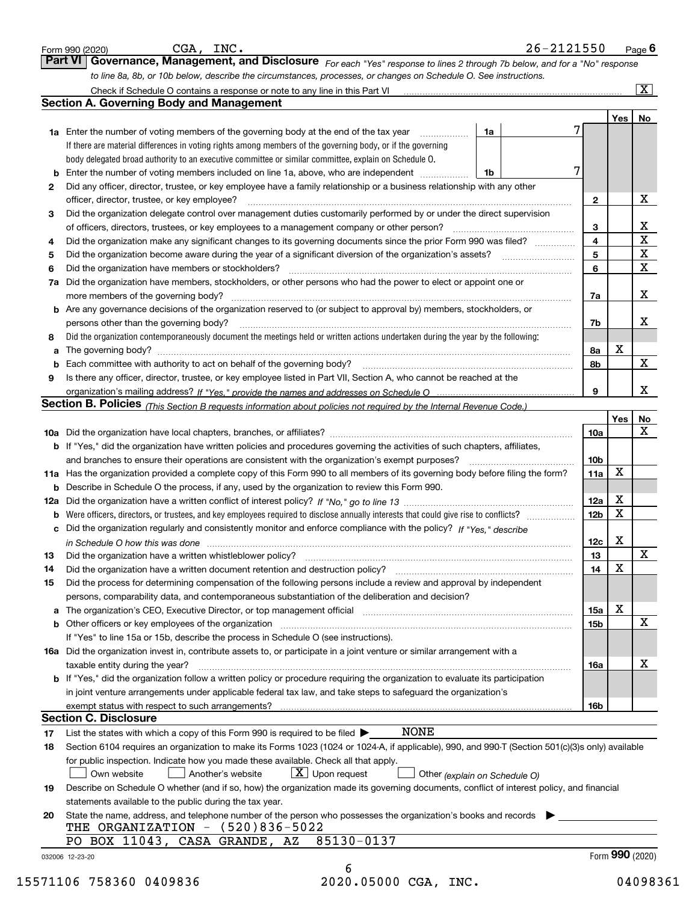|          | Governance, Management, and Disclosure For each "Yes" response to lines 2 through 7b below, and for a "No" response<br>to line 8a, 8b, or 10b below, describe the circumstances, processes, or changes on Schedule O. See instructions.                                                                                                                                                                                                                                                                                          |                 |                   |                             |
|----------|----------------------------------------------------------------------------------------------------------------------------------------------------------------------------------------------------------------------------------------------------------------------------------------------------------------------------------------------------------------------------------------------------------------------------------------------------------------------------------------------------------------------------------|-----------------|-------------------|-----------------------------|
|          |                                                                                                                                                                                                                                                                                                                                                                                                                                                                                                                                  |                 |                   | $\boxed{\text{X}}$          |
|          | <b>Section A. Governing Body and Management</b>                                                                                                                                                                                                                                                                                                                                                                                                                                                                                  |                 |                   |                             |
|          |                                                                                                                                                                                                                                                                                                                                                                                                                                                                                                                                  |                 | Yes               | No                          |
|          | 1a Enter the number of voting members of the governing body at the end of the tax year<br>1a                                                                                                                                                                                                                                                                                                                                                                                                                                     |                 |                   |                             |
|          | If there are material differences in voting rights among members of the governing body, or if the governing                                                                                                                                                                                                                                                                                                                                                                                                                      |                 |                   |                             |
|          | body delegated broad authority to an executive committee or similar committee, explain on Schedule O.                                                                                                                                                                                                                                                                                                                                                                                                                            |                 |                   |                             |
| b        | 7<br>Enter the number of voting members included on line 1a, above, who are independent <i>manumum</i><br>1b                                                                                                                                                                                                                                                                                                                                                                                                                     |                 |                   |                             |
| 2        | Did any officer, director, trustee, or key employee have a family relationship or a business relationship with any other                                                                                                                                                                                                                                                                                                                                                                                                         |                 |                   |                             |
|          | officer, director, trustee, or key employee?                                                                                                                                                                                                                                                                                                                                                                                                                                                                                     | $\mathbf{2}$    |                   | X                           |
| З        | Did the organization delegate control over management duties customarily performed by or under the direct supervision                                                                                                                                                                                                                                                                                                                                                                                                            |                 |                   |                             |
|          | of officers, directors, trustees, or key employees to a management company or other person?                                                                                                                                                                                                                                                                                                                                                                                                                                      | 3               |                   |                             |
| 4        | Did the organization make any significant changes to its governing documents since the prior Form 990 was filed?                                                                                                                                                                                                                                                                                                                                                                                                                 | 4               |                   | $\frac{\text{X}}{\text{X}}$ |
| 5        |                                                                                                                                                                                                                                                                                                                                                                                                                                                                                                                                  | 5               |                   | $\mathbf X$                 |
| 6        | Did the organization have members or stockholders?                                                                                                                                                                                                                                                                                                                                                                                                                                                                               | 6               |                   | $\mathbf{x}$                |
| 7a       | Did the organization have members, stockholders, or other persons who had the power to elect or appoint one or                                                                                                                                                                                                                                                                                                                                                                                                                   |                 |                   |                             |
|          | more members of the governing body?                                                                                                                                                                                                                                                                                                                                                                                                                                                                                              | 7a              |                   | х                           |
|          | <b>b</b> Are any governance decisions of the organization reserved to (or subject to approval by) members, stockholders, or                                                                                                                                                                                                                                                                                                                                                                                                      |                 |                   |                             |
|          | persons other than the governing body?                                                                                                                                                                                                                                                                                                                                                                                                                                                                                           | 7b              |                   | X                           |
| 8        | Did the organization contemporaneously document the meetings held or written actions undertaken during the year by the following:                                                                                                                                                                                                                                                                                                                                                                                                |                 |                   |                             |
| a        |                                                                                                                                                                                                                                                                                                                                                                                                                                                                                                                                  | 8а              | Х                 |                             |
| b        | Each committee with authority to act on behalf of the governing body?<br>$\begin{minipage}{0.5\textwidth} \begin{tabular}{ l l l } \hline & \multicolumn{1}{ l l } \hline & \multicolumn{1}{ l l } \hline \multicolumn{1}{ l } \hline \multicolumn{1}{ l } \hline \multicolumn{1}{ l } \hline \multicolumn{1}{ l } \hline \multicolumn{1}{ l } \hline \multicolumn{1}{ l } \hline \multicolumn{1}{ l } \hline \multicolumn{1}{ l } \hline \multicolumn{1}{ l } \hline \multicolumn{1}{ l } \hline \multicolumn{1}{ l } \hline \$ | 8b              |                   | $\mathbf{x}$                |
| 9        | Is there any officer, director, trustee, or key employee listed in Part VII, Section A, who cannot be reached at the                                                                                                                                                                                                                                                                                                                                                                                                             |                 |                   |                             |
|          |                                                                                                                                                                                                                                                                                                                                                                                                                                                                                                                                  | 9               |                   | x                           |
|          | Section B. Policies (This Section B requests information about policies not required by the Internal Revenue Code.)                                                                                                                                                                                                                                                                                                                                                                                                              |                 |                   |                             |
|          |                                                                                                                                                                                                                                                                                                                                                                                                                                                                                                                                  |                 | Yes               | No                          |
|          |                                                                                                                                                                                                                                                                                                                                                                                                                                                                                                                                  | 10a             |                   | X                           |
|          | <b>b</b> If "Yes," did the organization have written policies and procedures governing the activities of such chapters, affiliates,                                                                                                                                                                                                                                                                                                                                                                                              |                 |                   |                             |
|          |                                                                                                                                                                                                                                                                                                                                                                                                                                                                                                                                  | 10 <sub>b</sub> |                   |                             |
|          | and branches to ensure their operations are consistent with the organization's exempt purposes?                                                                                                                                                                                                                                                                                                                                                                                                                                  | 11a             | X                 |                             |
|          | 11a Has the organization provided a complete copy of this Form 990 to all members of its governing body before filing the form?                                                                                                                                                                                                                                                                                                                                                                                                  |                 |                   |                             |
|          | <b>b</b> Describe in Schedule O the process, if any, used by the organization to review this Form 990.                                                                                                                                                                                                                                                                                                                                                                                                                           |                 | Х                 |                             |
|          |                                                                                                                                                                                                                                                                                                                                                                                                                                                                                                                                  | <b>12a</b>      | X                 |                             |
| b        |                                                                                                                                                                                                                                                                                                                                                                                                                                                                                                                                  | 12 <sub>b</sub> |                   |                             |
| с        | Did the organization regularly and consistently monitor and enforce compliance with the policy? If "Yes." describe                                                                                                                                                                                                                                                                                                                                                                                                               |                 | х                 |                             |
|          | in Schedule O how this was done manufactured and contain an according to the way to the state of the state of                                                                                                                                                                                                                                                                                                                                                                                                                    | 12c             |                   |                             |
| 13       | Did the organization have a written whistleblower policy?                                                                                                                                                                                                                                                                                                                                                                                                                                                                        | 13              | х                 | x                           |
| 14       | Did the organization have a written document retention and destruction policy? [11] manufaction policy?                                                                                                                                                                                                                                                                                                                                                                                                                          | 14              |                   |                             |
| 15       | Did the process for determining compensation of the following persons include a review and approval by independent                                                                                                                                                                                                                                                                                                                                                                                                               |                 |                   |                             |
|          | persons, comparability data, and contemporaneous substantiation of the deliberation and decision?                                                                                                                                                                                                                                                                                                                                                                                                                                |                 |                   |                             |
| a        |                                                                                                                                                                                                                                                                                                                                                                                                                                                                                                                                  | 15a             | Х                 |                             |
| b        |                                                                                                                                                                                                                                                                                                                                                                                                                                                                                                                                  | 15b             |                   | X                           |
|          | If "Yes" to line 15a or 15b, describe the process in Schedule O (see instructions).                                                                                                                                                                                                                                                                                                                                                                                                                                              |                 |                   |                             |
|          | 16a Did the organization invest in, contribute assets to, or participate in a joint venture or similar arrangement with a                                                                                                                                                                                                                                                                                                                                                                                                        |                 |                   |                             |
|          | taxable entity during the year?                                                                                                                                                                                                                                                                                                                                                                                                                                                                                                  | 16a             |                   | Х                           |
|          | <b>b</b> If "Yes," did the organization follow a written policy or procedure requiring the organization to evaluate its participation                                                                                                                                                                                                                                                                                                                                                                                            |                 |                   |                             |
|          | in joint venture arrangements under applicable federal tax law, and take steps to safeguard the organization's                                                                                                                                                                                                                                                                                                                                                                                                                   |                 |                   |                             |
|          |                                                                                                                                                                                                                                                                                                                                                                                                                                                                                                                                  | 16b             |                   |                             |
|          | <b>Section C. Disclosure</b>                                                                                                                                                                                                                                                                                                                                                                                                                                                                                                     |                 |                   |                             |
|          | <b>NONE</b><br>List the states with which a copy of this Form 990 is required to be filed $\blacktriangleright$                                                                                                                                                                                                                                                                                                                                                                                                                  |                 |                   |                             |
|          |                                                                                                                                                                                                                                                                                                                                                                                                                                                                                                                                  |                 |                   |                             |
|          | Section 6104 requires an organization to make its Forms 1023 (1024 or 1024-A, if applicable), 990, and 990-T (Section 501(c)(3)s only) available                                                                                                                                                                                                                                                                                                                                                                                 |                 |                   |                             |
|          | for public inspection. Indicate how you made these available. Check all that apply.                                                                                                                                                                                                                                                                                                                                                                                                                                              |                 |                   |                             |
| 17<br>18 | $X$ Upon request<br>Own website<br>Another's website<br>Other (explain on Schedule O)                                                                                                                                                                                                                                                                                                                                                                                                                                            |                 |                   |                             |
|          | Describe on Schedule O whether (and if so, how) the organization made its governing documents, conflict of interest policy, and financial                                                                                                                                                                                                                                                                                                                                                                                        |                 |                   |                             |
| 19       | statements available to the public during the tax year.                                                                                                                                                                                                                                                                                                                                                                                                                                                                          |                 |                   |                             |
| 20       | State the name, address, and telephone number of the person who possesses the organization's books and records                                                                                                                                                                                                                                                                                                                                                                                                                   |                 |                   |                             |
|          | THE ORGANIZATION - (520)836-5022                                                                                                                                                                                                                                                                                                                                                                                                                                                                                                 |                 |                   |                             |
|          | 85130-0137<br>PO BOX 11043, CASA GRANDE, AZ                                                                                                                                                                                                                                                                                                                                                                                                                                                                                      |                 | Form $990$ (2020) |                             |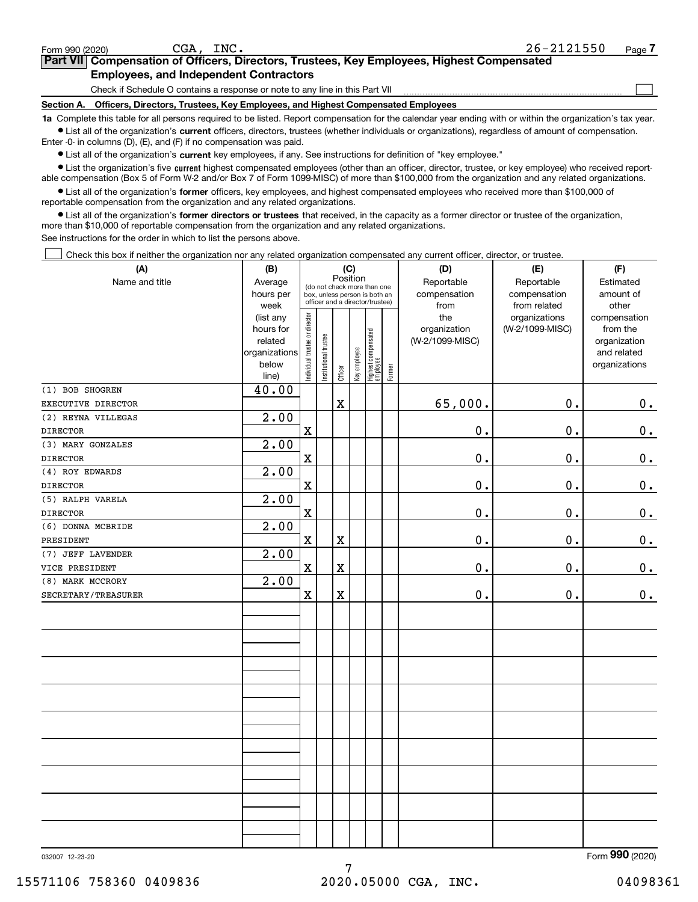$\mathcal{L}^{\text{max}}$ 

| orm 990 (2020) <sup>.</sup> | CGA.                                          | INC. | 26-2121550                                                                                 | Page / |
|-----------------------------|-----------------------------------------------|------|--------------------------------------------------------------------------------------------|--------|
|                             |                                               |      | Part VII Compensation of Officers, Directors, Trustees, Key Employees, Highest Compensated |        |
|                             | <b>Employees, and Independent Contractors</b> |      |                                                                                            |        |

Check if Schedule O contains a response or note to any line in this Part VII

**Section A. Officers, Directors, Trustees, Key Employees, and Highest Compensated Employees**

**1a**  Complete this table for all persons required to be listed. Report compensation for the calendar year ending with or within the organization's tax year. **•** List all of the organization's current officers, directors, trustees (whether individuals or organizations), regardless of amount of compensation.

Enter -0- in columns (D), (E), and (F) if no compensation was paid.

 $\bullet$  List all of the organization's  $\,$ current key employees, if any. See instructions for definition of "key employee."

**•** List the organization's five current highest compensated employees (other than an officer, director, trustee, or key employee) who received reportable compensation (Box 5 of Form W-2 and/or Box 7 of Form 1099-MISC) of more than \$100,000 from the organization and any related organizations.

**•** List all of the organization's former officers, key employees, and highest compensated employees who received more than \$100,000 of reportable compensation from the organization and any related organizations.

**former directors or trustees**  ¥ List all of the organization's that received, in the capacity as a former director or trustee of the organization, more than \$10,000 of reportable compensation from the organization and any related organizations.

See instructions for the order in which to list the persons above.

Check this box if neither the organization nor any related organization compensated any current officer, director, or trustee.  $\mathcal{L}^{\text{max}}$ 

| (A)                 | (B)               | (C)                                     |                                                                  | (D)                     | (E)          | (F)                              |           |                 |                               |                          |  |
|---------------------|-------------------|-----------------------------------------|------------------------------------------------------------------|-------------------------|--------------|----------------------------------|-----------|-----------------|-------------------------------|--------------------------|--|
| Name and title      | Average           | Position<br>(do not check more than one |                                                                  | Reportable              | Reportable   | Estimated                        |           |                 |                               |                          |  |
|                     | hours per         |                                         | box, unless person is both an<br>officer and a director/trustee) |                         | compensation | compensation                     | amount of |                 |                               |                          |  |
|                     | week<br>(list any |                                         |                                                                  |                         |              |                                  |           | from<br>the     | from related<br>organizations | other                    |  |
|                     | hours for         |                                         |                                                                  |                         |              |                                  |           | organization    | (W-2/1099-MISC)               | compensation<br>from the |  |
|                     | related           |                                         |                                                                  |                         |              |                                  |           | (W-2/1099-MISC) |                               | organization             |  |
|                     | organizations     |                                         |                                                                  |                         |              |                                  |           |                 |                               | and related              |  |
|                     | below             | ndividual trustee or director           | Institutional trustee                                            |                         | Key employee |                                  |           |                 |                               | organizations            |  |
|                     | line)             |                                         |                                                                  | Officer                 |              | Highest compensated<br> employee | Former    |                 |                               |                          |  |
| (1) BOB SHOGREN     | 40.00             |                                         |                                                                  |                         |              |                                  |           |                 |                               |                          |  |
| EXECUTIVE DIRECTOR  |                   |                                         |                                                                  | $\mathbf X$             |              |                                  |           | 65,000.         | 0.                            | 0.                       |  |
| (2) REYNA VILLEGAS  | 2.00              |                                         |                                                                  |                         |              |                                  |           |                 |                               |                          |  |
| <b>DIRECTOR</b>     |                   | $\mathbf X$                             |                                                                  |                         |              |                                  |           | 0.              | 0.                            | $\mathbf 0$ .            |  |
| (3) MARY GONZALES   | 2.00              |                                         |                                                                  |                         |              |                                  |           |                 |                               |                          |  |
| <b>DIRECTOR</b>     |                   | $\mathbf X$                             |                                                                  |                         |              |                                  |           | $\mathbf 0$ .   | 0.                            | $0_{.}$                  |  |
| (4) ROY EDWARDS     | 2.00              |                                         |                                                                  |                         |              |                                  |           |                 |                               |                          |  |
| <b>DIRECTOR</b>     |                   | $\mathbf X$                             |                                                                  |                         |              |                                  |           | 0.              | 0.                            | 0.                       |  |
| (5) RALPH VARELA    | 2.00              |                                         |                                                                  |                         |              |                                  |           |                 |                               |                          |  |
| <b>DIRECTOR</b>     |                   | $\mathbf X$                             |                                                                  |                         |              |                                  |           | 0.              | 0.                            | 0.                       |  |
| (6) DONNA MCBRIDE   | 2.00              |                                         |                                                                  |                         |              |                                  |           |                 |                               |                          |  |
| PRESIDENT           |                   | $\mathbf X$                             |                                                                  | $\overline{\textbf{X}}$ |              |                                  |           | 0.              | 0.                            | $\mathbf 0$ .            |  |
| (7) JEFF LAVENDER   | 2.00              |                                         |                                                                  |                         |              |                                  |           |                 |                               |                          |  |
| VICE PRESIDENT      |                   | $\mathbf X$                             |                                                                  | $\mathbf X$             |              |                                  |           | $\mathbf 0$ .   | 0.                            | $\mathbf 0$ .            |  |
| (8) MARK MCCRORY    | 2.00              |                                         |                                                                  |                         |              |                                  |           |                 |                               |                          |  |
| SECRETARY/TREASURER |                   | $\mathbf X$                             |                                                                  | $\overline{\textbf{X}}$ |              |                                  |           | $\mathbf 0$ .   | 0.                            | $\mathbf 0$ .            |  |
|                     |                   |                                         |                                                                  |                         |              |                                  |           |                 |                               |                          |  |
|                     |                   |                                         |                                                                  |                         |              |                                  |           |                 |                               |                          |  |
|                     |                   |                                         |                                                                  |                         |              |                                  |           |                 |                               |                          |  |
|                     |                   |                                         |                                                                  |                         |              |                                  |           |                 |                               |                          |  |
|                     |                   |                                         |                                                                  |                         |              |                                  |           |                 |                               |                          |  |
|                     |                   |                                         |                                                                  |                         |              |                                  |           |                 |                               |                          |  |
|                     |                   |                                         |                                                                  |                         |              |                                  |           |                 |                               |                          |  |
|                     |                   |                                         |                                                                  |                         |              |                                  |           |                 |                               |                          |  |
|                     |                   |                                         |                                                                  |                         |              |                                  |           |                 |                               |                          |  |
|                     |                   |                                         |                                                                  |                         |              |                                  |           |                 |                               |                          |  |
|                     |                   |                                         |                                                                  |                         |              |                                  |           |                 |                               |                          |  |
|                     |                   |                                         |                                                                  |                         |              |                                  |           |                 |                               |                          |  |
|                     |                   |                                         |                                                                  |                         |              |                                  |           |                 |                               |                          |  |
|                     |                   |                                         |                                                                  |                         |              |                                  |           |                 |                               |                          |  |
|                     |                   |                                         |                                                                  |                         |              |                                  |           |                 |                               |                          |  |
|                     |                   |                                         |                                                                  |                         |              |                                  |           |                 |                               |                          |  |
|                     |                   |                                         |                                                                  |                         |              |                                  |           |                 |                               |                          |  |
|                     |                   |                                         |                                                                  |                         |              |                                  |           |                 |                               |                          |  |
|                     |                   |                                         |                                                                  |                         |              |                                  |           |                 |                               |                          |  |

032007 12-23-20

Form (2020) **990**

7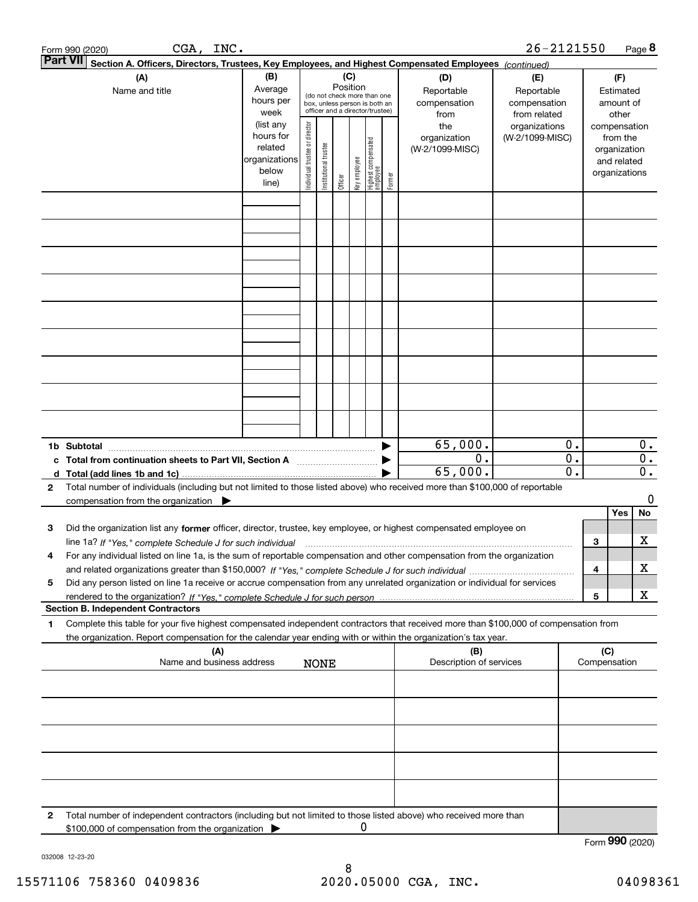|   | CGA, INC.<br>Form 990 (2020)                                                                                                                    |                          |                                |                       |          |              |                                 |        |                         | 26-2121550      |    |                 |               | Page 8 |
|---|-------------------------------------------------------------------------------------------------------------------------------------------------|--------------------------|--------------------------------|-----------------------|----------|--------------|---------------------------------|--------|-------------------------|-----------------|----|-----------------|---------------|--------|
|   | <b>Part VII</b><br>Section A. Officers, Directors, Trustees, Key Employees, and Highest Compensated Employees (continued)                       |                          |                                |                       |          |              |                                 |        |                         |                 |    |                 |               |        |
|   | (A)                                                                                                                                             | (B)                      |                                |                       | (C)      |              |                                 |        | (D)                     | (E)             |    |                 | (F)           |        |
|   | Name and title                                                                                                                                  | Average                  |                                |                       | Position |              | (do not check more than one     |        | Reportable              | Reportable      |    |                 | Estimated     |        |
|   |                                                                                                                                                 | hours per                |                                |                       |          |              | box, unless person is both an   |        | compensation            | compensation    |    |                 | amount of     |        |
|   |                                                                                                                                                 | week                     |                                |                       |          |              | officer and a director/trustee) |        | from                    | from related    |    |                 | other         |        |
|   |                                                                                                                                                 | (list any                |                                |                       |          |              |                                 |        | the                     | organizations   |    |                 | compensation  |        |
|   |                                                                                                                                                 | hours for                |                                |                       |          |              |                                 |        | organization            | (W-2/1099-MISC) |    |                 | from the      |        |
|   |                                                                                                                                                 | related<br>organizations |                                |                       |          |              |                                 |        | (W-2/1099-MISC)         |                 |    |                 | organization  |        |
|   |                                                                                                                                                 | below                    |                                |                       |          |              |                                 |        |                         |                 |    |                 | and related   |        |
|   |                                                                                                                                                 | line)                    | Individual trustee or director | Institutional trustee | Officer  | Key employee | Highest compensated<br>employee | Former |                         |                 |    |                 | organizations |        |
|   |                                                                                                                                                 |                          |                                |                       |          |              |                                 |        |                         |                 |    |                 |               |        |
|   |                                                                                                                                                 |                          |                                |                       |          |              |                                 |        |                         |                 |    |                 |               |        |
|   |                                                                                                                                                 |                          |                                |                       |          |              |                                 |        |                         |                 |    |                 |               |        |
|   |                                                                                                                                                 |                          |                                |                       |          |              |                                 |        |                         |                 |    |                 |               |        |
|   |                                                                                                                                                 |                          |                                |                       |          |              |                                 |        |                         |                 |    |                 |               |        |
|   |                                                                                                                                                 |                          |                                |                       |          |              |                                 |        |                         |                 |    |                 |               |        |
|   |                                                                                                                                                 |                          |                                |                       |          |              |                                 |        |                         |                 |    |                 |               |        |
|   |                                                                                                                                                 |                          |                                |                       |          |              |                                 |        |                         |                 |    |                 |               |        |
|   |                                                                                                                                                 |                          |                                |                       |          |              |                                 |        |                         |                 |    |                 |               |        |
|   |                                                                                                                                                 |                          |                                |                       |          |              |                                 |        |                         |                 |    |                 |               |        |
|   |                                                                                                                                                 |                          |                                |                       |          |              |                                 |        |                         |                 |    |                 |               |        |
|   |                                                                                                                                                 |                          |                                |                       |          |              |                                 |        |                         |                 |    |                 |               |        |
|   |                                                                                                                                                 |                          |                                |                       |          |              |                                 |        |                         |                 |    |                 |               |        |
|   |                                                                                                                                                 |                          |                                |                       |          |              |                                 |        |                         |                 |    |                 |               |        |
|   |                                                                                                                                                 |                          |                                |                       |          |              |                                 |        |                         |                 |    |                 |               |        |
|   |                                                                                                                                                 |                          |                                |                       |          |              |                                 |        |                         |                 |    |                 |               |        |
|   |                                                                                                                                                 |                          |                                |                       |          |              |                                 |        |                         |                 |    |                 |               |        |
|   |                                                                                                                                                 |                          |                                |                       |          |              |                                 |        | 65,000.                 |                 | 0. |                 |               | 0.     |
|   | c Total from continuation sheets to Part VII, Section A manufactured by                                                                         |                          |                                |                       |          |              |                                 |        | 0.                      |                 | 0. |                 |               | 0.     |
|   |                                                                                                                                                 |                          |                                |                       |          |              |                                 |        | 65,000.                 |                 | 0. |                 |               | $0$ .  |
| 2 | Total number of individuals (including but not limited to those listed above) who received more than \$100,000 of reportable                    |                          |                                |                       |          |              |                                 |        |                         |                 |    |                 |               |        |
|   | compensation from the organization $\blacktriangleright$                                                                                        |                          |                                |                       |          |              |                                 |        |                         |                 |    |                 |               | 0      |
|   |                                                                                                                                                 |                          |                                |                       |          |              |                                 |        |                         |                 |    |                 | Yes           | No     |
| 3 | Did the organization list any former officer, director, trustee, key employee, or highest compensated employee on                               |                          |                                |                       |          |              |                                 |        |                         |                 |    |                 |               |        |
|   | line 1a? If "Yes," complete Schedule J for such individual manufactured contained and the 1a? If "Yes," complete Schedule J for such individual |                          |                                |                       |          |              |                                 |        |                         |                 |    | 3               |               | х      |
|   | For any individual listed on line 1a, is the sum of reportable compensation and other compensation from the organization                        |                          |                                |                       |          |              |                                 |        |                         |                 |    |                 |               |        |
|   |                                                                                                                                                 |                          |                                |                       |          |              |                                 |        |                         |                 |    | 4               |               | x      |
| 5 | Did any person listed on line 1a receive or accrue compensation from any unrelated organization or individual for services                      |                          |                                |                       |          |              |                                 |        |                         |                 |    |                 |               |        |
|   |                                                                                                                                                 |                          |                                |                       |          |              |                                 |        |                         |                 |    | 5               |               | х      |
|   | <b>Section B. Independent Contractors</b>                                                                                                       |                          |                                |                       |          |              |                                 |        |                         |                 |    |                 |               |        |
| 1 | Complete this table for your five highest compensated independent contractors that received more than \$100,000 of compensation from            |                          |                                |                       |          |              |                                 |        |                         |                 |    |                 |               |        |
|   | the organization. Report compensation for the calendar year ending with or within the organization's tax year.                                  |                          |                                |                       |          |              |                                 |        |                         |                 |    |                 |               |        |
|   | (A)                                                                                                                                             |                          |                                |                       |          |              |                                 |        | (B)                     |                 |    | (C)             |               |        |
|   | Name and business address                                                                                                                       |                          |                                | <b>NONE</b>           |          |              |                                 |        | Description of services |                 |    | Compensation    |               |        |
|   |                                                                                                                                                 |                          |                                |                       |          |              |                                 |        |                         |                 |    |                 |               |        |
|   |                                                                                                                                                 |                          |                                |                       |          |              |                                 |        |                         |                 |    |                 |               |        |
|   |                                                                                                                                                 |                          |                                |                       |          |              |                                 |        |                         |                 |    |                 |               |        |
|   |                                                                                                                                                 |                          |                                |                       |          |              |                                 |        |                         |                 |    |                 |               |        |
|   |                                                                                                                                                 |                          |                                |                       |          |              |                                 |        |                         |                 |    |                 |               |        |
|   |                                                                                                                                                 |                          |                                |                       |          |              |                                 |        |                         |                 |    |                 |               |        |
|   |                                                                                                                                                 |                          |                                |                       |          |              |                                 |        |                         |                 |    |                 |               |        |
|   |                                                                                                                                                 |                          |                                |                       |          |              |                                 |        |                         |                 |    |                 |               |        |
|   |                                                                                                                                                 |                          |                                |                       |          |              |                                 |        |                         |                 |    |                 |               |        |
| 2 | Total number of independent contractors (including but not limited to those listed above) who received more than                                |                          |                                |                       |          |              |                                 |        |                         |                 |    |                 |               |        |
|   | \$100,000 of compensation from the organization                                                                                                 |                          |                                |                       |          | 0            |                                 |        |                         |                 |    |                 |               |        |
|   |                                                                                                                                                 |                          |                                |                       |          |              |                                 |        |                         |                 |    | Form 990 (2020) |               |        |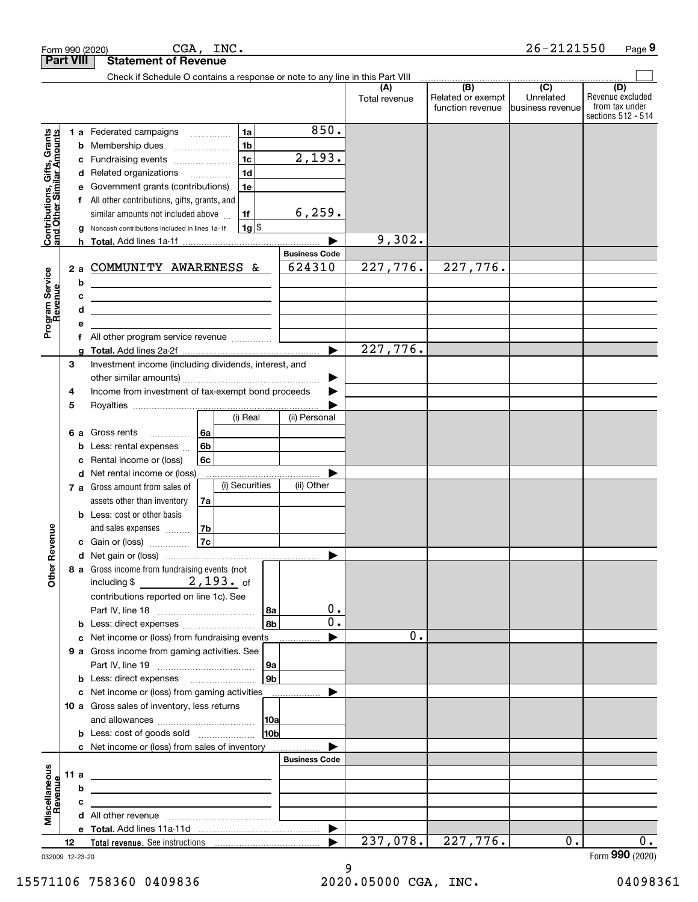|                                                           |                  | CGA, INC.<br>Form 990 (2020)                                                                                                                             |                      |                      |                                              | $26 - 2121550$                                    | Page 9                                                          |
|-----------------------------------------------------------|------------------|----------------------------------------------------------------------------------------------------------------------------------------------------------|----------------------|----------------------|----------------------------------------------|---------------------------------------------------|-----------------------------------------------------------------|
|                                                           | <b>Part VIII</b> | <b>Statement of Revenue</b><br>Check if Schedule O contains a response or note to any line in this Part VIII                                             |                      |                      |                                              |                                                   |                                                                 |
|                                                           |                  |                                                                                                                                                          |                      | (A)<br>Total revenue | (B)<br>Related or exempt<br>function revenue | $\overline{(C)}$<br>Unrelated<br>business revenue | (D)<br>Revenue excluded<br>from tax under<br>sections 512 - 514 |
|                                                           |                  | 1a<br><b>1 a</b> Federated campaigns                                                                                                                     | 850.                 |                      |                                              |                                                   |                                                                 |
| Contributions, Gifts, Grants<br>and Other Similar Amounts |                  | 1 <sub>b</sub><br><b>b</b> Membership dues                                                                                                               |                      |                      |                                              |                                                   |                                                                 |
|                                                           |                  | 1 <sub>c</sub><br>c Fundraising events<br>1 <sub>d</sub>                                                                                                 | 2,193.               |                      |                                              |                                                   |                                                                 |
|                                                           |                  | d Related organizations<br>e Government grants (contributions)<br>1e                                                                                     |                      |                      |                                              |                                                   |                                                                 |
|                                                           |                  | f All other contributions, gifts, grants, and                                                                                                            |                      |                      |                                              |                                                   |                                                                 |
|                                                           |                  | similar amounts not included above<br>1f                                                                                                                 | 6, 259.              |                      |                                              |                                                   |                                                                 |
|                                                           |                  | $1g$ \$<br>g Noncash contributions included in lines 1a-1f                                                                                               |                      |                      |                                              |                                                   |                                                                 |
|                                                           |                  |                                                                                                                                                          |                      | 9,302.               |                                              |                                                   |                                                                 |
|                                                           |                  |                                                                                                                                                          | <b>Business Code</b> |                      |                                              |                                                   |                                                                 |
|                                                           |                  | 2 a COMMUNITY AWARENESS &                                                                                                                                | 624310               | 227,776.             | 227,776.                                     |                                                   |                                                                 |
|                                                           |                  | b<br><u> 1989 - Johann Stoff, deutscher Stoffen und der Stoffen und der Stoffen und der Stoffen und der Stoffen und der</u><br>c                         |                      |                      |                                              |                                                   |                                                                 |
|                                                           |                  | the control of the control of the control of the control of the control of the control of<br>d<br><u> 1980 - Jan Barnett, fransk politiker (d. 1980)</u> |                      |                      |                                              |                                                   |                                                                 |
| Program Service<br>Revenue                                |                  | е                                                                                                                                                        |                      |                      |                                              |                                                   |                                                                 |
|                                                           |                  | All other program service revenue<br>f                                                                                                                   |                      |                      |                                              |                                                   |                                                                 |
|                                                           |                  |                                                                                                                                                          | ь                    | 227,776.             |                                              |                                                   |                                                                 |
|                                                           | З                | Investment income (including dividends, interest, and                                                                                                    |                      |                      |                                              |                                                   |                                                                 |
|                                                           |                  | Income from investment of tax-exempt bond proceeds                                                                                                       | ▶                    |                      |                                              |                                                   |                                                                 |
|                                                           | 4<br>5           |                                                                                                                                                          |                      |                      |                                              |                                                   |                                                                 |
|                                                           |                  | (i) Real                                                                                                                                                 | (ii) Personal        |                      |                                              |                                                   |                                                                 |
|                                                           |                  | 6 a Gross rents<br>6a<br>.                                                                                                                               |                      |                      |                                              |                                                   |                                                                 |
|                                                           |                  | 6b<br><b>b</b> Less: rental expenses                                                                                                                     |                      |                      |                                              |                                                   |                                                                 |
|                                                           |                  | c Rental income or (loss)<br>6c                                                                                                                          |                      |                      |                                              |                                                   |                                                                 |
|                                                           |                  | d Net rental income or (loss)                                                                                                                            |                      |                      |                                              |                                                   |                                                                 |
|                                                           |                  | (i) Securities<br><b>7 a</b> Gross amount from sales of                                                                                                  | (ii) Other           |                      |                                              |                                                   |                                                                 |
|                                                           |                  | assets other than inventory<br>7a<br><b>b</b> Less: cost or other basis                                                                                  |                      |                      |                                              |                                                   |                                                                 |
|                                                           |                  | and sales expenses<br>7b                                                                                                                                 |                      |                      |                                              |                                                   |                                                                 |
| venue                                                     |                  | 7c<br><b>c</b> Gain or (loss)                                                                                                                            |                      |                      |                                              |                                                   |                                                                 |
|                                                           |                  |                                                                                                                                                          |                      |                      |                                              |                                                   |                                                                 |
| Other Re                                                  |                  | 8 a Gross income from fundraising events (not                                                                                                            |                      |                      |                                              |                                                   |                                                                 |
|                                                           |                  |                                                                                                                                                          |                      |                      |                                              |                                                   |                                                                 |
|                                                           |                  | contributions reported on line 1c). See<br>l 8a                                                                                                          | 0.                   |                      |                                              |                                                   |                                                                 |
|                                                           |                  | l 8b                                                                                                                                                     | $\mathbf 0$ .        |                      |                                              |                                                   |                                                                 |
|                                                           |                  | c Net income or (loss) from fundraising events                                                                                                           |                      | 0.                   |                                              |                                                   |                                                                 |
|                                                           |                  | 9 a Gross income from gaming activities. See                                                                                                             |                      |                      |                                              |                                                   |                                                                 |
|                                                           |                  | 9a                                                                                                                                                       |                      |                      |                                              |                                                   |                                                                 |
|                                                           |                  | l 9b<br><b>b</b> Less: direct expenses <b>manually</b>                                                                                                   |                      |                      |                                              |                                                   |                                                                 |
|                                                           |                  | c Net income or (loss) from gaming activities                                                                                                            |                      |                      |                                              |                                                   |                                                                 |
|                                                           |                  | 10 a Gross sales of inventory, less returns<br>10a                                                                                                       |                      |                      |                                              |                                                   |                                                                 |
|                                                           |                  | <b>b</b> Less: cost of goods sold<br>10b                                                                                                                 |                      |                      |                                              |                                                   |                                                                 |
|                                                           |                  | c Net income or (loss) from sales of inventory                                                                                                           |                      |                      |                                              |                                                   |                                                                 |
|                                                           |                  |                                                                                                                                                          | <b>Business Code</b> |                      |                                              |                                                   |                                                                 |
|                                                           | 11 a             | <u> 1989 - Johann Stein, mars an de France</u>                                                                                                           |                      |                      |                                              |                                                   |                                                                 |
| evenue                                                    |                  | b                                                                                                                                                        |                      |                      |                                              |                                                   |                                                                 |
| Miscellaneous                                             |                  | c                                                                                                                                                        |                      |                      |                                              |                                                   |                                                                 |
|                                                           |                  |                                                                                                                                                          |                      |                      |                                              |                                                   |                                                                 |
|                                                           | 12               |                                                                                                                                                          |                      | 237,078.             | 227,776.                                     | $0$ .                                             | 0.                                                              |
|                                                           |                  | 032009 12-23-20                                                                                                                                          |                      |                      |                                              |                                                   | Form 990 (2020)                                                 |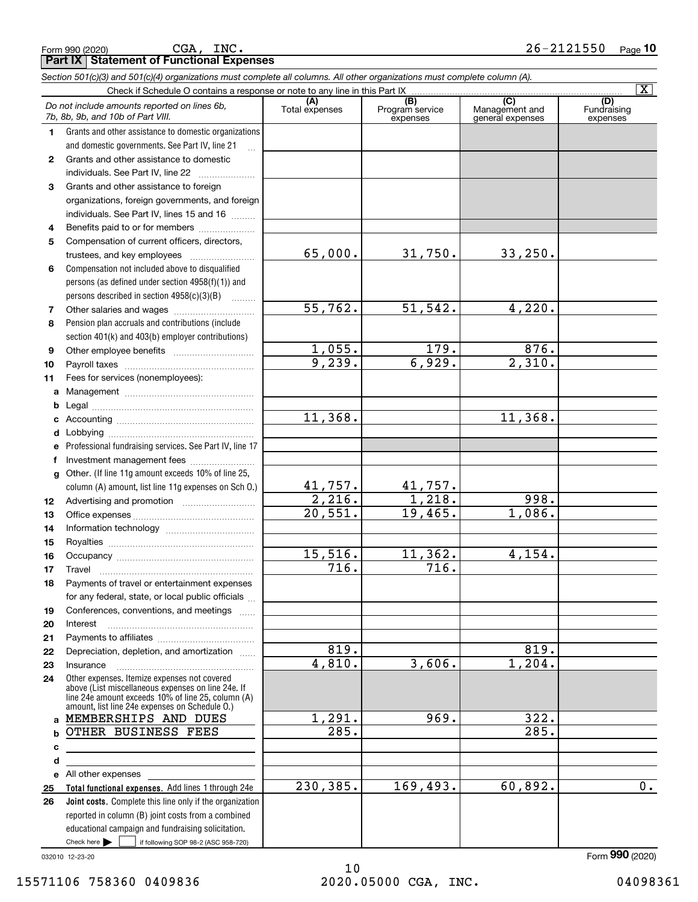|              |                                                                                                                                                                                                            |                          |                                                 |                                                      | $\mathbf{X}$                   |
|--------------|------------------------------------------------------------------------------------------------------------------------------------------------------------------------------------------------------------|--------------------------|-------------------------------------------------|------------------------------------------------------|--------------------------------|
|              | Do not include amounts reported on lines 6b,<br>7b, 8b, 9b, and 10b of Part VIII.                                                                                                                          | (A)<br>Total expenses    | $\overline{(B)}$<br>Program service<br>expenses | $\overline{C}$<br>Management and<br>general expenses | (D)<br>Fundraising<br>expenses |
| 1.           | Grants and other assistance to domestic organizations                                                                                                                                                      |                          |                                                 |                                                      |                                |
|              | and domestic governments. See Part IV, line 21                                                                                                                                                             |                          |                                                 |                                                      |                                |
| $\mathbf{2}$ | Grants and other assistance to domestic                                                                                                                                                                    |                          |                                                 |                                                      |                                |
|              | individuals. See Part IV, line 22                                                                                                                                                                          |                          |                                                 |                                                      |                                |
| 3            | Grants and other assistance to foreign                                                                                                                                                                     |                          |                                                 |                                                      |                                |
|              | organizations, foreign governments, and foreign                                                                                                                                                            |                          |                                                 |                                                      |                                |
|              | individuals. See Part IV, lines 15 and 16                                                                                                                                                                  |                          |                                                 |                                                      |                                |
| 4            | Benefits paid to or for members                                                                                                                                                                            |                          |                                                 |                                                      |                                |
| 5            | Compensation of current officers, directors,                                                                                                                                                               |                          |                                                 |                                                      |                                |
|              |                                                                                                                                                                                                            | 65,000.                  | 31,750.                                         | 33,250.                                              |                                |
| 6            | Compensation not included above to disqualified                                                                                                                                                            |                          |                                                 |                                                      |                                |
|              | persons (as defined under section 4958(f)(1)) and                                                                                                                                                          |                          |                                                 |                                                      |                                |
|              | persons described in section 4958(c)(3)(B)                                                                                                                                                                 |                          |                                                 |                                                      |                                |
| 7            |                                                                                                                                                                                                            | 55,762.                  | 51, 542.                                        | 4,220.                                               |                                |
| 8            | Pension plan accruals and contributions (include                                                                                                                                                           |                          |                                                 |                                                      |                                |
|              | section 401(k) and 403(b) employer contributions)                                                                                                                                                          |                          |                                                 |                                                      |                                |
| 9            |                                                                                                                                                                                                            | 1,055.                   | 179.                                            | 876.                                                 |                                |
| 10           |                                                                                                                                                                                                            | 9,239.                   | 6,929.                                          | 2,310.                                               |                                |
| 11           | Fees for services (nonemployees):                                                                                                                                                                          |                          |                                                 |                                                      |                                |
| a            |                                                                                                                                                                                                            |                          |                                                 |                                                      |                                |
| b            |                                                                                                                                                                                                            |                          |                                                 |                                                      |                                |
| c            |                                                                                                                                                                                                            | 11,368.                  |                                                 | 11,368.                                              |                                |
| d            |                                                                                                                                                                                                            |                          |                                                 |                                                      |                                |
| e            | Professional fundraising services. See Part IV, line 17                                                                                                                                                    |                          |                                                 |                                                      |                                |
| f            | Investment management fees                                                                                                                                                                                 |                          |                                                 |                                                      |                                |
| $\mathbf{q}$ | Other. (If line 11g amount exceeds 10% of line 25,                                                                                                                                                         |                          |                                                 |                                                      |                                |
|              | column (A) amount, list line 11g expenses on Sch O.)                                                                                                                                                       |                          | 41,757.                                         |                                                      |                                |
| 12           |                                                                                                                                                                                                            | $\frac{41,757}{2,216}$ . | $\overline{1,218.}$                             | 998.                                                 |                                |
| 13           |                                                                                                                                                                                                            | $\overline{20,551}$ .    | 19,465.                                         | 1,086.                                               |                                |
| 14           |                                                                                                                                                                                                            |                          |                                                 |                                                      |                                |
| 15           |                                                                                                                                                                                                            |                          |                                                 |                                                      |                                |
| 16           |                                                                                                                                                                                                            | 15,516.                  | 11,362.                                         | $\overline{4,154}$ .                                 |                                |
| 17           | Travel                                                                                                                                                                                                     | 716.                     | 716.                                            |                                                      |                                |
| 18           | Payments of travel or entertainment expenses                                                                                                                                                               |                          |                                                 |                                                      |                                |
|              | for any federal, state, or local public officials                                                                                                                                                          |                          |                                                 |                                                      |                                |
| 19           | Conferences, conventions, and meetings                                                                                                                                                                     |                          |                                                 |                                                      |                                |
| 20           | Interest                                                                                                                                                                                                   |                          |                                                 |                                                      |                                |
| 21           |                                                                                                                                                                                                            |                          |                                                 |                                                      |                                |
| 22           | Depreciation, depletion, and amortization                                                                                                                                                                  | 819.                     |                                                 | $\overline{819}$ .                                   |                                |
| 23           | Insurance                                                                                                                                                                                                  | 4,810.                   | 3,606.                                          | 1,204.                                               |                                |
| 24           | Other expenses. Itemize expenses not covered<br>above (List miscellaneous expenses on line 24e. If<br>line 24e amount exceeds 10% of line 25, column (A)<br>amount, list line 24e expenses on Schedule O.) |                          |                                                 |                                                      |                                |
| $\mathbf{a}$ | MEMBERSHIPS AND DUES                                                                                                                                                                                       | $\overline{1,291}$ .     | 969.                                            | 322.                                                 |                                |
| b            | OTHER BUSINESS FEES                                                                                                                                                                                        | $\overline{285}$ .       |                                                 | 285.                                                 |                                |
| c            |                                                                                                                                                                                                            |                          |                                                 |                                                      |                                |
| d            |                                                                                                                                                                                                            |                          |                                                 |                                                      |                                |
|              | e All other expenses                                                                                                                                                                                       |                          |                                                 |                                                      |                                |
| 25           | Total functional expenses. Add lines 1 through 24e                                                                                                                                                         | 230,385.                 | 169,493.                                        | 60,892.                                              | $\mathbf 0$ .                  |
| 26           | Joint costs. Complete this line only if the organization                                                                                                                                                   |                          |                                                 |                                                      |                                |
|              | reported in column (B) joint costs from a combined                                                                                                                                                         |                          |                                                 |                                                      |                                |
|              | educational campaign and fundraising solicitation.                                                                                                                                                         |                          |                                                 |                                                      |                                |
|              | Check here $\blacktriangleright$<br>if following SOP 98-2 (ASC 958-720)                                                                                                                                    |                          |                                                 |                                                      |                                |

Form (2020) **990**

**Part IX Statement of Functional Expenses**

*Section 501(c)(3) and 501(c)(4) organizations must complete all columns. All other organizations must complete column (A).*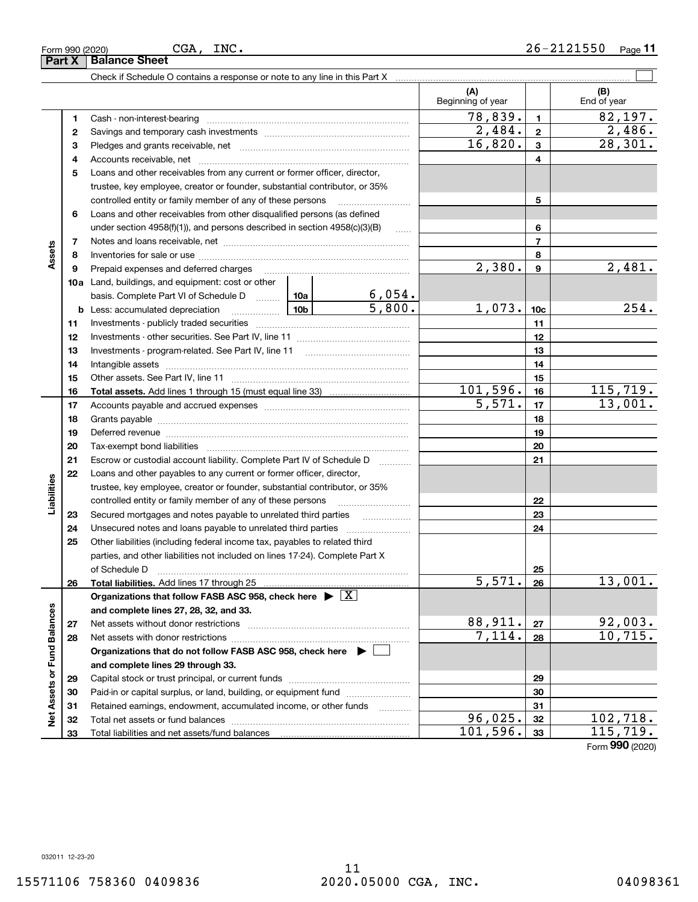11

Form (2020) **990**

|                             |    | Check if Schedule O contains a response or note to any line in this Part X [11] manusum manusum manusum manusu                                                                                                                       |        |                         |                          |                         |                    |
|-----------------------------|----|--------------------------------------------------------------------------------------------------------------------------------------------------------------------------------------------------------------------------------------|--------|-------------------------|--------------------------|-------------------------|--------------------|
|                             |    |                                                                                                                                                                                                                                      |        |                         | (A)<br>Beginning of year |                         | (B)<br>End of year |
|                             | 1  |                                                                                                                                                                                                                                      |        |                         | 78,839.                  | $\mathbf{1}$            | 82,197.            |
|                             | 2  |                                                                                                                                                                                                                                      |        |                         | $\overline{2,484}$ .     | $\overline{\mathbf{2}}$ | 2,486.             |
|                             | з  |                                                                                                                                                                                                                                      |        |                         | 16,820.                  | $\mathbf{3}$            | 28,301.            |
|                             | 4  |                                                                                                                                                                                                                                      |        |                         | $\overline{4}$           |                         |                    |
|                             | 5  | Loans and other receivables from any current or former officer, director,                                                                                                                                                            |        |                         |                          |                         |                    |
|                             |    | trustee, key employee, creator or founder, substantial contributor, or 35%                                                                                                                                                           |        |                         |                          |                         |                    |
|                             |    | controlled entity or family member of any of these persons                                                                                                                                                                           |        |                         |                          | 5                       |                    |
|                             | 6  | Loans and other receivables from other disqualified persons (as defined                                                                                                                                                              |        |                         |                          |                         |                    |
|                             |    | under section $4958(f)(1)$ , and persons described in section $4958(c)(3)(B)$                                                                                                                                                        |        |                         |                          | 6                       |                    |
|                             | 7  |                                                                                                                                                                                                                                      |        |                         |                          | $\overline{7}$          |                    |
| Assets                      | 8  |                                                                                                                                                                                                                                      |        |                         |                          | 8                       |                    |
|                             | 9  | Prepaid expenses and deferred charges                                                                                                                                                                                                |        |                         | 2,380.                   | 9                       | 2,481.             |
|                             |    | <b>10a</b> Land, buildings, and equipment: cost or other                                                                                                                                                                             |        |                         |                          |                         |                    |
|                             |    | basis. Complete Part VI of Schedule D  10a                                                                                                                                                                                           |        | $\frac{6,054.}{5,800.}$ |                          |                         |                    |
|                             |    | <b>b</b> Less: accumulated depreciation<br>. 1                                                                                                                                                                                       | 10b l  |                         | 1,073.                   | 10 <sub>c</sub>         | 254.               |
|                             | 11 |                                                                                                                                                                                                                                      |        | 11                      |                          |                         |                    |
|                             | 12 |                                                                                                                                                                                                                                      |        | 12                      |                          |                         |                    |
|                             | 13 |                                                                                                                                                                                                                                      |        | 13                      |                          |                         |                    |
|                             | 14 |                                                                                                                                                                                                                                      |        | 14                      |                          |                         |                    |
|                             | 15 |                                                                                                                                                                                                                                      |        | 15                      |                          |                         |                    |
|                             | 16 | <b>Total assets.</b> Add lines 1 through 15 (must equal line 33) <i></i>                                                                                                                                                             |        |                         | 101,596.                 | 16                      | 115, 719.          |
|                             | 17 |                                                                                                                                                                                                                                      | 5,571. | 17                      | 13,001.                  |                         |                    |
|                             | 18 |                                                                                                                                                                                                                                      |        | 18                      |                          |                         |                    |
|                             | 19 | Deferred revenue manual contracts and contracts are all the contracts and contracts are contracted and contracts are contracted and contract are contracted and contract are contracted and contract are contracted and contra       |        |                         | 19                       |                         |                    |
|                             | 20 |                                                                                                                                                                                                                                      |        |                         |                          | 20                      |                    |
|                             | 21 | Escrow or custodial account liability. Complete Part IV of Schedule D                                                                                                                                                                |        | 1.1.1.1.1.1.1.1.1.1     |                          | 21                      |                    |
|                             | 22 | Loans and other payables to any current or former officer, director,                                                                                                                                                                 |        |                         |                          |                         |                    |
| Liabilities                 |    | trustee, key employee, creator or founder, substantial contributor, or 35%                                                                                                                                                           |        |                         |                          |                         |                    |
|                             |    | controlled entity or family member of any of these persons                                                                                                                                                                           |        |                         |                          | 22                      |                    |
|                             | 23 | Secured mortgages and notes payable to unrelated third parties                                                                                                                                                                       |        | 23                      |                          |                         |                    |
|                             | 24 | Unsecured notes and loans payable to unrelated third parties                                                                                                                                                                         |        |                         |                          | 24                      |                    |
|                             | 25 | Other liabilities (including federal income tax, payables to related third                                                                                                                                                           |        |                         |                          |                         |                    |
|                             |    | parties, and other liabilities not included on lines 17-24). Complete Part X                                                                                                                                                         |        |                         |                          |                         |                    |
|                             |    | of Schedule D <b>William Communication Contract Contract Contract Contract Contract Contract Contract Contract Contract Contract Contract Contract Contract Contract Contract Contract Contract Contract Contract Contract Contr</b> |        |                         |                          | 25                      |                    |
|                             | 26 | Total liabilities. Add lines 17 through 25                                                                                                                                                                                           |        |                         | $\overline{5,571.}$ 26   |                         | 13,001.            |
|                             |    | Organizations that follow FASB ASC 958, check here $\blacktriangleright \boxed{X}$                                                                                                                                                   |        |                         |                          |                         |                    |
|                             |    | and complete lines 27, 28, 32, and 33.                                                                                                                                                                                               |        |                         |                          |                         |                    |
|                             | 27 | Net assets without donor restrictions                                                                                                                                                                                                |        |                         | 88,911.                  | 27                      | 92,003.            |
|                             | 28 |                                                                                                                                                                                                                                      |        |                         | 7,114.                   | 28                      | 10, 715.           |
|                             |    | Organizations that do not follow FASB ASC 958, check here $\blacktriangleright$                                                                                                                                                      |        |                         |                          |                         |                    |
|                             |    | and complete lines 29 through 33.                                                                                                                                                                                                    |        |                         |                          |                         |                    |
|                             | 29 |                                                                                                                                                                                                                                      |        |                         |                          | 29                      |                    |
| Net Assets or Fund Balances | 30 | Paid-in or capital surplus, or land, building, or equipment fund                                                                                                                                                                     |        |                         |                          | 30                      |                    |
|                             | 31 | Retained earnings, endowment, accumulated income, or other funds                                                                                                                                                                     |        |                         |                          | 31                      |                    |
|                             | 32 |                                                                                                                                                                                                                                      |        |                         | 96,025.                  | 32                      | 102,718.           |
|                             | 33 |                                                                                                                                                                                                                                      |        |                         | 101,596.                 | 33                      | 115,719.           |

**Part X Balance Sheet**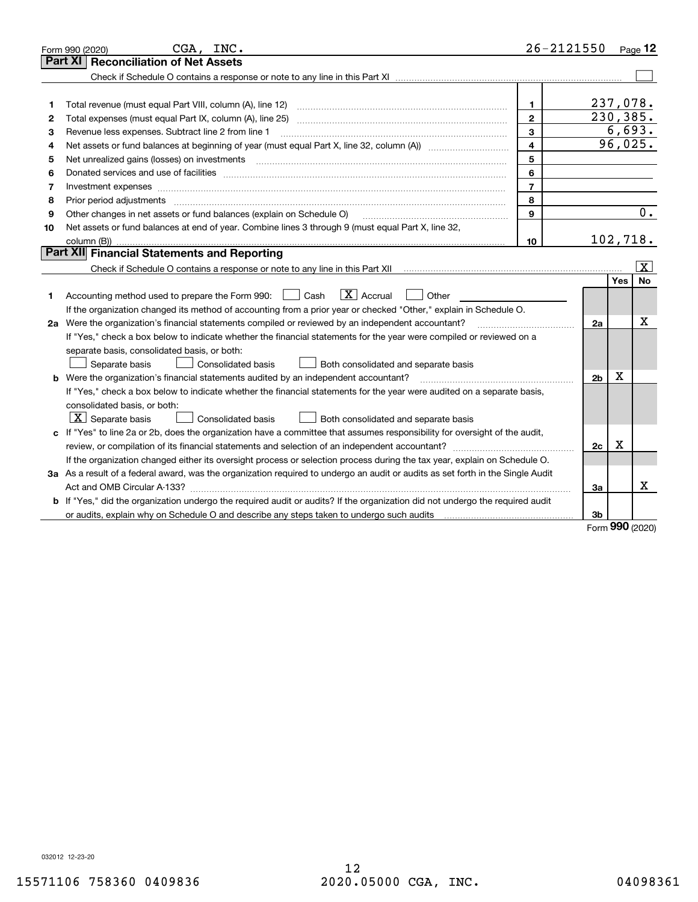|    | CGA, INC.<br>Form 990 (2020)                                                                                                    |                | $26 - 2121550$ |         | Page $12$             |
|----|---------------------------------------------------------------------------------------------------------------------------------|----------------|----------------|---------|-----------------------|
|    | <b>Reconciliation of Net Assets</b><br><b>Part XI</b>                                                                           |                |                |         |                       |
|    |                                                                                                                                 |                |                |         |                       |
|    |                                                                                                                                 |                |                |         |                       |
| 1  | Total revenue (must equal Part VIII, column (A), line 12)                                                                       | 1.             | 237,078.       |         |                       |
| 2  | Total expenses (must equal Part IX, column (A), line 25)                                                                        | $\mathfrak{p}$ | 230, 385.      |         |                       |
| з  | Revenue less expenses. Subtract line 2 from line 1                                                                              | 3              |                |         | 6,693.                |
| 4  |                                                                                                                                 | $\overline{4}$ |                | 96,025. |                       |
| 5  | Net unrealized gains (losses) on investments                                                                                    | 5              |                |         |                       |
| 6  |                                                                                                                                 | 6              |                |         |                       |
| 7  |                                                                                                                                 | $\overline{7}$ |                |         |                       |
| 8  | Prior period adjustments                                                                                                        | 8              |                |         |                       |
| 9  | Other changes in net assets or fund balances (explain on Schedule O)                                                            | 9              |                |         | 0.                    |
| 10 | Net assets or fund balances at end of year. Combine lines 3 through 9 (must equal Part X, line 32,                              |                |                |         |                       |
|    |                                                                                                                                 | 10             | 102,718.       |         |                       |
|    | Part XII Financial Statements and Reporting                                                                                     |                |                |         |                       |
|    |                                                                                                                                 |                |                |         | $\overline{\text{X}}$ |
|    |                                                                                                                                 |                |                | Yes     | <b>No</b>             |
| 1  | $ X $ Accrual<br>Other<br>Accounting method used to prepare the Form 990: <u>June</u> Cash                                      |                |                |         |                       |
|    | If the organization changed its method of accounting from a prior year or checked "Other," explain in Schedule O.               |                |                |         |                       |
|    | 2a Were the organization's financial statements compiled or reviewed by an independent accountant?                              |                | 2a             |         | x                     |
|    | If "Yes," check a box below to indicate whether the financial statements for the year were compiled or reviewed on a            |                |                |         |                       |
|    | separate basis, consolidated basis, or both:                                                                                    |                |                |         |                       |
|    | <b>Consolidated basis</b><br>Both consolidated and separate basis<br>Separate basis                                             |                |                |         |                       |
|    | Were the organization's financial statements audited by an independent accountant?                                              |                | 2 <sub>b</sub> | X       |                       |
|    | If "Yes," check a box below to indicate whether the financial statements for the year were audited on a separate basis,         |                |                |         |                       |
|    | consolidated basis, or both:                                                                                                    |                |                |         |                       |
|    | $X$ Separate basis<br>Consolidated basis<br>Both consolidated and separate basis                                                |                |                |         |                       |
|    | c If "Yes" to line 2a or 2b, does the organization have a committee that assumes responsibility for oversight of the audit,     |                |                |         |                       |
|    |                                                                                                                                 |                | 2c             | X       |                       |
|    | If the organization changed either its oversight process or selection process during the tax year, explain on Schedule O.       |                |                |         |                       |
|    | 3a As a result of a federal award, was the organization required to undergo an audit or audits as set forth in the Single Audit |                |                |         |                       |
|    |                                                                                                                                 |                | За             |         | x                     |
|    | If "Yes," did the organization undergo the required audit or audits? If the organization did not undergo the required audit     |                |                |         |                       |
|    | or audits, explain why on Schedule O and describe any steps taken to undergo such audits                                        |                | 3b             | nnn     |                       |

Form (2020) **990**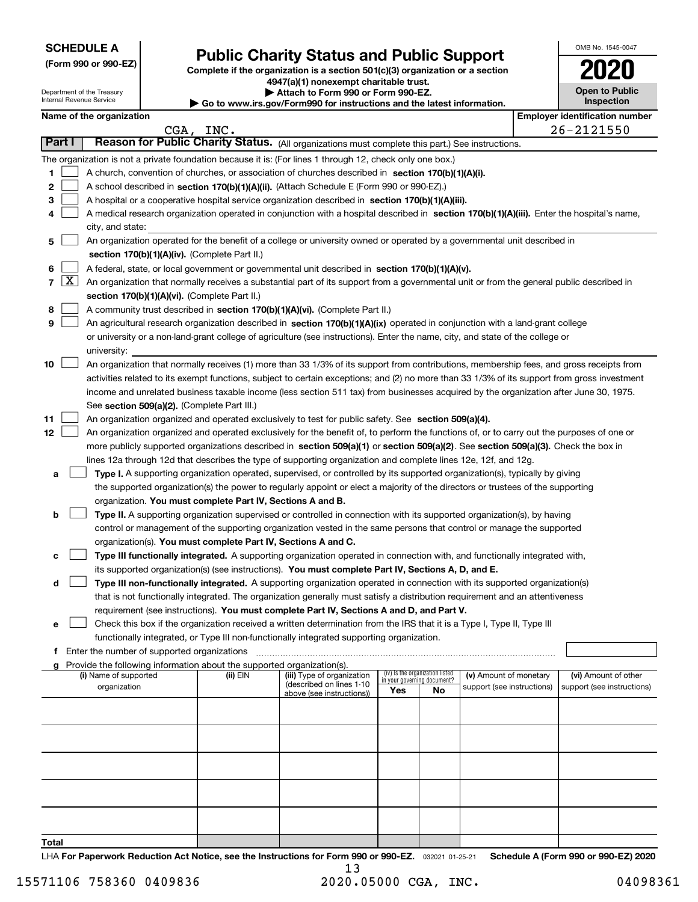| <b>SCHEDULE A</b> |
|-------------------|
|-------------------|

Department of the Treasury Internal Revenue Service

**(Form 990 or 990-EZ)**

# **Public Charity Status and Public Support**

**Complete if the organization is a section 501(c)(3) organization or a section 4947(a)(1) nonexempt charitable trust. | Attach to Form 990 or Form 990-EZ.** 

| $\triangleright$ Go to www.irs.gov/Form990 for instructions and the latest information. |  |  |  |
|-----------------------------------------------------------------------------------------|--|--|--|
|-----------------------------------------------------------------------------------------|--|--|--|

| OMB No. 1545-0047                   |
|-------------------------------------|
| 2020                                |
| <b>Open to Public</b><br>Inspection |

|                                | Name of the organization                                                                                                                                |           | ad to www.morgown ormood for modiablionid and the fatbol mnormation. |                                    |                                 |                            |  | <b>Employer identification number</b> |  |
|--------------------------------|---------------------------------------------------------------------------------------------------------------------------------------------------------|-----------|----------------------------------------------------------------------|------------------------------------|---------------------------------|----------------------------|--|---------------------------------------|--|
|                                |                                                                                                                                                         | CGA, INC. |                                                                      |                                    |                                 |                            |  | 26-2121550                            |  |
| Part I                         | Reason for Public Charity Status. (All organizations must complete this part.) See instructions.                                                        |           |                                                                      |                                    |                                 |                            |  |                                       |  |
|                                | The organization is not a private foundation because it is: (For lines 1 through 12, check only one box.)                                               |           |                                                                      |                                    |                                 |                            |  |                                       |  |
| 1                              | A church, convention of churches, or association of churches described in section 170(b)(1)(A)(i).                                                      |           |                                                                      |                                    |                                 |                            |  |                                       |  |
| 2                              | A school described in section 170(b)(1)(A)(ii). (Attach Schedule E (Form 990 or 990-EZ).)                                                               |           |                                                                      |                                    |                                 |                            |  |                                       |  |
| 3                              | A hospital or a cooperative hospital service organization described in section 170(b)(1)(A)(iii).                                                       |           |                                                                      |                                    |                                 |                            |  |                                       |  |
| 4                              | A medical research organization operated in conjunction with a hospital described in section 170(b)(1)(A)(iii). Enter the hospital's name,              |           |                                                                      |                                    |                                 |                            |  |                                       |  |
|                                | city, and state:                                                                                                                                        |           |                                                                      |                                    |                                 |                            |  |                                       |  |
| 5                              | An organization operated for the benefit of a college or university owned or operated by a governmental unit described in                               |           |                                                                      |                                    |                                 |                            |  |                                       |  |
|                                | section 170(b)(1)(A)(iv). (Complete Part II.)                                                                                                           |           |                                                                      |                                    |                                 |                            |  |                                       |  |
| 6                              | A federal, state, or local government or governmental unit described in section 170(b)(1)(A)(v).                                                        |           |                                                                      |                                    |                                 |                            |  |                                       |  |
| $\mathbf{X}$<br>$\overline{7}$ | An organization that normally receives a substantial part of its support from a governmental unit or from the general public described in               |           |                                                                      |                                    |                                 |                            |  |                                       |  |
|                                | section 170(b)(1)(A)(vi). (Complete Part II.)                                                                                                           |           |                                                                      |                                    |                                 |                            |  |                                       |  |
| 8                              | A community trust described in section 170(b)(1)(A)(vi). (Complete Part II.)                                                                            |           |                                                                      |                                    |                                 |                            |  |                                       |  |
| 9                              | An agricultural research organization described in section 170(b)(1)(A)(ix) operated in conjunction with a land-grant college                           |           |                                                                      |                                    |                                 |                            |  |                                       |  |
|                                | or university or a non-land-grant college of agriculture (see instructions). Enter the name, city, and state of the college or                          |           |                                                                      |                                    |                                 |                            |  |                                       |  |
| 10                             | university:<br>An organization that normally receives (1) more than 33 1/3% of its support from contributions, membership fees, and gross receipts from |           |                                                                      |                                    |                                 |                            |  |                                       |  |
|                                | activities related to its exempt functions, subject to certain exceptions; and (2) no more than 33 1/3% of its support from gross investment            |           |                                                                      |                                    |                                 |                            |  |                                       |  |
|                                | income and unrelated business taxable income (less section 511 tax) from businesses acquired by the organization after June 30, 1975.                   |           |                                                                      |                                    |                                 |                            |  |                                       |  |
|                                | See section 509(a)(2). (Complete Part III.)                                                                                                             |           |                                                                      |                                    |                                 |                            |  |                                       |  |
| 11                             | An organization organized and operated exclusively to test for public safety. See section 509(a)(4).                                                    |           |                                                                      |                                    |                                 |                            |  |                                       |  |
| 12 <sub>2</sub>                | An organization organized and operated exclusively for the benefit of, to perform the functions of, or to carry out the purposes of one or              |           |                                                                      |                                    |                                 |                            |  |                                       |  |
|                                | more publicly supported organizations described in section 509(a)(1) or section 509(a)(2). See section 509(a)(3). Check the box in                      |           |                                                                      |                                    |                                 |                            |  |                                       |  |
|                                | lines 12a through 12d that describes the type of supporting organization and complete lines 12e, 12f, and 12g.                                          |           |                                                                      |                                    |                                 |                            |  |                                       |  |
| а                              | Type I. A supporting organization operated, supervised, or controlled by its supported organization(s), typically by giving                             |           |                                                                      |                                    |                                 |                            |  |                                       |  |
|                                | the supported organization(s) the power to regularly appoint or elect a majority of the directors or trustees of the supporting                         |           |                                                                      |                                    |                                 |                            |  |                                       |  |
|                                | organization. You must complete Part IV, Sections A and B.                                                                                              |           |                                                                      |                                    |                                 |                            |  |                                       |  |
| b                              | Type II. A supporting organization supervised or controlled in connection with its supported organization(s), by having                                 |           |                                                                      |                                    |                                 |                            |  |                                       |  |
|                                | control or management of the supporting organization vested in the same persons that control or manage the supported                                    |           |                                                                      |                                    |                                 |                            |  |                                       |  |
|                                | organization(s). You must complete Part IV, Sections A and C.                                                                                           |           |                                                                      |                                    |                                 |                            |  |                                       |  |
| с                              | Type III functionally integrated. A supporting organization operated in connection with, and functionally integrated with,                              |           |                                                                      |                                    |                                 |                            |  |                                       |  |
|                                | its supported organization(s) (see instructions). You must complete Part IV, Sections A, D, and E.                                                      |           |                                                                      |                                    |                                 |                            |  |                                       |  |
| d                              | Type III non-functionally integrated. A supporting organization operated in connection with its supported organization(s)                               |           |                                                                      |                                    |                                 |                            |  |                                       |  |
|                                | that is not functionally integrated. The organization generally must satisfy a distribution requirement and an attentiveness                            |           |                                                                      |                                    |                                 |                            |  |                                       |  |
|                                | requirement (see instructions). You must complete Part IV, Sections A and D, and Part V.                                                                |           |                                                                      |                                    |                                 |                            |  |                                       |  |
| е                              | Check this box if the organization received a written determination from the IRS that it is a Type I, Type II, Type III                                 |           |                                                                      |                                    |                                 |                            |  |                                       |  |
|                                | functionally integrated, or Type III non-functionally integrated supporting organization.                                                               |           |                                                                      |                                    |                                 |                            |  |                                       |  |
| f                              | Enter the number of supported organizations<br>Provide the following information about the supported organization(s).                                   |           |                                                                      |                                    |                                 |                            |  |                                       |  |
| a                              | (i) Name of supported                                                                                                                                   | (ii) EIN  | (iii) Type of organization                                           |                                    | (iv) Is the organization listed | (v) Amount of monetary     |  | (vi) Amount of other                  |  |
|                                | organization                                                                                                                                            |           | (described on lines 1-10<br>above (see instructions))                | in your governing document?<br>Yes | No                              | support (see instructions) |  | support (see instructions)            |  |
|                                |                                                                                                                                                         |           |                                                                      |                                    |                                 |                            |  |                                       |  |
|                                |                                                                                                                                                         |           |                                                                      |                                    |                                 |                            |  |                                       |  |
|                                |                                                                                                                                                         |           |                                                                      |                                    |                                 |                            |  |                                       |  |
|                                |                                                                                                                                                         |           |                                                                      |                                    |                                 |                            |  |                                       |  |
|                                |                                                                                                                                                         |           |                                                                      |                                    |                                 |                            |  |                                       |  |
|                                |                                                                                                                                                         |           |                                                                      |                                    |                                 |                            |  |                                       |  |
|                                |                                                                                                                                                         |           |                                                                      |                                    |                                 |                            |  |                                       |  |
|                                |                                                                                                                                                         |           |                                                                      |                                    |                                 |                            |  |                                       |  |
| Total                          |                                                                                                                                                         |           |                                                                      |                                    |                                 |                            |  |                                       |  |

LHA For Paperwork Reduction Act Notice, see the Instructions for Form 990 or 990-EZ. <sub>032021</sub> o1-25-21 Schedule A (Form 990 or 990-EZ) 2020 13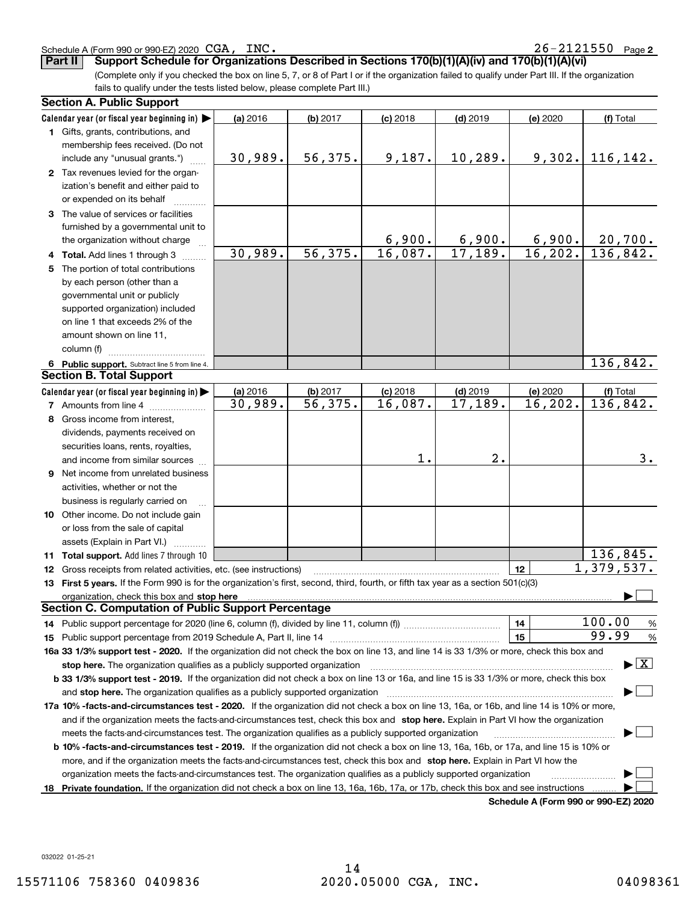032022 01-25-21

**Private foundation.**  If the organization did not check a box on line 13, 16a, 16b, 17a, or 17b, check this box and see instructions  $\Box$ 

**Schedule A (Form 990 or 990-EZ) 2020**

Schedule A (Form 990 or 990-EZ) 2020 CGA, INC.

**Part II Support Schedule for Organizations Described in Sections 170(b)(1)(A)(iv) and 170(b)(1)(A)(vi)**

(Complete only if you checked the box on line 5, 7, or 8 of Part I or if the organization failed to qualify under Part III. If the organization fails to qualify under the tests listed below, please complete Part III.)

|   | <b>Section A. Public Support</b>                                                                                                                                                                                               |          |            |            |            |          |                                          |
|---|--------------------------------------------------------------------------------------------------------------------------------------------------------------------------------------------------------------------------------|----------|------------|------------|------------|----------|------------------------------------------|
|   | Calendar year (or fiscal year beginning in) $\blacktriangleright$                                                                                                                                                              | (a) 2016 | $(b)$ 2017 | $(c)$ 2018 | $(d)$ 2019 | (e) 2020 | (f) Total                                |
|   | <b>1</b> Gifts, grants, contributions, and                                                                                                                                                                                     |          |            |            |            |          |                                          |
|   | membership fees received. (Do not                                                                                                                                                                                              |          |            |            |            |          |                                          |
|   | include any "unusual grants.")                                                                                                                                                                                                 | 30,989.  | 56, 375.   | 9,187.     | 10, 289.   | 9,302.   | 116,142.                                 |
|   | 2 Tax revenues levied for the organ-                                                                                                                                                                                           |          |            |            |            |          |                                          |
|   | ization's benefit and either paid to                                                                                                                                                                                           |          |            |            |            |          |                                          |
|   | or expended on its behalf                                                                                                                                                                                                      |          |            |            |            |          |                                          |
|   | 3 The value of services or facilities                                                                                                                                                                                          |          |            |            |            |          |                                          |
|   | furnished by a governmental unit to                                                                                                                                                                                            |          |            |            |            |          |                                          |
|   | the organization without charge                                                                                                                                                                                                |          |            | 6,900.     | 6,900.     | 6,900.   | 20,700.                                  |
|   | 4 Total. Add lines 1 through 3                                                                                                                                                                                                 | 30,989.  | 56,375.    | 16,087.    | 17,189.    | 16, 202. | 136,842.                                 |
| 5 | The portion of total contributions                                                                                                                                                                                             |          |            |            |            |          |                                          |
|   | by each person (other than a                                                                                                                                                                                                   |          |            |            |            |          |                                          |
|   | governmental unit or publicly                                                                                                                                                                                                  |          |            |            |            |          |                                          |
|   | supported organization) included                                                                                                                                                                                               |          |            |            |            |          |                                          |
|   | on line 1 that exceeds 2% of the                                                                                                                                                                                               |          |            |            |            |          |                                          |
|   | amount shown on line 11,                                                                                                                                                                                                       |          |            |            |            |          |                                          |
|   | column (f)                                                                                                                                                                                                                     |          |            |            |            |          |                                          |
|   | 6 Public support. Subtract line 5 from line 4.                                                                                                                                                                                 |          |            |            |            |          | 136,842.                                 |
|   | <b>Section B. Total Support</b>                                                                                                                                                                                                |          |            |            |            |          |                                          |
|   | Calendar year (or fiscal year beginning in) $\blacktriangleright$                                                                                                                                                              | (a) 2016 | $(b)$ 2017 | $(c)$ 2018 | $(d)$ 2019 | (e) 2020 | (f) Total                                |
|   | <b>7</b> Amounts from line 4                                                                                                                                                                                                   | 30,989.  | 56,375.    | 16,087.    | 17,189.    | 16, 202. | 136,842.                                 |
| 8 | Gross income from interest,                                                                                                                                                                                                    |          |            |            |            |          |                                          |
|   | dividends, payments received on                                                                                                                                                                                                |          |            |            |            |          |                                          |
|   | securities loans, rents, royalties,                                                                                                                                                                                            |          |            |            |            |          |                                          |
|   | and income from similar sources                                                                                                                                                                                                |          |            | 1.         | 2.         |          | 3.                                       |
|   | 9 Net income from unrelated business                                                                                                                                                                                           |          |            |            |            |          |                                          |
|   | activities, whether or not the                                                                                                                                                                                                 |          |            |            |            |          |                                          |
|   | business is regularly carried on                                                                                                                                                                                               |          |            |            |            |          |                                          |
|   | 10 Other income. Do not include gain                                                                                                                                                                                           |          |            |            |            |          |                                          |
|   | or loss from the sale of capital                                                                                                                                                                                               |          |            |            |            |          |                                          |
|   | assets (Explain in Part VI.)                                                                                                                                                                                                   |          |            |            |            |          |                                          |
|   | 11 Total support. Add lines 7 through 10                                                                                                                                                                                       |          |            |            |            |          | 136,845.                                 |
|   | 12 Gross receipts from related activities, etc. (see instructions)                                                                                                                                                             |          |            |            |            | 12       | 1,379,537.                               |
|   | 13 First 5 years. If the Form 990 is for the organization's first, second, third, fourth, or fifth tax year as a section 501(c)(3)                                                                                             |          |            |            |            |          |                                          |
|   | organization, check this box and stop here manufactured and according to the state of the state of the state of the state of the state of the state of the state of the state of the state of the state of the state of the st |          |            |            |            |          |                                          |
|   | <b>Section C. Computation of Public Support Percentage</b>                                                                                                                                                                     |          |            |            |            |          |                                          |
|   |                                                                                                                                                                                                                                |          |            |            |            | 14       | 100.00<br>$\frac{9}{6}$                  |
|   |                                                                                                                                                                                                                                |          |            |            |            | 15       | 99.99<br>$\frac{9}{6}$                   |
|   | 16a 33 1/3% support test - 2020. If the organization did not check the box on line 13, and line 14 is 33 1/3% or more, check this box and                                                                                      |          |            |            |            |          |                                          |
|   | stop here. The organization qualifies as a publicly supported organization                                                                                                                                                     |          |            |            |            |          | $\blacktriangleright$ $\boxed{\text{X}}$ |
|   | b 33 1/3% support test - 2019. If the organization did not check a box on line 13 or 16a, and line 15 is 33 1/3% or more, check this box                                                                                       |          |            |            |            |          |                                          |
|   | and stop here. The organization qualifies as a publicly supported organization [11] [11] [12] [12] [12] [12] [                                                                                                                 |          |            |            |            |          |                                          |
|   | 17a 10% -facts-and-circumstances test - 2020. If the organization did not check a box on line 13, 16a, or 16b, and line 14 is 10% or more,                                                                                     |          |            |            |            |          |                                          |
|   | and if the organization meets the facts-and-circumstances test, check this box and stop here. Explain in Part VI how the organization                                                                                          |          |            |            |            |          |                                          |
|   | meets the facts-and-circumstances test. The organization qualifies as a publicly supported organization                                                                                                                        |          |            |            |            |          |                                          |
|   | <b>b 10% -facts-and-circumstances test - 2019.</b> If the organization did not check a box on line 13, 16a, 16b, or 17a, and line 15 is 10% or                                                                                 |          |            |            |            |          |                                          |
|   | more, and if the organization meets the facts-and-circumstances test, check this box and stop here. Explain in Part VI how the                                                                                                 |          |            |            |            |          |                                          |
|   | organization meets the facts-and-circumstances test. The organization qualifies as a publicly supported organization                                                                                                           |          |            |            |            |          |                                          |
|   | 18 Private foundation. If the organization did not check a box on line 13, 16a, 16b, 17a, or 17b, check this box and see instructions                                                                                          |          |            |            |            |          |                                          |

15571106 758360 0409836 2020.05000 CGA, INC. 04098361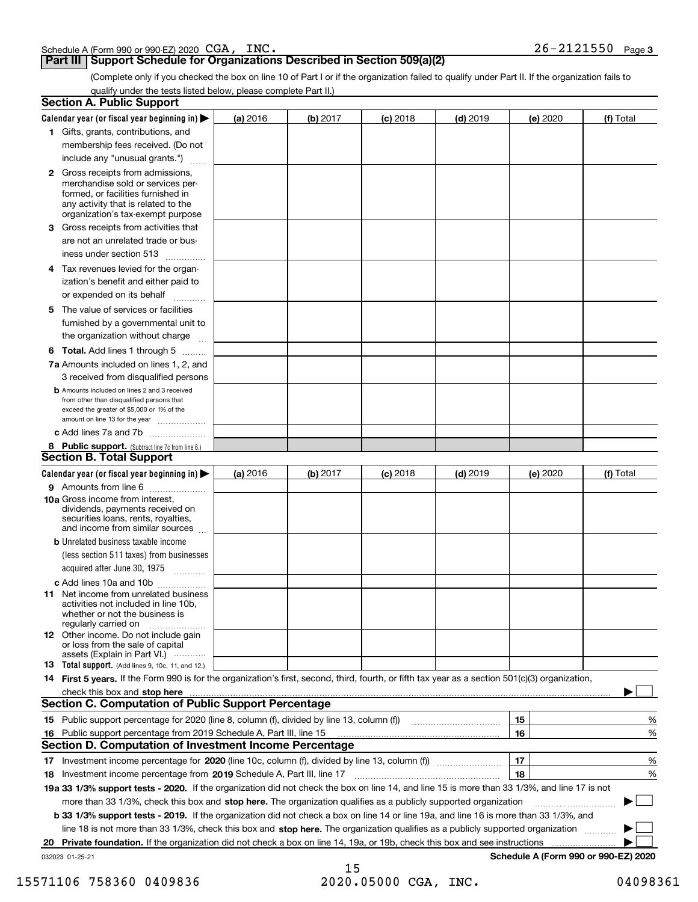| Schedule A (Form 990 or 990-EZ) 2020 | CGA. | INC. | $26 -$<br>-2121550 | Page |
|--------------------------------------|------|------|--------------------|------|
|--------------------------------------|------|------|--------------------|------|

### **Part III Support Schedule for Organizations Described in Section 509(a)(2)**

(Complete only if you checked the box on line 10 of Part I or if the organization failed to qualify under Part II. If the organization fails to qualify under the tests listed below, please complete Part II.)

|    | <b>Section A. Public Support</b>                                                                                                                                                                                               |          |          |            |            |          |                                      |
|----|--------------------------------------------------------------------------------------------------------------------------------------------------------------------------------------------------------------------------------|----------|----------|------------|------------|----------|--------------------------------------|
|    | Calendar year (or fiscal year beginning in) $\blacktriangleright$                                                                                                                                                              | (a) 2016 | (b) 2017 | $(c)$ 2018 | $(d)$ 2019 | (e) 2020 | (f) Total                            |
|    | 1 Gifts, grants, contributions, and                                                                                                                                                                                            |          |          |            |            |          |                                      |
|    | membership fees received. (Do not                                                                                                                                                                                              |          |          |            |            |          |                                      |
|    | include any "unusual grants.")                                                                                                                                                                                                 |          |          |            |            |          |                                      |
|    | <b>2</b> Gross receipts from admissions,<br>merchandise sold or services per-<br>formed, or facilities furnished in<br>any activity that is related to the<br>organization's tax-exempt purpose                                |          |          |            |            |          |                                      |
|    | 3 Gross receipts from activities that<br>are not an unrelated trade or bus-                                                                                                                                                    |          |          |            |            |          |                                      |
|    | iness under section 513                                                                                                                                                                                                        |          |          |            |            |          |                                      |
|    | 4 Tax revenues levied for the organ-<br>ization's benefit and either paid to<br>or expended on its behalf<br>.                                                                                                                 |          |          |            |            |          |                                      |
|    | 5 The value of services or facilities<br>furnished by a governmental unit to<br>the organization without charge                                                                                                                |          |          |            |            |          |                                      |
|    | <b>6 Total.</b> Add lines 1 through 5                                                                                                                                                                                          |          |          |            |            |          |                                      |
|    | 7a Amounts included on lines 1, 2, and<br>3 received from disqualified persons                                                                                                                                                 |          |          |            |            |          |                                      |
|    | <b>b</b> Amounts included on lines 2 and 3 received<br>from other than disqualified persons that<br>exceed the greater of \$5,000 or 1% of the<br>amount on line 13 for the year                                               |          |          |            |            |          |                                      |
|    | c Add lines 7a and 7b                                                                                                                                                                                                          |          |          |            |            |          |                                      |
|    | 8 Public support. (Subtract line 7c from line 6.)                                                                                                                                                                              |          |          |            |            |          |                                      |
|    | <b>Section B. Total Support</b>                                                                                                                                                                                                |          |          |            |            |          |                                      |
|    | Calendar year (or fiscal year beginning in)                                                                                                                                                                                    | (a) 2016 | (b) 2017 | $(c)$ 2018 | $(d)$ 2019 | (e) 2020 | (f) Total                            |
|    | 9 Amounts from line 6                                                                                                                                                                                                          |          |          |            |            |          |                                      |
|    | 10a Gross income from interest,<br>dividends, payments received on<br>securities loans, rents, royalties,<br>and income from similar sources                                                                                   |          |          |            |            |          |                                      |
|    | <b>b</b> Unrelated business taxable income                                                                                                                                                                                     |          |          |            |            |          |                                      |
|    | (less section 511 taxes) from businesses<br>acquired after June 30, 1975                                                                                                                                                       |          |          |            |            |          |                                      |
|    | c Add lines 10a and 10b<br>11 Net income from unrelated business<br>activities not included in line 10b,<br>whether or not the business is<br>regularly carried on                                                             |          |          |            |            |          |                                      |
|    | <b>12</b> Other income. Do not include gain<br>or loss from the sale of capital<br>assets (Explain in Part VI.)                                                                                                                |          |          |            |            |          |                                      |
|    | 13 Total support. (Add lines 9, 10c, 11, and 12.)                                                                                                                                                                              |          |          |            |            |          |                                      |
|    | 14 First 5 years. If the Form 990 is for the organization's first, second, third, fourth, or fifth tax year as a section 501(c)(3) organization,                                                                               |          |          |            |            |          |                                      |
|    | check this box and stop here measurements and contain the state of the state of the state of the state of the state of the state of the state of the state of the state of the state of the state of the state of the state of |          |          |            |            |          |                                      |
|    | <b>Section C. Computation of Public Support Percentage</b>                                                                                                                                                                     |          |          |            |            |          |                                      |
|    |                                                                                                                                                                                                                                |          |          |            |            | 15       | %                                    |
| 16 | Public support percentage from 2019 Schedule A, Part III, line 15                                                                                                                                                              |          |          |            |            | 16       | %                                    |
|    | <b>Section D. Computation of Investment Income Percentage</b>                                                                                                                                                                  |          |          |            |            |          |                                      |
|    | 17 Investment income percentage for 2020 (line 10c, column (f), divided by line 13, column (f))                                                                                                                                |          |          |            |            | 17       | %                                    |
|    | 18 Investment income percentage from 2019 Schedule A, Part III, line 17                                                                                                                                                        |          |          |            |            | 18       | %                                    |
|    | 19a 33 1/3% support tests - 2020. If the organization did not check the box on line 14, and line 15 is more than 33 1/3%, and line 17 is not                                                                                   |          |          |            |            |          |                                      |
|    | more than 33 1/3%, check this box and stop here. The organization qualifies as a publicly supported organization                                                                                                               |          |          |            |            |          |                                      |
|    | b 33 1/3% support tests - 2019. If the organization did not check a box on line 14 or line 19a, and line 16 is more than 33 1/3%, and                                                                                          |          |          |            |            |          |                                      |
|    | line 18 is not more than 33 1/3%, check this box and stop here. The organization qualifies as a publicly supported organization                                                                                                |          |          |            |            |          |                                      |
|    | 20 Private foundation. If the organization did not check a box on line 14, 19a, or 19b, check this box and see instructions                                                                                                    |          |          |            |            |          |                                      |
|    | 032023 01-25-21                                                                                                                                                                                                                |          |          |            |            |          | Schedule A (Form 990 or 990-EZ) 2020 |

<sup>15</sup> 15571106 758360 0409836 2020.05000 CGA, INC. 04098361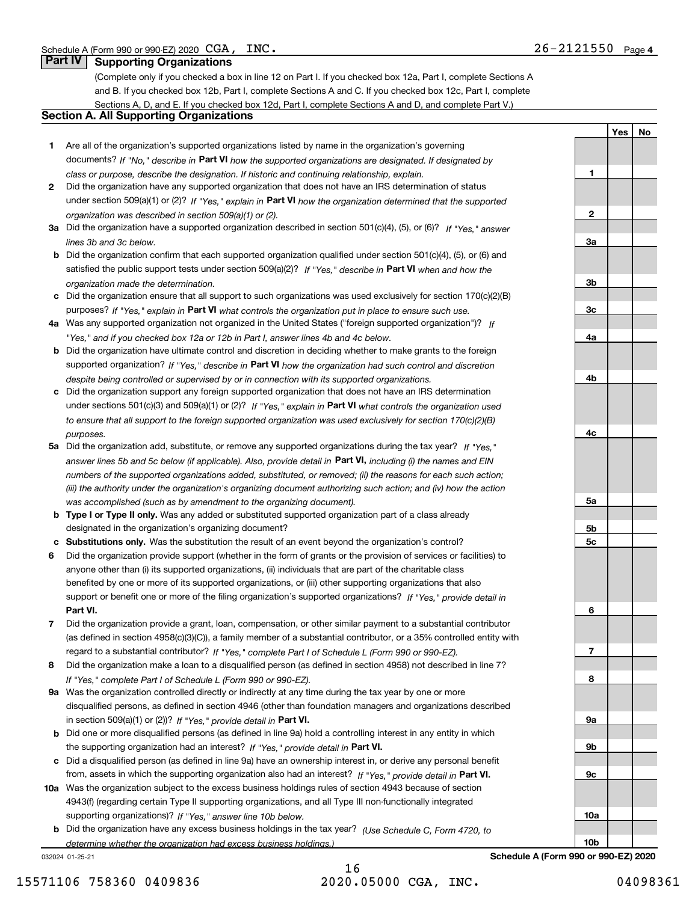**1**

**2**

**3a**

**3b**

**3c**

**4a**

**4b**

**4c**

**5a**

**5b5c**

**6**

**7**

**8**

**9a**

**9b**

**9c**

**10a**

**10b**

**YesNo**

## **Part IV Supporting Organizations**

(Complete only if you checked a box in line 12 on Part I. If you checked box 12a, Part I, complete Sections A and B. If you checked box 12b, Part I, complete Sections A and C. If you checked box 12c, Part I, complete Sections A, D, and E. If you checked box 12d, Part I, complete Sections A and D, and complete Part V.)

## **Section A. All Supporting Organizations**

- **1** Are all of the organization's supported organizations listed by name in the organization's governing documents? If "No," describe in **Part VI** how the supported organizations are designated. If designated by *class or purpose, describe the designation. If historic and continuing relationship, explain.*
- **2** Did the organization have any supported organization that does not have an IRS determination of status under section 509(a)(1) or (2)? If "Yes," explain in Part VI how the organization determined that the supported *organization was described in section 509(a)(1) or (2).*
- **3a** Did the organization have a supported organization described in section 501(c)(4), (5), or (6)? If "Yes," answer *lines 3b and 3c below.*
- **b** Did the organization confirm that each supported organization qualified under section 501(c)(4), (5), or (6) and satisfied the public support tests under section 509(a)(2)? If "Yes," describe in **Part VI** when and how the *organization made the determination.*
- **c**Did the organization ensure that all support to such organizations was used exclusively for section 170(c)(2)(B) purposes? If "Yes," explain in **Part VI** what controls the organization put in place to ensure such use.
- **4a***If* Was any supported organization not organized in the United States ("foreign supported organization")? *"Yes," and if you checked box 12a or 12b in Part I, answer lines 4b and 4c below.*
- **b** Did the organization have ultimate control and discretion in deciding whether to make grants to the foreign supported organization? If "Yes," describe in **Part VI** how the organization had such control and discretion *despite being controlled or supervised by or in connection with its supported organizations.*
- **c** Did the organization support any foreign supported organization that does not have an IRS determination under sections 501(c)(3) and 509(a)(1) or (2)? If "Yes," explain in **Part VI** what controls the organization used *to ensure that all support to the foreign supported organization was used exclusively for section 170(c)(2)(B) purposes.*
- **5a** Did the organization add, substitute, or remove any supported organizations during the tax year? If "Yes," answer lines 5b and 5c below (if applicable). Also, provide detail in **Part VI,** including (i) the names and EIN *numbers of the supported organizations added, substituted, or removed; (ii) the reasons for each such action; (iii) the authority under the organization's organizing document authorizing such action; and (iv) how the action was accomplished (such as by amendment to the organizing document).*
- **b** Type I or Type II only. Was any added or substituted supported organization part of a class already designated in the organization's organizing document?
- **cSubstitutions only.**  Was the substitution the result of an event beyond the organization's control?
- **6** Did the organization provide support (whether in the form of grants or the provision of services or facilities) to **Part VI.** *If "Yes," provide detail in* support or benefit one or more of the filing organization's supported organizations? anyone other than (i) its supported organizations, (ii) individuals that are part of the charitable class benefited by one or more of its supported organizations, or (iii) other supporting organizations that also
- **7**Did the organization provide a grant, loan, compensation, or other similar payment to a substantial contributor *If "Yes," complete Part I of Schedule L (Form 990 or 990-EZ).* regard to a substantial contributor? (as defined in section 4958(c)(3)(C)), a family member of a substantial contributor, or a 35% controlled entity with
- **8** Did the organization make a loan to a disqualified person (as defined in section 4958) not described in line 7? *If "Yes," complete Part I of Schedule L (Form 990 or 990-EZ).*
- **9a** Was the organization controlled directly or indirectly at any time during the tax year by one or more in section 509(a)(1) or (2))? If "Yes," *provide detail in* <code>Part VI.</code> disqualified persons, as defined in section 4946 (other than foundation managers and organizations described
- **b** Did one or more disqualified persons (as defined in line 9a) hold a controlling interest in any entity in which the supporting organization had an interest? If "Yes," provide detail in P**art VI**.
- **c**Did a disqualified person (as defined in line 9a) have an ownership interest in, or derive any personal benefit from, assets in which the supporting organization also had an interest? If "Yes," provide detail in P**art VI.**
- **10a** Was the organization subject to the excess business holdings rules of section 4943 because of section supporting organizations)? If "Yes," answer line 10b below. 4943(f) (regarding certain Type II supporting organizations, and all Type III non-functionally integrated
- **b** Did the organization have any excess business holdings in the tax year? (Use Schedule C, Form 4720, to **Schedule A (Form 990 or 990-EZ) 2020** *determine whether the organization had excess business holdings.)*

032024 01-25-21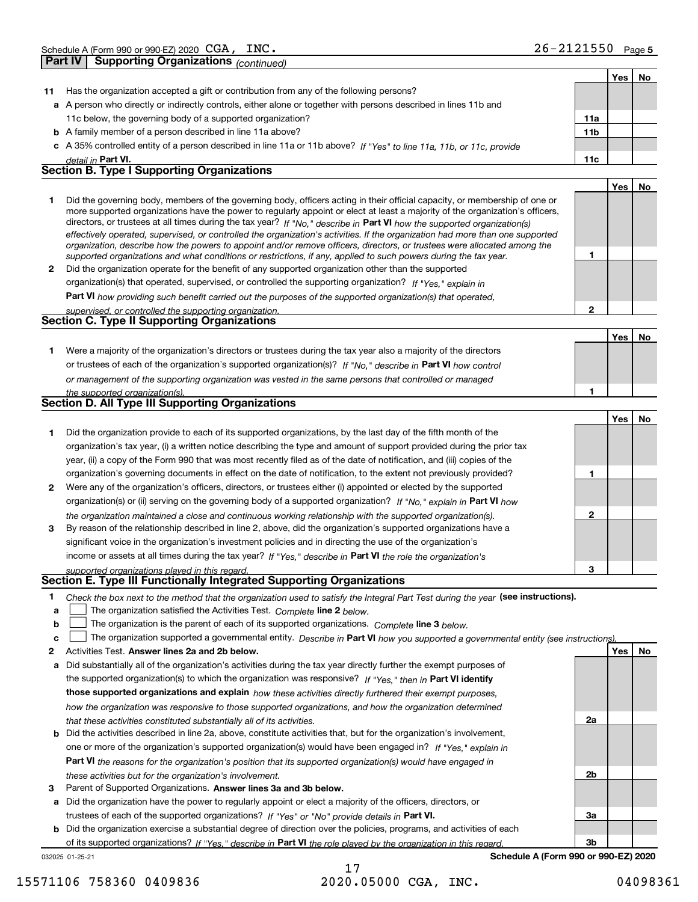**Part IV Supporting Organizations** *(continued)*

| CGA, | INC. | $\begin{array}{c} 2 & 1 \\ 2 & 3 \end{array}$<br>2121550<br>$\sim$ | Page 5 |
|------|------|--------------------------------------------------------------------|--------|
|      |      |                                                                    |        |

|    |                                                                                                                                                                                                                                              |     | Yes   No |    |
|----|----------------------------------------------------------------------------------------------------------------------------------------------------------------------------------------------------------------------------------------------|-----|----------|----|
| 11 | Has the organization accepted a gift or contribution from any of the following persons?                                                                                                                                                      |     |          |    |
|    | a A person who directly or indirectly controls, either alone or together with persons described in lines 11b and                                                                                                                             |     |          |    |
|    | 11c below, the governing body of a supported organization?                                                                                                                                                                                   | 11a |          |    |
|    | <b>b</b> A family member of a person described in line 11a above?                                                                                                                                                                            | 11b |          |    |
|    | c A 35% controlled entity of a person described in line 11a or 11b above? If "Yes" to line 11a, 11b, or 11c, provide                                                                                                                         |     |          |    |
|    | detail in Part VI.                                                                                                                                                                                                                           | 11c |          |    |
|    | <b>Section B. Type I Supporting Organizations</b>                                                                                                                                                                                            |     |          |    |
|    |                                                                                                                                                                                                                                              |     | Yes      | No |
| 1  | Did the governing body, members of the governing body, officers acting in their official capacity, or membership of one or                                                                                                                   |     |          |    |
|    | more supported organizations have the power to regularly appoint or elect at least a majority of the organization's officers,                                                                                                                |     |          |    |
|    | directors, or trustees at all times during the tax year? If "No," describe in Part VI how the supported organization(s)                                                                                                                      |     |          |    |
|    | effectively operated, supervised, or controlled the organization's activities. If the organization had more than one supported                                                                                                               |     |          |    |
|    | organization, describe how the powers to appoint and/or remove officers, directors, or trustees were allocated among the<br>supported organizations and what conditions or restrictions, if any, applied to such powers during the tax year. | 1   |          |    |
| 2  | Did the organization operate for the benefit of any supported organization other than the supported                                                                                                                                          |     |          |    |
|    | organization(s) that operated, supervised, or controlled the supporting organization? If "Yes," explain in                                                                                                                                   |     |          |    |
|    | Part VI how providing such benefit carried out the purposes of the supported organization(s) that operated,                                                                                                                                  |     |          |    |
|    | supervised, or controlled the supporting organization.                                                                                                                                                                                       | 2   |          |    |
|    | Section C. Type II Supporting Organizations                                                                                                                                                                                                  |     |          |    |
|    |                                                                                                                                                                                                                                              |     | Yes      | No |
| 1  | Were a majority of the organization's directors or trustees during the tax year also a majority of the directors                                                                                                                             |     |          |    |
|    | or trustees of each of the organization's supported organization(s)? If "No," describe in Part VI how control                                                                                                                                |     |          |    |
|    | or management of the supporting organization was vested in the same persons that controlled or managed                                                                                                                                       |     |          |    |
|    |                                                                                                                                                                                                                                              | 1   |          |    |
|    | the supported organization(s).<br><b>Section D. All Type III Supporting Organizations</b>                                                                                                                                                    |     |          |    |
|    |                                                                                                                                                                                                                                              |     | Yes      | No |
| 1  | Did the organization provide to each of its supported organizations, by the last day of the fifth month of the                                                                                                                               |     |          |    |
|    | organization's tax year, (i) a written notice describing the type and amount of support provided during the prior tax                                                                                                                        |     |          |    |
|    |                                                                                                                                                                                                                                              |     |          |    |
|    | year, (ii) a copy of the Form 990 that was most recently filed as of the date of notification, and (iii) copies of the                                                                                                                       | 1   |          |    |
|    | organization's governing documents in effect on the date of notification, to the extent not previously provided?                                                                                                                             |     |          |    |
| 2  | Were any of the organization's officers, directors, or trustees either (i) appointed or elected by the supported                                                                                                                             |     |          |    |
|    | organization(s) or (ii) serving on the governing body of a supported organization? If "No," explain in Part VI how                                                                                                                           |     |          |    |
|    | the organization maintained a close and continuous working relationship with the supported organization(s).                                                                                                                                  | 2   |          |    |
| 3  | By reason of the relationship described in line 2, above, did the organization's supported organizations have a                                                                                                                              |     |          |    |
|    | significant voice in the organization's investment policies and in directing the use of the organization's                                                                                                                                   |     |          |    |
|    | income or assets at all times during the tax year? If "Yes," describe in Part VI the role the organization's                                                                                                                                 |     |          |    |
|    | supported organizations played in this regard.<br>Section E. Type III Functionally Integrated Supporting Organizations                                                                                                                       | 3   |          |    |
|    |                                                                                                                                                                                                                                              |     |          |    |
| 1  | Check the box next to the method that the organization used to satisfy the Integral Part Test during the year (see instructions).                                                                                                            |     |          |    |
| a  | The organization satisfied the Activities Test. Complete line 2 below.                                                                                                                                                                       |     |          |    |
| b  | The organization is the parent of each of its supported organizations. Complete line 3 below.                                                                                                                                                |     |          |    |
| c  | The organization supported a governmental entity. Describe in Part VI how you supported a governmental entity (see instructions).                                                                                                            |     |          |    |
| 2  | Activities Test. Answer lines 2a and 2b below.                                                                                                                                                                                               |     | Yes      | No |
| а  | Did substantially all of the organization's activities during the tax year directly further the exempt purposes of                                                                                                                           |     |          |    |
|    | the supported organization(s) to which the organization was responsive? If "Yes," then in Part VI identify                                                                                                                                   |     |          |    |
|    | those supported organizations and explain how these activities directly furthered their exempt purposes,                                                                                                                                     |     |          |    |
|    | how the organization was responsive to those supported organizations, and how the organization determined                                                                                                                                    |     |          |    |
|    | that these activities constituted substantially all of its activities.                                                                                                                                                                       | 2a  |          |    |
|    | <b>b</b> Did the activities described in line 2a, above, constitute activities that, but for the organization's involvement,                                                                                                                 |     |          |    |
|    | one or more of the organization's supported organization(s) would have been engaged in? If "Yes," explain in                                                                                                                                 |     |          |    |
|    | <b>Part VI</b> the reasons for the organization's position that its supported organization(s) would have engaged in                                                                                                                          |     |          |    |
|    | these activities but for the organization's involvement.                                                                                                                                                                                     | 2b  |          |    |
| з  | Parent of Supported Organizations. Answer lines 3a and 3b below.                                                                                                                                                                             |     |          |    |
|    | a Did the organization have the power to regularly appoint or elect a majority of the officers, directors, or                                                                                                                                |     |          |    |
|    | trustees of each of the supported organizations? If "Yes" or "No" provide details in Part VI.                                                                                                                                                | За  |          |    |
|    | <b>b</b> Did the organization exercise a substantial degree of direction over the policies, programs, and activities of each                                                                                                                 |     |          |    |
|    | of its supported organizations? If "Yes." describe in Part VI the role played by the organization in this regard.                                                                                                                            | 3b  |          |    |
|    | Schedule A (Form 990 or 990-EZ) 2020<br>032025 01-25-21                                                                                                                                                                                      |     |          |    |

17 15571106 758360 0409836 2020.05000 CGA, INC. 04098361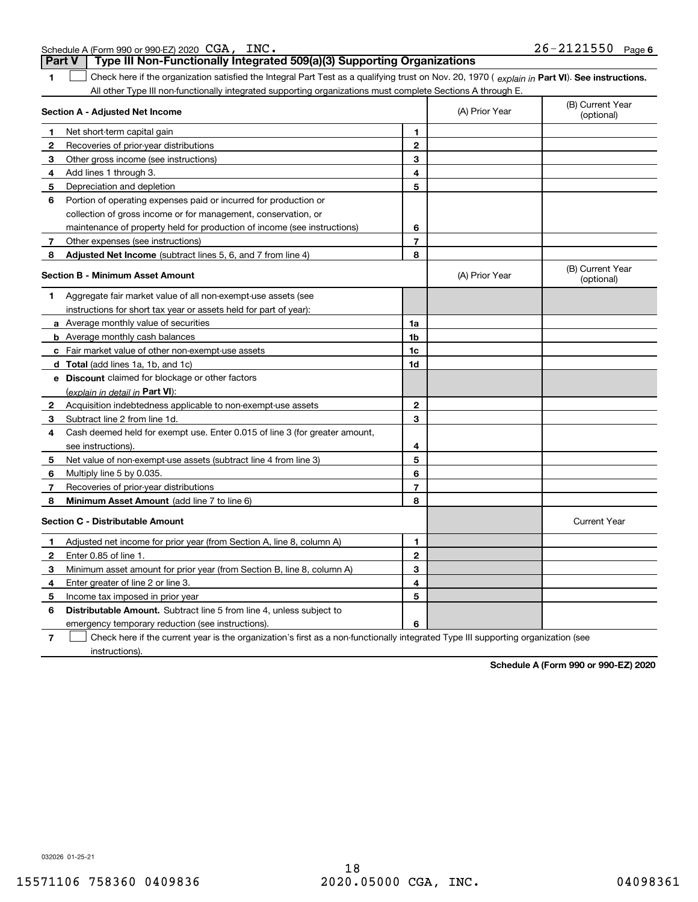| CGA,<br>INC.<br>$26 -$<br>-2121550<br>Schedule A (Form 990 or 990-EZ) 2020<br>Page |
|------------------------------------------------------------------------------------|
|------------------------------------------------------------------------------------|

**Part V Type III Non-Functionally Integrated 509(a)(3) Supporting Organizations** 

| 1            | Check here if the organization satisfied the Integral Part Test as a qualifying trust on Nov. 20, 1970 (explain in Part VI). See instructions. |                |                |                                |
|--------------|------------------------------------------------------------------------------------------------------------------------------------------------|----------------|----------------|--------------------------------|
|              | All other Type III non-functionally integrated supporting organizations must complete Sections A through E.                                    |                |                |                                |
|              | Section A - Adjusted Net Income                                                                                                                |                | (A) Prior Year | (B) Current Year<br>(optional) |
| $\mathbf{1}$ | Net short-term capital gain                                                                                                                    | 1              |                |                                |
| $\mathbf{2}$ | Recoveries of prior-year distributions                                                                                                         | $\mathbf{2}$   |                |                                |
| 3            | Other gross income (see instructions)                                                                                                          | 3              |                |                                |
| 4            | Add lines 1 through 3.                                                                                                                         | 4              |                |                                |
| 5            | Depreciation and depletion                                                                                                                     | 5              |                |                                |
| 6            | Portion of operating expenses paid or incurred for production or                                                                               |                |                |                                |
|              | collection of gross income or for management, conservation, or                                                                                 |                |                |                                |
|              | maintenance of property held for production of income (see instructions)                                                                       | 6              |                |                                |
| 7            | Other expenses (see instructions)                                                                                                              | $\overline{7}$ |                |                                |
| 8            | Adjusted Net Income (subtract lines 5, 6, and 7 from line 4)                                                                                   | 8              |                |                                |
|              | <b>Section B - Minimum Asset Amount</b>                                                                                                        |                | (A) Prior Year | (B) Current Year<br>(optional) |
| 1            | Aggregate fair market value of all non-exempt-use assets (see                                                                                  |                |                |                                |
|              | instructions for short tax year or assets held for part of year):                                                                              |                |                |                                |
|              | <b>a</b> Average monthly value of securities                                                                                                   | 1a             |                |                                |
|              | <b>b</b> Average monthly cash balances                                                                                                         | 1 <sub>b</sub> |                |                                |
|              | c Fair market value of other non-exempt-use assets                                                                                             | 1c             |                |                                |
|              | d Total (add lines 1a, 1b, and 1c)                                                                                                             | 1d             |                |                                |
|              | e Discount claimed for blockage or other factors                                                                                               |                |                |                                |
|              | (explain in detail in Part VI):                                                                                                                |                |                |                                |
| 2            | Acquisition indebtedness applicable to non-exempt-use assets                                                                                   | $\mathbf{2}$   |                |                                |
| 3            | Subtract line 2 from line 1d.                                                                                                                  | 3              |                |                                |
| 4            | Cash deemed held for exempt use. Enter 0.015 of line 3 (for greater amount,                                                                    |                |                |                                |
|              | see instructions).                                                                                                                             | 4              |                |                                |
| 5            | Net value of non-exempt-use assets (subtract line 4 from line 3)                                                                               | 5              |                |                                |
| 6            | Multiply line 5 by 0.035.                                                                                                                      | 6              |                |                                |
| 7            | Recoveries of prior-year distributions                                                                                                         | $\overline{7}$ |                |                                |
| 8            | Minimum Asset Amount (add line 7 to line 6)                                                                                                    | 8              |                |                                |
|              | <b>Section C - Distributable Amount</b>                                                                                                        |                |                | <b>Current Year</b>            |
| 1            | Adjusted net income for prior year (from Section A, line 8, column A)                                                                          | 1              |                |                                |
| 2            | Enter 0.85 of line 1.                                                                                                                          | $\mathbf{2}$   |                |                                |
| 3            | Minimum asset amount for prior year (from Section B, line 8, column A)                                                                         | 3              |                |                                |
| 4            | Enter greater of line 2 or line 3.                                                                                                             | 4              |                |                                |
| 5            | Income tax imposed in prior year                                                                                                               | 5              |                |                                |
| 6            | <b>Distributable Amount.</b> Subtract line 5 from line 4, unless subject to                                                                    |                |                |                                |
|              | emergency temporary reduction (see instructions).                                                                                              | 6              |                |                                |

**7**Check here if the current year is the organization's first as a non-functionally integrated Type III supporting organization (see instructions).

**Schedule A (Form 990 or 990-EZ) 2020**

032026 01-25-21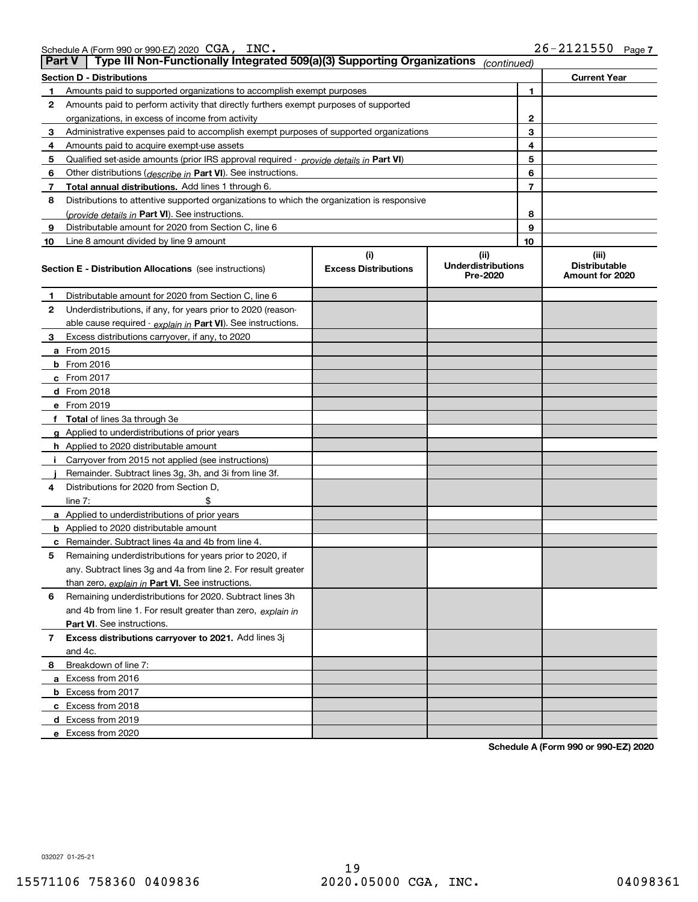|    | Type III Non-Functionally Integrated 509(a)(3) Supporting Organizations<br>∣ Part V<br>(continued) |                             |                                       |    |                                         |  |  |  |
|----|----------------------------------------------------------------------------------------------------|-----------------------------|---------------------------------------|----|-----------------------------------------|--|--|--|
|    | Section D - Distributions                                                                          |                             |                                       |    | <b>Current Year</b>                     |  |  |  |
| 1  | Amounts paid to supported organizations to accomplish exempt purposes                              |                             | 1                                     |    |                                         |  |  |  |
| 2  | Amounts paid to perform activity that directly furthers exempt purposes of supported               |                             |                                       |    |                                         |  |  |  |
|    | organizations, in excess of income from activity                                                   |                             | $\mathbf{2}$                          |    |                                         |  |  |  |
| 3  | Administrative expenses paid to accomplish exempt purposes of supported organizations              |                             |                                       | 3  |                                         |  |  |  |
| 4  | Amounts paid to acquire exempt-use assets                                                          |                             |                                       | 4  |                                         |  |  |  |
| 5  | Qualified set aside amounts (prior IRS approval required - provide details in Part VI)             |                             |                                       | 5  |                                         |  |  |  |
| 6  | Other distributions ( <i>describe in</i> Part VI). See instructions.                               |                             |                                       | 6  |                                         |  |  |  |
| 7  | Total annual distributions. Add lines 1 through 6.                                                 |                             |                                       | 7  |                                         |  |  |  |
| 8  | Distributions to attentive supported organizations to which the organization is responsive         |                             |                                       |    |                                         |  |  |  |
|    | (provide details in Part VI). See instructions.                                                    |                             |                                       | 8  |                                         |  |  |  |
| 9  | Distributable amount for 2020 from Section C, line 6                                               |                             |                                       | 9  |                                         |  |  |  |
| 10 | Line 8 amount divided by line 9 amount                                                             |                             |                                       | 10 |                                         |  |  |  |
|    |                                                                                                    | (i)                         | (ii)                                  |    | (iii)                                   |  |  |  |
|    | <b>Section E - Distribution Allocations</b> (see instructions)                                     | <b>Excess Distributions</b> | <b>Underdistributions</b><br>Pre-2020 |    | <b>Distributable</b><br>Amount for 2020 |  |  |  |
| 1  | Distributable amount for 2020 from Section C, line 6                                               |                             |                                       |    |                                         |  |  |  |
| 2  | Underdistributions, if any, for years prior to 2020 (reason-                                       |                             |                                       |    |                                         |  |  |  |
|    | able cause required - explain in Part VI). See instructions.                                       |                             |                                       |    |                                         |  |  |  |
| 3  | Excess distributions carryover, if any, to 2020                                                    |                             |                                       |    |                                         |  |  |  |
|    | <b>a</b> From 2015                                                                                 |                             |                                       |    |                                         |  |  |  |
|    | <b>b</b> From 2016                                                                                 |                             |                                       |    |                                         |  |  |  |
|    | <b>c</b> From 2017                                                                                 |                             |                                       |    |                                         |  |  |  |
|    | d From 2018                                                                                        |                             |                                       |    |                                         |  |  |  |
|    | e From 2019                                                                                        |                             |                                       |    |                                         |  |  |  |
|    | f Total of lines 3a through 3e                                                                     |                             |                                       |    |                                         |  |  |  |
|    | g Applied to underdistributions of prior years                                                     |                             |                                       |    |                                         |  |  |  |
|    | <b>h</b> Applied to 2020 distributable amount                                                      |                             |                                       |    |                                         |  |  |  |
|    | Carryover from 2015 not applied (see instructions)                                                 |                             |                                       |    |                                         |  |  |  |
|    | Remainder. Subtract lines 3g, 3h, and 3i from line 3f.                                             |                             |                                       |    |                                         |  |  |  |
| 4  | Distributions for 2020 from Section D,                                                             |                             |                                       |    |                                         |  |  |  |
|    | line $7:$                                                                                          |                             |                                       |    |                                         |  |  |  |
|    | a Applied to underdistributions of prior years                                                     |                             |                                       |    |                                         |  |  |  |
|    | <b>b</b> Applied to 2020 distributable amount                                                      |                             |                                       |    |                                         |  |  |  |
|    | c Remainder. Subtract lines 4a and 4b from line 4.                                                 |                             |                                       |    |                                         |  |  |  |
| 5  | Remaining underdistributions for years prior to 2020, if                                           |                             |                                       |    |                                         |  |  |  |
|    | any. Subtract lines 3g and 4a from line 2. For result greater                                      |                             |                                       |    |                                         |  |  |  |
|    | than zero, explain in Part VI. See instructions.                                                   |                             |                                       |    |                                         |  |  |  |
| 6  | Remaining underdistributions for 2020. Subtract lines 3h                                           |                             |                                       |    |                                         |  |  |  |
|    | and 4b from line 1. For result greater than zero, explain in                                       |                             |                                       |    |                                         |  |  |  |
|    | Part VI. See instructions.                                                                         |                             |                                       |    |                                         |  |  |  |
| 7  | Excess distributions carryover to 2021. Add lines 3j                                               |                             |                                       |    |                                         |  |  |  |
|    | and 4c.                                                                                            |                             |                                       |    |                                         |  |  |  |
| 8  | Breakdown of line 7:                                                                               |                             |                                       |    |                                         |  |  |  |
|    | a Excess from 2016                                                                                 |                             |                                       |    |                                         |  |  |  |
|    | <b>b</b> Excess from 2017                                                                          |                             |                                       |    |                                         |  |  |  |
|    | c Excess from 2018                                                                                 |                             |                                       |    |                                         |  |  |  |
|    | d Excess from 2019                                                                                 |                             |                                       |    |                                         |  |  |  |
|    | e Excess from 2020                                                                                 |                             |                                       |    |                                         |  |  |  |
|    |                                                                                                    |                             |                                       |    |                                         |  |  |  |

**Schedule A (Form 990 or 990-EZ) 2020**

032027 01-25-21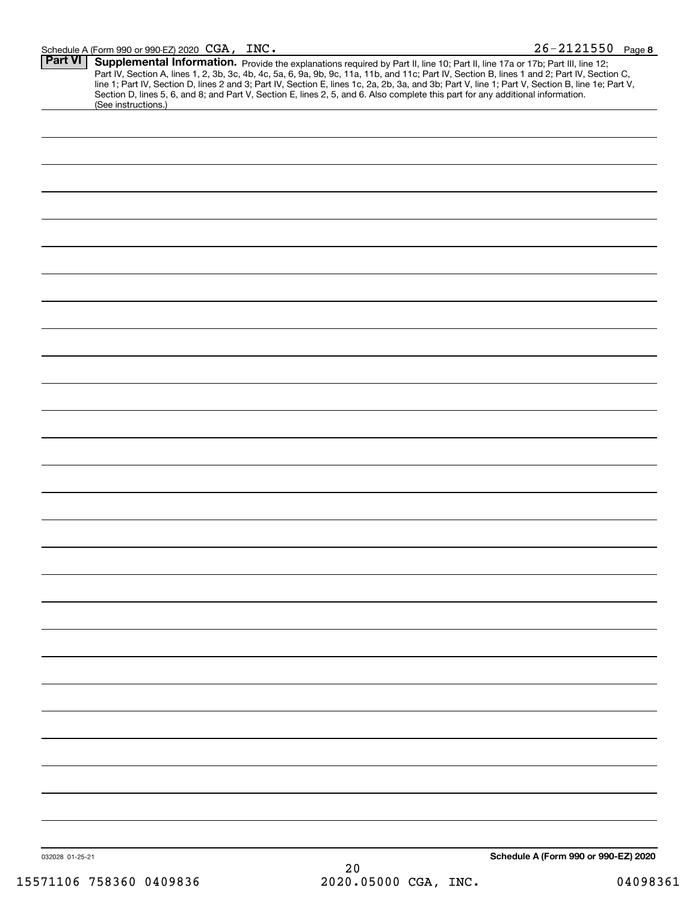|                 | <b>Supplemental Information.</b> Provide the explanations required by Part II, line 10; Part II, line 17a or 17b; Part III, line 12;<br>Part IV, Section A, lines 1, 2, 3b, 3c, 4b, 4c, 5a, 6, 9a, 9b, 9c, 11a, 11b, and 11c; Part IV,<br>Section D, lines 5, 6, and 8; and Part V, Section E, lines 2, 5, and 6. Also complete this part for any additional information. |
|-----------------|---------------------------------------------------------------------------------------------------------------------------------------------------------------------------------------------------------------------------------------------------------------------------------------------------------------------------------------------------------------------------|
|                 | (See instructions.)                                                                                                                                                                                                                                                                                                                                                       |
|                 |                                                                                                                                                                                                                                                                                                                                                                           |
|                 |                                                                                                                                                                                                                                                                                                                                                                           |
|                 |                                                                                                                                                                                                                                                                                                                                                                           |
|                 |                                                                                                                                                                                                                                                                                                                                                                           |
|                 |                                                                                                                                                                                                                                                                                                                                                                           |
|                 |                                                                                                                                                                                                                                                                                                                                                                           |
|                 |                                                                                                                                                                                                                                                                                                                                                                           |
|                 |                                                                                                                                                                                                                                                                                                                                                                           |
|                 |                                                                                                                                                                                                                                                                                                                                                                           |
|                 |                                                                                                                                                                                                                                                                                                                                                                           |
|                 |                                                                                                                                                                                                                                                                                                                                                                           |
|                 |                                                                                                                                                                                                                                                                                                                                                                           |
|                 |                                                                                                                                                                                                                                                                                                                                                                           |
|                 |                                                                                                                                                                                                                                                                                                                                                                           |
|                 |                                                                                                                                                                                                                                                                                                                                                                           |
|                 |                                                                                                                                                                                                                                                                                                                                                                           |
|                 |                                                                                                                                                                                                                                                                                                                                                                           |
|                 |                                                                                                                                                                                                                                                                                                                                                                           |
|                 |                                                                                                                                                                                                                                                                                                                                                                           |
|                 |                                                                                                                                                                                                                                                                                                                                                                           |
|                 |                                                                                                                                                                                                                                                                                                                                                                           |
|                 |                                                                                                                                                                                                                                                                                                                                                                           |
|                 |                                                                                                                                                                                                                                                                                                                                                                           |
|                 |                                                                                                                                                                                                                                                                                                                                                                           |
|                 |                                                                                                                                                                                                                                                                                                                                                                           |
|                 |                                                                                                                                                                                                                                                                                                                                                                           |
|                 |                                                                                                                                                                                                                                                                                                                                                                           |
|                 |                                                                                                                                                                                                                                                                                                                                                                           |
|                 |                                                                                                                                                                                                                                                                                                                                                                           |
|                 |                                                                                                                                                                                                                                                                                                                                                                           |
|                 |                                                                                                                                                                                                                                                                                                                                                                           |
| 032028 01-25-21 | Schedule A (Form 990 or 990-EZ) 2020                                                                                                                                                                                                                                                                                                                                      |
|                 | 20<br>2020.05000 CGA, INC.<br>15571106 758360 0409836                                                                                                                                                                                                                                                                                                                     |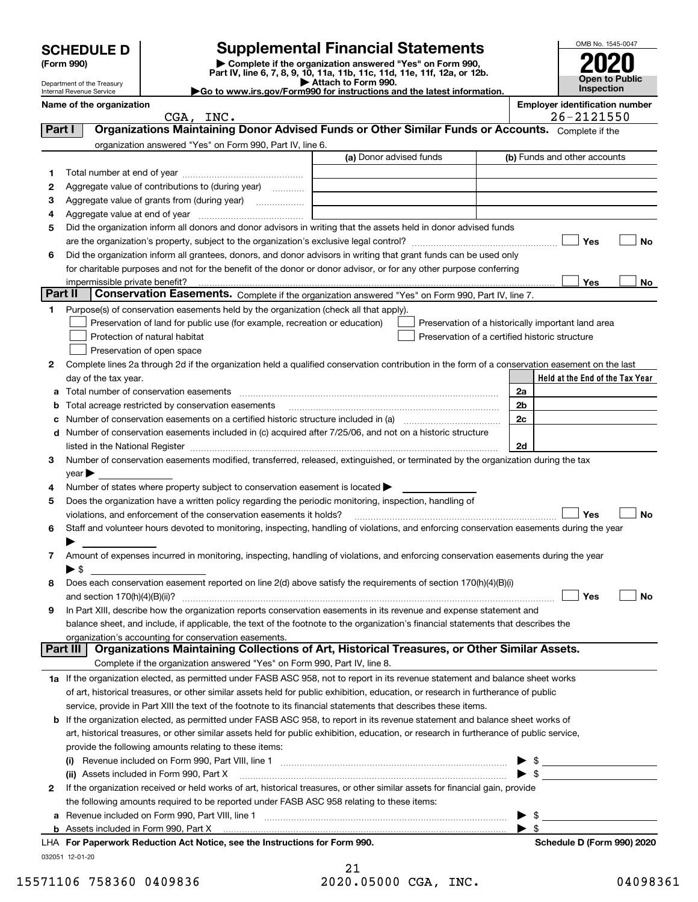| <b>SCHEDULE D</b> |  |
|-------------------|--|
|-------------------|--|

Department of the Treasury Internal Revenue Service

| (Form 990) |  |
|------------|--|
|------------|--|

# **SCHEDULE D Supplemental Financial Statements**

(Form 990)<br>
Pepartment of the Treasury<br>
Department of the Treasury<br>
Department of the Treasury<br>
Department of the Treasury<br> **Co to www.irs.gov/Form990 for instructions and the latest information.**<br> **Co to www.irs.gov/Form9** 



|         | Name of the organization                                                                                                                                                 |                         | <b>Employer identification number</b><br>26-2121550 |
|---------|--------------------------------------------------------------------------------------------------------------------------------------------------------------------------|-------------------------|-----------------------------------------------------|
|         | CGA, INC.                                                                                                                                                                |                         |                                                     |
| Part I  | Organizations Maintaining Donor Advised Funds or Other Similar Funds or Accounts. Complete if the                                                                        |                         |                                                     |
|         | organization answered "Yes" on Form 990, Part IV, line 6.                                                                                                                |                         |                                                     |
|         |                                                                                                                                                                          | (a) Donor advised funds | (b) Funds and other accounts                        |
| 1.      |                                                                                                                                                                          |                         |                                                     |
| 2       | Aggregate value of contributions to (during year)                                                                                                                        |                         |                                                     |
| з       | Aggregate value of grants from (during year)                                                                                                                             |                         |                                                     |
| 4       |                                                                                                                                                                          |                         |                                                     |
| 5       | Did the organization inform all donors and donor advisors in writing that the assets held in donor advised funds                                                         |                         |                                                     |
|         |                                                                                                                                                                          |                         | Yes<br>No                                           |
| 6       | Did the organization inform all grantees, donors, and donor advisors in writing that grant funds can be used only                                                        |                         |                                                     |
|         | for charitable purposes and not for the benefit of the donor or donor advisor, or for any other purpose conferring                                                       |                         |                                                     |
|         |                                                                                                                                                                          |                         | Yes<br>No                                           |
| Part II | Conservation Easements. Complete if the organization answered "Yes" on Form 990, Part IV, line 7.                                                                        |                         |                                                     |
| 1.      | Purpose(s) of conservation easements held by the organization (check all that apply).                                                                                    |                         |                                                     |
|         | Preservation of land for public use (for example, recreation or education)                                                                                               |                         | Preservation of a historically important land area  |
|         | Protection of natural habitat                                                                                                                                            |                         | Preservation of a certified historic structure      |
|         | Preservation of open space                                                                                                                                               |                         |                                                     |
| 2       | Complete lines 2a through 2d if the organization held a qualified conservation contribution in the form of a conservation easement on the last                           |                         |                                                     |
|         | day of the tax year.                                                                                                                                                     |                         | Held at the End of the Tax Year                     |
| а       |                                                                                                                                                                          |                         | 2a                                                  |
| b       | Total acreage restricted by conservation easements                                                                                                                       |                         | 2 <sub>b</sub>                                      |
| с       |                                                                                                                                                                          |                         | 2c                                                  |
|         | d Number of conservation easements included in (c) acquired after 7/25/06, and not on a historic structure                                                               |                         |                                                     |
|         |                                                                                                                                                                          |                         | 2d                                                  |
| 3       | Number of conservation easements modified, transferred, released, extinguished, or terminated by the organization during the tax                                         |                         |                                                     |
|         | $year \blacktriangleright$                                                                                                                                               |                         |                                                     |
| 4       | Number of states where property subject to conservation easement is located >                                                                                            |                         |                                                     |
| 5       | Does the organization have a written policy regarding the periodic monitoring, inspection, handling of                                                                   |                         |                                                     |
|         | violations, and enforcement of the conservation easements it holds?                                                                                                      |                         | Yes<br><b>No</b>                                    |
| 6       | Staff and volunteer hours devoted to monitoring, inspecting, handling of violations, and enforcing conservation easements during the year                                |                         |                                                     |
|         |                                                                                                                                                                          |                         |                                                     |
| 7       | Amount of expenses incurred in monitoring, inspecting, handling of violations, and enforcing conservation easements during the year                                      |                         |                                                     |
|         | ▶ \$                                                                                                                                                                     |                         |                                                     |
| 8       | Does each conservation easement reported on line 2(d) above satisfy the requirements of section 170(h)(4)(B)(i)                                                          |                         |                                                     |
|         |                                                                                                                                                                          |                         | Yes<br>No                                           |
|         | In Part XIII, describe how the organization reports conservation easements in its revenue and expense statement and                                                      |                         |                                                     |
|         | balance sheet, and include, if applicable, the text of the footnote to the organization's financial statements that describes the                                        |                         |                                                     |
|         | organization's accounting for conservation easements.<br>Organizations Maintaining Collections of Art, Historical Treasures, or Other Similar Assets.<br>Part III        |                         |                                                     |
|         |                                                                                                                                                                          |                         |                                                     |
|         | Complete if the organization answered "Yes" on Form 990, Part IV, line 8.                                                                                                |                         |                                                     |
|         | 1a If the organization elected, as permitted under FASB ASC 958, not to report in its revenue statement and balance sheet works                                          |                         |                                                     |
|         | of art, historical treasures, or other similar assets held for public exhibition, education, or research in furtherance of public                                        |                         |                                                     |
|         | service, provide in Part XIII the text of the footnote to its financial statements that describes these items.                                                           |                         |                                                     |
|         | <b>b</b> If the organization elected, as permitted under FASB ASC 958, to report in its revenue statement and balance sheet works of                                     |                         |                                                     |
|         | art, historical treasures, or other similar assets held for public exhibition, education, or research in furtherance of public service,                                  |                         |                                                     |
|         | provide the following amounts relating to these items:                                                                                                                   |                         |                                                     |
|         | $\left( 1\right)$                                                                                                                                                        |                         | -\$<br>$\blacktriangleright$ \$                     |
|         | (ii) Assets included in Form 990, Part X<br>If the organization received or held works of art, historical treasures, or other similar assets for financial gain, provide |                         |                                                     |
| 2       |                                                                                                                                                                          |                         |                                                     |
|         | the following amounts required to be reported under FASB ASC 958 relating to these items:                                                                                |                         |                                                     |
|         | <b>b</b> Assets included in Form 990, Part X                                                                                                                             |                         | \$<br>$\blacktriangleright$ s                       |
|         | LHA For Paperwork Reduction Act Notice, see the Instructions for Form 990.                                                                                               |                         | Schedule D (Form 990) 2020                          |
|         | 032051 12-01-20                                                                                                                                                          |                         |                                                     |
|         |                                                                                                                                                                          |                         |                                                     |

21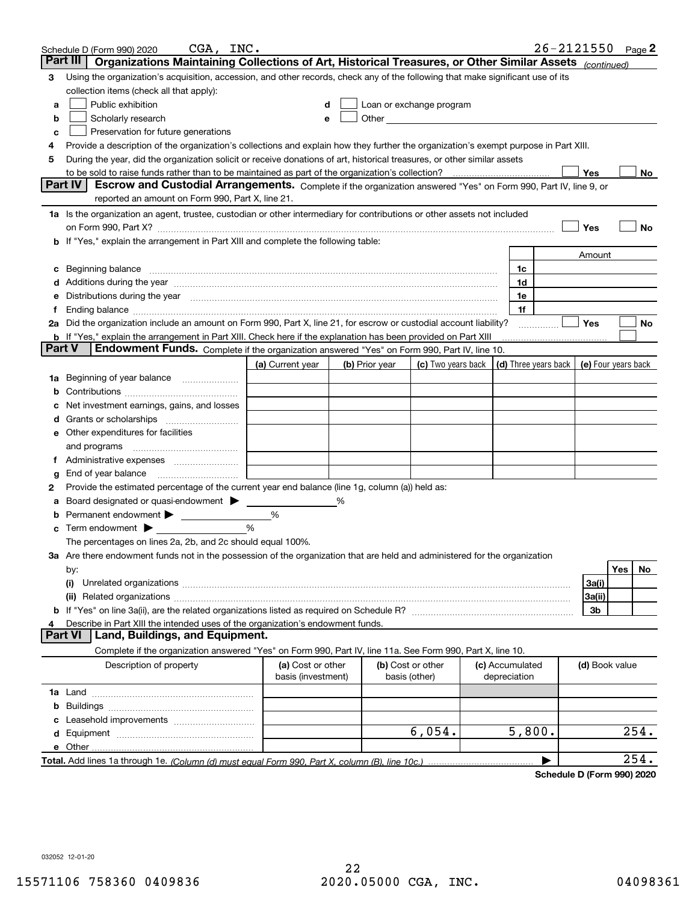|               | CGA, INC.<br>Schedule D (Form 990) 2020                                                                                                                                                                                       |                                         |   |                |                                                                                                               |                                      | 26-2121550 |                     |     | Page $2$ |
|---------------|-------------------------------------------------------------------------------------------------------------------------------------------------------------------------------------------------------------------------------|-----------------------------------------|---|----------------|---------------------------------------------------------------------------------------------------------------|--------------------------------------|------------|---------------------|-----|----------|
|               | Part III<br>Organizations Maintaining Collections of Art, Historical Treasures, or Other Similar Assets (continued)                                                                                                           |                                         |   |                |                                                                                                               |                                      |            |                     |     |          |
| 3             | Using the organization's acquisition, accession, and other records, check any of the following that make significant use of its                                                                                               |                                         |   |                |                                                                                                               |                                      |            |                     |     |          |
|               | collection items (check all that apply):                                                                                                                                                                                      |                                         |   |                |                                                                                                               |                                      |            |                     |     |          |
| a             | Public exhibition                                                                                                                                                                                                             |                                         | d |                | Loan or exchange program                                                                                      |                                      |            |                     |     |          |
| b             | Scholarly research                                                                                                                                                                                                            |                                         | е |                | Other and the contract of the contract of the contract of the contract of the contract of the contract of the |                                      |            |                     |     |          |
| c             | Preservation for future generations                                                                                                                                                                                           |                                         |   |                |                                                                                                               |                                      |            |                     |     |          |
| 4             | Provide a description of the organization's collections and explain how they further the organization's exempt purpose in Part XIII.                                                                                          |                                         |   |                |                                                                                                               |                                      |            |                     |     |          |
| 5             | During the year, did the organization solicit or receive donations of art, historical treasures, or other similar assets                                                                                                      |                                         |   |                |                                                                                                               |                                      |            |                     |     |          |
|               | to be sold to raise funds rather than to be maintained as part of the organization's collection?                                                                                                                              |                                         |   |                |                                                                                                               |                                      |            | Yes                 |     | No       |
|               | <b>Part IV</b><br>Escrow and Custodial Arrangements. Complete if the organization answered "Yes" on Form 990, Part IV, line 9, or                                                                                             |                                         |   |                |                                                                                                               |                                      |            |                     |     |          |
|               | reported an amount on Form 990, Part X, line 21.                                                                                                                                                                              |                                         |   |                |                                                                                                               |                                      |            |                     |     |          |
|               | 1a Is the organization an agent, trustee, custodian or other intermediary for contributions or other assets not included                                                                                                      |                                         |   |                |                                                                                                               |                                      |            |                     |     |          |
|               | on Form 990, Part X? [11] matter contracts and contracts and contracts are contracted as a form 990, Part X?                                                                                                                  |                                         |   |                |                                                                                                               |                                      |            | Yes                 |     | No       |
|               | If "Yes," explain the arrangement in Part XIII and complete the following table:                                                                                                                                              |                                         |   |                |                                                                                                               |                                      |            |                     |     |          |
|               |                                                                                                                                                                                                                               |                                         |   |                |                                                                                                               |                                      |            | Amount              |     |          |
| с             | Beginning balance                                                                                                                                                                                                             |                                         |   |                |                                                                                                               | 1c                                   |            |                     |     |          |
|               | Additions during the year manufactured and an account of the year manufactured and account of the year manufactured and account of the state of the state of the state of the state of the state of the state of the state of |                                         |   |                |                                                                                                               | 1d                                   |            |                     |     |          |
| е             | Distributions during the year manufactured and continuum control of the year manufactured and control of the year manufactured and control of the year manufactured and control of the state of the state of the state of the |                                         |   |                |                                                                                                               | 1e                                   |            |                     |     |          |
| f             |                                                                                                                                                                                                                               |                                         |   |                |                                                                                                               | 1f                                   |            |                     |     |          |
|               | 2a Did the organization include an amount on Form 990, Part X, line 21, for escrow or custodial account liability?                                                                                                            |                                         |   |                |                                                                                                               |                                      |            | Yes                 |     | No       |
|               | <b>b</b> If "Yes," explain the arrangement in Part XIII. Check here if the explanation has been provided on Part XIII                                                                                                         |                                         |   |                |                                                                                                               |                                      |            |                     |     |          |
| <b>Part V</b> | Endowment Funds. Complete if the organization answered "Yes" on Form 990, Part IV, line 10.                                                                                                                                   |                                         |   |                |                                                                                                               |                                      |            |                     |     |          |
|               |                                                                                                                                                                                                                               | (a) Current year                        |   | (b) Prior year | (c) Two years back                                                                                            | $\vert$ (d) Three years back $\vert$ |            | (e) Four years back |     |          |
| 1a            | Beginning of year balance                                                                                                                                                                                                     |                                         |   |                |                                                                                                               |                                      |            |                     |     |          |
|               |                                                                                                                                                                                                                               |                                         |   |                |                                                                                                               |                                      |            |                     |     |          |
|               | Net investment earnings, gains, and losses                                                                                                                                                                                    |                                         |   |                |                                                                                                               |                                      |            |                     |     |          |
| a             | Grants or scholarships                                                                                                                                                                                                        |                                         |   |                |                                                                                                               |                                      |            |                     |     |          |
| е             | Other expenditures for facilities                                                                                                                                                                                             |                                         |   |                |                                                                                                               |                                      |            |                     |     |          |
|               | and programs                                                                                                                                                                                                                  |                                         |   |                |                                                                                                               |                                      |            |                     |     |          |
| f             |                                                                                                                                                                                                                               |                                         |   |                |                                                                                                               |                                      |            |                     |     |          |
| g             | End of year balance                                                                                                                                                                                                           |                                         |   |                |                                                                                                               |                                      |            |                     |     |          |
| 2             | Provide the estimated percentage of the current year end balance (line 1g, column (a)) held as:                                                                                                                               |                                         |   |                |                                                                                                               |                                      |            |                     |     |          |
|               | Board designated or quasi-endowment > ____                                                                                                                                                                                    |                                         | % |                |                                                                                                               |                                      |            |                     |     |          |
|               | Permanent endowment > _____________                                                                                                                                                                                           | %                                       |   |                |                                                                                                               |                                      |            |                     |     |          |
| с             | Term endowment $\blacktriangleright$                                                                                                                                                                                          | $\frac{0}{0}$                           |   |                |                                                                                                               |                                      |            |                     |     |          |
|               | The percentages on lines 2a, 2b, and 2c should equal 100%.                                                                                                                                                                    |                                         |   |                |                                                                                                               |                                      |            |                     |     |          |
|               | 3a Are there endowment funds not in the possession of the organization that are held and administered for the organization                                                                                                    |                                         |   |                |                                                                                                               |                                      |            |                     |     |          |
|               | by:                                                                                                                                                                                                                           |                                         |   |                |                                                                                                               |                                      |            |                     | Yes | No       |
|               | (i)                                                                                                                                                                                                                           |                                         |   |                |                                                                                                               |                                      |            | 3a(i)               |     |          |
|               |                                                                                                                                                                                                                               |                                         |   |                |                                                                                                               |                                      |            | 3a(ii)              |     |          |
| b             |                                                                                                                                                                                                                               |                                         |   |                |                                                                                                               |                                      |            | 3b                  |     |          |
|               | Describe in Part XIII the intended uses of the organization's endowment funds.<br>Land, Buildings, and Equipment.<br><b>Part VI</b>                                                                                           |                                         |   |                |                                                                                                               |                                      |            |                     |     |          |
|               | Complete if the organization answered "Yes" on Form 990, Part IV, line 11a. See Form 990, Part X, line 10.                                                                                                                    |                                         |   |                |                                                                                                               |                                      |            |                     |     |          |
|               |                                                                                                                                                                                                                               |                                         |   |                |                                                                                                               |                                      |            |                     |     |          |
|               | Description of property                                                                                                                                                                                                       | (a) Cost or other<br>basis (investment) |   |                | (b) Cost or other<br>basis (other)                                                                            | (c) Accumulated<br>depreciation      |            | (d) Book value      |     |          |
|               |                                                                                                                                                                                                                               |                                         |   |                |                                                                                                               |                                      |            |                     |     |          |
| b             |                                                                                                                                                                                                                               |                                         |   |                |                                                                                                               |                                      |            |                     |     |          |
|               |                                                                                                                                                                                                                               |                                         |   |                |                                                                                                               |                                      |            |                     |     |          |
| c<br>d        |                                                                                                                                                                                                                               |                                         |   |                | 6,054.                                                                                                        | 5,800.                               |            |                     |     | 254.     |
|               | e Other                                                                                                                                                                                                                       |                                         |   |                |                                                                                                               |                                      |            |                     |     |          |
|               |                                                                                                                                                                                                                               |                                         |   |                |                                                                                                               |                                      |            |                     |     | 254.     |
|               |                                                                                                                                                                                                                               |                                         |   |                |                                                                                                               |                                      |            |                     |     |          |

**Schedule D (Form 990) 2020**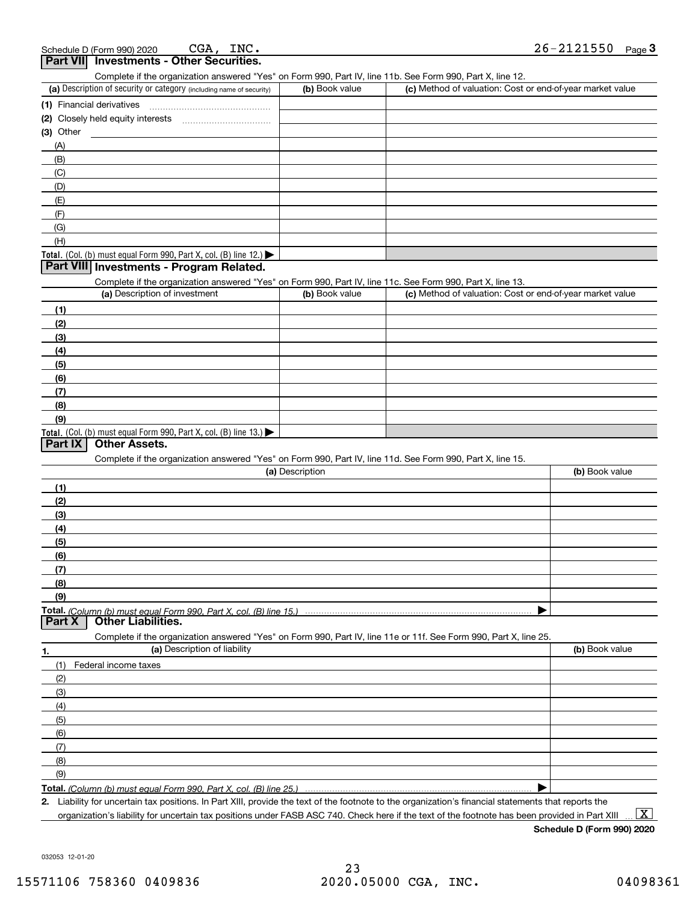| chedule D (Form 990) 2020                | CGA. | INC. | 26-2121550 | Page 3 |
|------------------------------------------|------|------|------------|--------|
| Part VII Investments - Other Securities. |      |      |            |        |

Complete if the organization answered "Yes" on Form 990, Part IV, line 11b. See Form 990, Part X, line 12.

| (a) Description of security or category (including name of security)                          | (b) Book value | (c) Method of valuation: Cost or end-of-year market value |
|-----------------------------------------------------------------------------------------------|----------------|-----------------------------------------------------------|
| (1) Financial derivatives                                                                     |                |                                                           |
| (2) Closely held equity interests                                                             |                |                                                           |
| $(3)$ Other                                                                                   |                |                                                           |
| (A)                                                                                           |                |                                                           |
| (B)                                                                                           |                |                                                           |
| (C)                                                                                           |                |                                                           |
| (D)                                                                                           |                |                                                           |
| (E)                                                                                           |                |                                                           |
| (F)                                                                                           |                |                                                           |
| (G)                                                                                           |                |                                                           |
| (H)                                                                                           |                |                                                           |
| <b>Total.</b> (Col. (b) must equal Form 990, Part X, col. (B) line 12.) $\blacktriangleright$ |                |                                                           |

### **Part VIII Investments - Program Related.**

Complete if the organization answered "Yes" on Form 990, Part IV, line 11c. See Form 990, Part X, line 13.

| (a) Description of investment                                    | (b) Book value | (c) Method of valuation: Cost or end-of-year market value |
|------------------------------------------------------------------|----------------|-----------------------------------------------------------|
| (1)                                                              |                |                                                           |
| (2)                                                              |                |                                                           |
| $\frac{1}{2}$                                                    |                |                                                           |
| (4)                                                              |                |                                                           |
| $\frac{1}{2}$                                                    |                |                                                           |
| (6)                                                              |                |                                                           |
| $\sqrt{(7)}$                                                     |                |                                                           |
| (8)                                                              |                |                                                           |
| (9)                                                              |                |                                                           |
| Total. (Col. (b) must equal Form 990, Part X, col. (B) line 13.) |                |                                                           |

## **Part IX Other Assets.**

Complete if the organization answered "Yes" on Form 990, Part IV, line 11d. See Form 990, Part X, line 15.

| (a) Description                                                                                                   | (b) Book value |
|-------------------------------------------------------------------------------------------------------------------|----------------|
| (1)                                                                                                               |                |
| (2)                                                                                                               |                |
| (3)                                                                                                               |                |
| (4)                                                                                                               |                |
| (5)                                                                                                               |                |
| (6)                                                                                                               |                |
| (7)                                                                                                               |                |
| (8)                                                                                                               |                |
| (9)                                                                                                               |                |
|                                                                                                                   |                |
| <b>Other Liabilities.</b><br><b>Part X</b>                                                                        |                |
| Complete if the organization answered "Yes" on Form 990, Part IV, line 11e or 11f. See Form 990, Part X, line 25. |                |
| (a) Description of liability<br>1.                                                                                | (b) Book value |

| (1) Federal income taxes |  |
|--------------------------|--|
| (2)                      |  |
| (3)                      |  |
| (4)                      |  |
| $\frac{1}{2}$ (5)        |  |
| (6)                      |  |
| (7)                      |  |
| (8)                      |  |
| (9)                      |  |
|                          |  |

**Total.**  *(Column (b) must equal Form 990, Part X, col. (B) line 25.)*

**2.** Liability for uncertain tax positions. In Part XIII, provide the text of the footnote to the organization's financial statements that reports the organization's liability for uncertain tax positions under FASB ASC 740. Check here if the text of the footnote has been provided in Part XIII

 $\boxed{\text{X}}$ 

**Schedule D (Form 990) 2020**

032053 12-01-20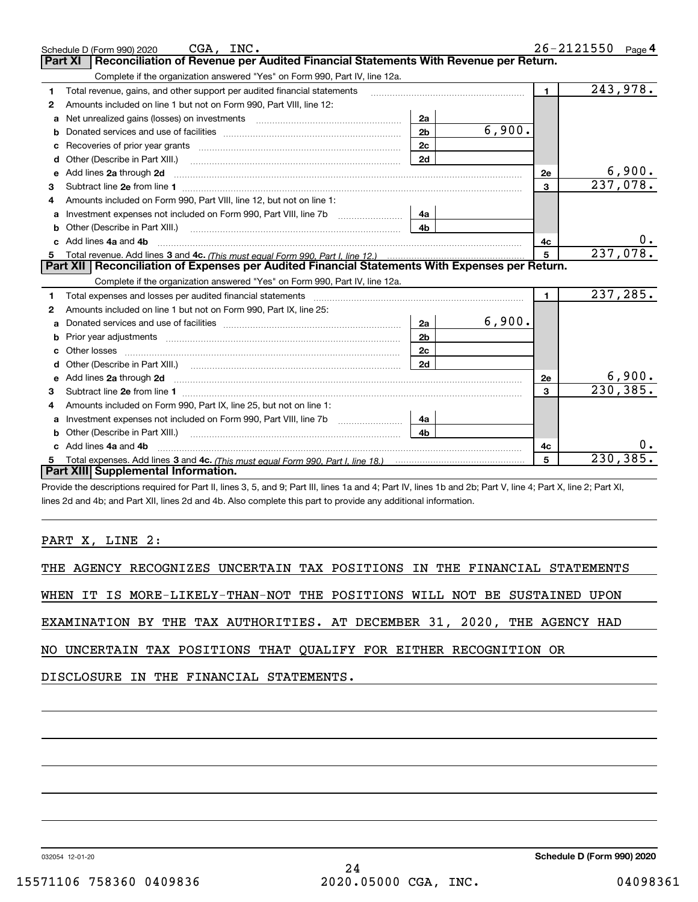|    | CGA, INC.<br>Schedule D (Form 990) 2020                                                                                                                                                                                             |                |        |                | 26-2121550            | Page $4$  |
|----|-------------------------------------------------------------------------------------------------------------------------------------------------------------------------------------------------------------------------------------|----------------|--------|----------------|-----------------------|-----------|
|    | Reconciliation of Revenue per Audited Financial Statements With Revenue per Return.<br>Part XI                                                                                                                                      |                |        |                |                       |           |
|    | Complete if the organization answered "Yes" on Form 990, Part IV, line 12a.                                                                                                                                                         |                |        |                |                       |           |
| 1  | Total revenue, gains, and other support per audited financial statements                                                                                                                                                            |                |        | $\blacksquare$ | 243,978.              |           |
| 2  | Amounts included on line 1 but not on Form 990, Part VIII, line 12:                                                                                                                                                                 |                |        |                |                       |           |
| a  |                                                                                                                                                                                                                                     | 2a             |        |                |                       |           |
|    |                                                                                                                                                                                                                                     | 2 <sub>b</sub> | 6,900. |                |                       |           |
|    | Recoveries of prior year grants [11] matter contracts and prior year grants [11] matter contracts and prior year grants and prior year of the contracts and prior year of the contracts and prior year of the contracts and pr      | 2c             |        |                |                       |           |
| d  | Other (Describe in Part XIII.) <b>Construction Contract Construction</b> [                                                                                                                                                          | 2d             |        |                |                       |           |
| е  | Add lines 2a through 2d                                                                                                                                                                                                             |                |        | 2e             |                       | 6,900.    |
| 3  |                                                                                                                                                                                                                                     |                |        | $\overline{3}$ | $\overline{237,078.}$ |           |
| 4  | Amounts included on Form 990. Part VIII. line 12, but not on line 1:                                                                                                                                                                |                |        |                |                       |           |
| a  |                                                                                                                                                                                                                                     | 4а             |        |                |                       |           |
| b  | Other (Describe in Part XIII.) <b>2006</b> 2006 2010 2010 2010 2010 2011 2012 2013 2014 2014 2015 2016 2017 2018 2019 2016 2017 2018 2019 2016 2017 2018 2019 2016 2017 2018 2019 2018 2019 2019 2016 2017 2018 2019 2018 2019 2019 | 4 <sub>b</sub> |        |                |                       |           |
| c. | Add lines 4a and 4b                                                                                                                                                                                                                 |                |        | 4c             |                       | $0 \cdot$ |
|    |                                                                                                                                                                                                                                     |                |        | 5              | 237,078.              |           |
|    |                                                                                                                                                                                                                                     |                |        |                |                       |           |
|    | Part XII   Reconciliation of Expenses per Audited Financial Statements With Expenses per Return.                                                                                                                                    |                |        |                |                       |           |
|    | Complete if the organization answered "Yes" on Form 990, Part IV, line 12a.                                                                                                                                                         |                |        |                |                       |           |
| 1  | Total expenses and losses per audited financial statements [111] [12] content and a supercontent and statements and statements and statements and statements and statements and statements and statements and statements and s      |                |        | $\blacksquare$ | 237,285.              |           |
| 2  | Amounts included on line 1 but not on Form 990, Part IX, line 25:                                                                                                                                                                   |                |        |                |                       |           |
| a  |                                                                                                                                                                                                                                     | 2a             | 6,900. |                |                       |           |
| b  | Prior year adjustments <i>www.www.www.www.www.www.www.www.www.</i> ww.                                                                                                                                                              | 2 <sub>b</sub> |        |                |                       |           |
| с  |                                                                                                                                                                                                                                     | 2c             |        |                |                       |           |
| d  |                                                                                                                                                                                                                                     | 2d             |        |                |                       |           |
| е  | Add lines 2a through 2d <b>must be a constructed as the constant of the constant of the constant of the construction</b>                                                                                                            |                |        | 2e             |                       | 6,900.    |
| 3  |                                                                                                                                                                                                                                     |                |        | 3              | 230, 385.             |           |
| 4  | Amounts included on Form 990, Part IX, line 25, but not on line 1:                                                                                                                                                                  |                |        |                |                       |           |
| a  |                                                                                                                                                                                                                                     | 4a             |        |                |                       |           |
| b  |                                                                                                                                                                                                                                     | 4b.            |        |                |                       |           |
|    | Add lines 4a and 4b                                                                                                                                                                                                                 |                |        | 4c             |                       | 0.        |
|    | Part XIII Supplemental Information.                                                                                                                                                                                                 |                |        | 5              | 230, 385.             |           |

Provide the descriptions required for Part II, lines 3, 5, and 9; Part III, lines 1a and 4; Part IV, lines 1b and 2b; Part V, line 4; Part X, line 2; Part XI, lines 2d and 4b; and Part XII, lines 2d and 4b. Also complete this part to provide any additional information.

## PART X, LINE 2:

|  |  |  |  |  |  |  |  |  | THE AGENCY RECOGNIZES UNCERTAIN TAX POSITIONS IN THE FINANCIAL STATEMENTS |
|--|--|--|--|--|--|--|--|--|---------------------------------------------------------------------------|
|--|--|--|--|--|--|--|--|--|---------------------------------------------------------------------------|

WHEN IT IS MORE-LIKELY-THAN-NOT THE POSITIONS WILL NOT BE SUSTAINED UPON

EXAMINATION BY THE TAX AUTHORITIES. AT DECEMBER 31, 2020, THE AGENCY HAD

NO UNCERTAIN TAX POSITIONS THAT QUALIFY FOR EITHER RECOGNITION OR

DISCLOSURE IN THE FINANCIAL STATEMENTS.

032054 12-01-20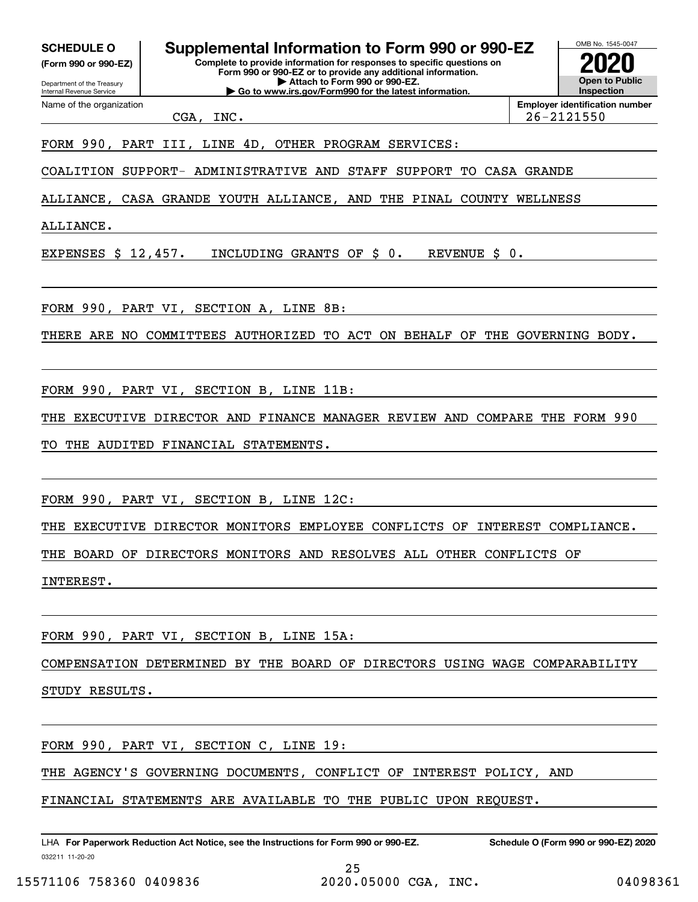**SCHEDULE O Supplemental Information to Form 990 or 990-EZ**

Internal Revenue Service

Department of the Treasury **(Form 990 or 990-EZ)**

Name of the organization

**Complete to provide information for responses to specific questions on**

**Form 990 or 990-EZ or to provide any additional information. | Attach to Form 990 or 990-EZ.**

**| Go to www.irs.gov/Form990 for the latest information.**

OMB No. 1545-0047 **Open to Public Inspection2020**

**Employer identification number**

CGA, INC. 26-2121550

## FORM 990, PART III, LINE 4D, OTHER PROGRAM SERVICES:

COALITION SUPPORT- ADMINISTRATIVE AND STAFF SUPPORT TO CASA GRANDE

ALLIANCE, CASA GRANDE YOUTH ALLIANCE, AND THE PINAL COUNTY WELLNESS

ALLIANCE.

EXPENSES \$ 12,457. INCLUDING GRANTS OF \$ 0. REVENUE \$ 0.

FORM 990, PART VI, SECTION A, LINE 8B:

THERE ARE NO COMMITTEES AUTHORIZED TO ACT ON BEHALF OF THE GOVERNING BODY.

FORM 990, PART VI, SECTION B, LINE 11B:

THE EXECUTIVE DIRECTOR AND FINANCE MANAGER REVIEW AND COMPARE THE FORM 990

TO THE AUDITED FINANCIAL STATEMENTS.

FORM 990, PART VI, SECTION B, LINE 12C:

THE EXECUTIVE DIRECTOR MONITORS EMPLOYEE CONFLICTS OF INTEREST COMPLIANCE.

THE BOARD OF DIRECTORS MONITORS AND RESOLVES ALL OTHER CONFLICTS OF

INTEREST.

FORM 990, PART VI, SECTION B, LINE 15A:

COMPENSATION DETERMINED BY THE BOARD OF DIRECTORS USING WAGE COMPARABILITY STUDY RESULTS.

FORM 990, PART VI, SECTION C, LINE 19:

THE AGENCY'S GOVERNING DOCUMENTS, CONFLICT OF INTEREST POLICY, AND

FINANCIAL STATEMENTS ARE AVAILABLE TO THE PUBLIC UPON REQUEST.

032211 11-20-20 LHA For Paperwork Reduction Act Notice, see the Instructions for Form 990 or 990-EZ. Schedule O (Form 990 or 990-EZ) 2020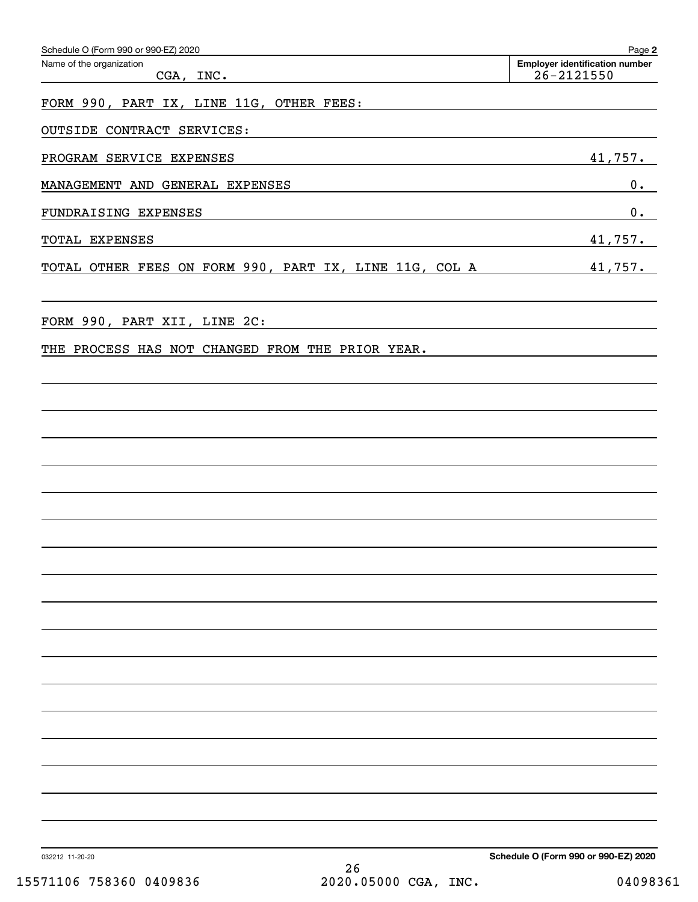| Schedule O (Form 990 or 990-EZ) 2020<br>Name of the organization<br>CGA, INC. | Page 2<br><b>Employer identification number</b><br>$26 - 2121550$ |
|-------------------------------------------------------------------------------|-------------------------------------------------------------------|
|                                                                               |                                                                   |
| FORM 990, PART IX, LINE 11G, OTHER FEES:                                      |                                                                   |
| OUTSIDE CONTRACT SERVICES:                                                    |                                                                   |
| PROGRAM SERVICE EXPENSES                                                      | 41,757.                                                           |
| MANAGEMENT AND GENERAL EXPENSES                                               | 0.                                                                |
| FUNDRAISING EXPENSES                                                          | 0.                                                                |
| TOTAL EXPENSES                                                                | 41,757.                                                           |
| TOTAL OTHER FEES ON FORM 990, PART IX, LINE 11G, COL A                        | 41,757.                                                           |
| FORM 990, PART XII, LINE 2C:                                                  |                                                                   |
| THE PROCESS HAS NOT CHANGED FROM THE PRIOR YEAR.                              |                                                                   |
|                                                                               |                                                                   |
|                                                                               |                                                                   |
|                                                                               |                                                                   |
|                                                                               |                                                                   |
|                                                                               |                                                                   |
|                                                                               |                                                                   |
|                                                                               |                                                                   |
|                                                                               |                                                                   |
|                                                                               |                                                                   |
|                                                                               |                                                                   |
|                                                                               |                                                                   |
|                                                                               |                                                                   |
|                                                                               |                                                                   |
|                                                                               |                                                                   |
|                                                                               |                                                                   |
|                                                                               |                                                                   |
|                                                                               |                                                                   |
|                                                                               |                                                                   |
|                                                                               |                                                                   |
|                                                                               |                                                                   |
| 032212 11-20-20                                                               | Schedule O (Form 990 or 990-EZ) 2020                              |
| 26<br>2020.05000 CGA, INC.<br>15571106 758360 0409836                         | 04098361                                                          |